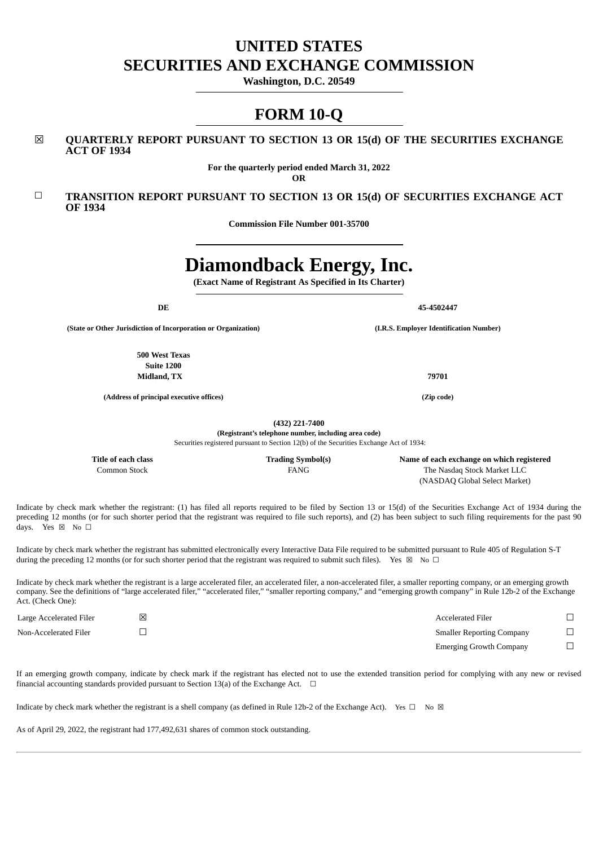# **UNITED STATES SECURITIES AND EXCHANGE COMMISSION**

**Washington, D.C. 20549**

# **FORM 10-Q**

# ☒ **QUARTERLY REPORT PURSUANT TO SECTION 13 OR 15(d) OF THE SECURITIES EXCHANGE ACT OF 1934**

**For the quarterly period ended March 31, 2022**

**OR**

# ☐ **TRANSITION REPORT PURSUANT TO SECTION 13 OR 15(d) OF SECURITIES EXCHANGE ACT OF 1934**

**Commission File Number 001-35700**

# **Diamondback Energy, Inc.**

**(Exact Name of Registrant As Specified in Its Charter)**

**(State or Other Jurisdiction of Incorporation or Organization) (I.R.S. Employer Identification Number)**

**500 West Texas Suite 1200 Midland, TX 79701**

**(Address of principal executive offices) (Zip code)**

**(432) 221-7400 (Registrant's telephone number, including area code)**

Securities registered pursuant to Section 12(b) of the Securities Exchange Act of 1934:

**Title of each class Trading Symbol(s) Name of each exchange on which registered** Common Stock FANG The Nasdaq Stock Market LLC (NASDAQ Global Select Market)

Indicate by check mark whether the registrant: (1) has filed all reports required to be filed by Section 13 or 15(d) of the Securities Exchange Act of 1934 during the preceding 12 months (or for such shorter period that the registrant was required to file such reports), and (2) has been subject to such filing requirements for the past 90 days. Yes ⊠ No □

Indicate by check mark whether the registrant has submitted electronically every Interactive Data File required to be submitted pursuant to Rule 405 of Regulation S-T during the preceding 12 months (or for such shorter period that the registrant was required to submit such files). Yes  $\boxtimes$  No  $\Box$ 

Indicate by check mark whether the registrant is a large accelerated filer, an accelerated filer, a non-accelerated filer, a smaller reporting company, or an emerging growth company. See the definitions of "large accelerated filer," "accelerated filer," "smaller reporting company," and "emerging growth company" in Rule 12b-2 of the Exchange Act. (Check One):

| Large Accelerated Filer | <b>Accelerated Filer</b>         |  |
|-------------------------|----------------------------------|--|
| Non-Accelerated Filer   | <b>Smaller Reporting Company</b> |  |
|                         | <b>Emerging Growth Company</b>   |  |

If an emerging growth company, indicate by check mark if the registrant has elected not to use the extended transition period for complying with any new or revised financial accounting standards provided pursuant to Section 13(a) of the Exchange Act.  $\Box$ 

Indicate by check mark whether the registrant is a shell company (as defined in Rule 12b-2 of the Exchange Act). Yes  $\Box$  No  $\boxtimes$ 

<span id="page-0-0"></span>As of April 29, 2022, the registrant had 177,492,631 shares of common stock outstanding.

**DE** 45-4502447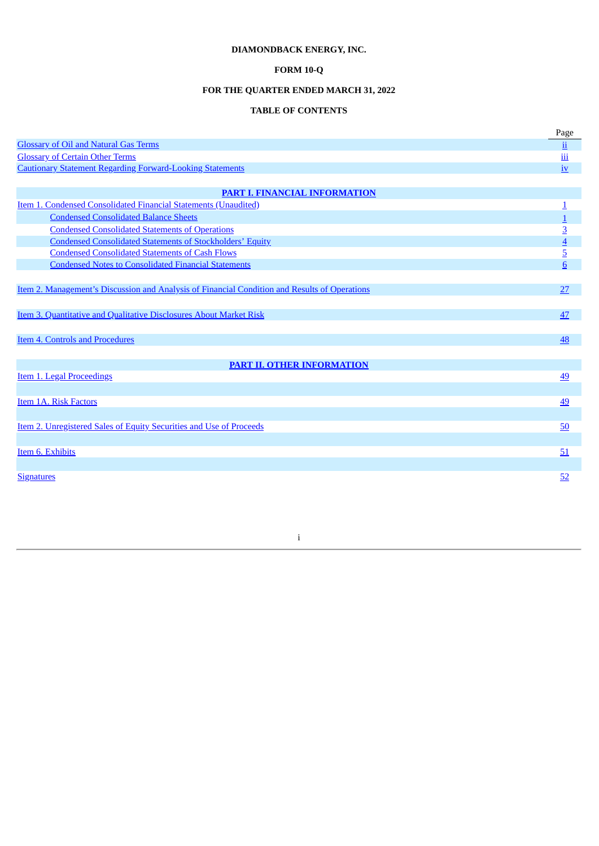# **DIAMONDBACK ENERGY, INC.**

# **FORM 10-Q**

# **FOR THE QUARTER ENDED MARCH 31, 2022**

# **TABLE OF CONTENTS**

|                                                                                                      | Page                      |
|------------------------------------------------------------------------------------------------------|---------------------------|
| <b>Glossary of Oil and Natural Gas Terms</b>                                                         | $\underline{\textbf{ii}}$ |
| <b>Glossary of Certain Other Terms</b>                                                               | $\underline{\text{iii}}$  |
| <b>Cautionary Statement Regarding Forward-Looking Statements</b>                                     | $\frac{1}{2}$             |
|                                                                                                      |                           |
| <b>PART I. FINANCIAL INFORMATION</b>                                                                 |                           |
| Item 1. Condensed Consolidated Financial Statements (Unaudited)                                      | 1                         |
| <b>Condensed Consolidated Balance Sheets</b>                                                         | 1                         |
| <b>Condensed Consolidated Statements of Operations</b>                                               | $\overline{3}$            |
| <b>Condensed Consolidated Statements of Stockholders' Equity</b>                                     | $\frac{4}{5}$             |
| <b>Condensed Consolidated Statements of Cash Flows</b>                                               |                           |
| <b>Condensed Notes to Consolidated Financial Statements</b>                                          | 6                         |
|                                                                                                      |                           |
| <u>Item 2. Management's Discussion and Analysis of Financial Condition and Results of Operations</u> | 27                        |
|                                                                                                      |                           |
| Item 3. Quantitative and Qualitative Disclosures About Market Risk                                   | 47                        |
|                                                                                                      |                           |
| Item 4. Controls and Procedures                                                                      | 48                        |
|                                                                                                      |                           |
| <b>PART II. OTHER INFORMATION</b>                                                                    |                           |
| Item 1. Legal Proceedings                                                                            | <u>49</u>                 |
|                                                                                                      |                           |
| Item 1A. Risk Factors                                                                                | <u>49</u>                 |
|                                                                                                      |                           |
| Item 2. Unregistered Sales of Equity Securities and Use of Proceeds                                  | 50                        |
|                                                                                                      |                           |
| Item 6. Exhibits                                                                                     | 51                        |
|                                                                                                      |                           |
| <b>Signatures</b>                                                                                    | 52                        |
|                                                                                                      |                           |

# <span id="page-1-0"></span>i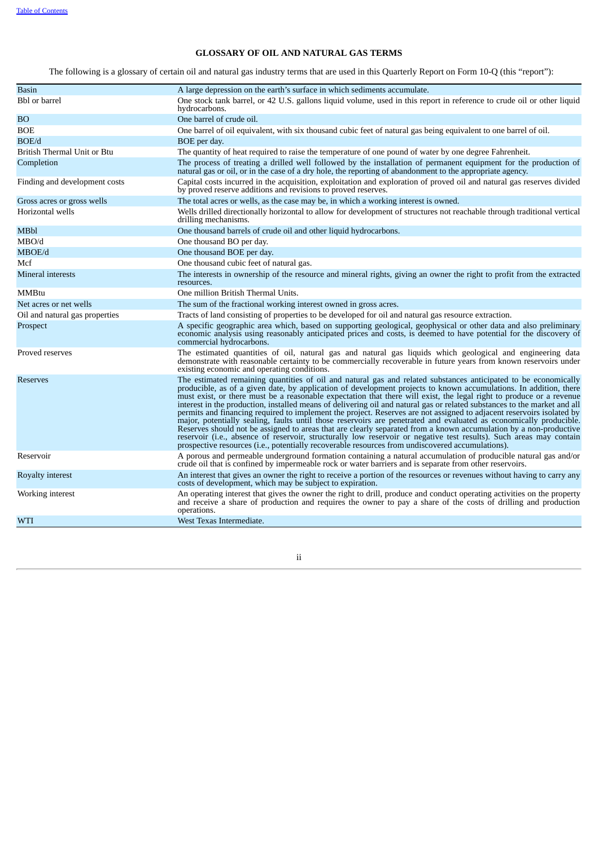# **GLOSSARY OF OIL AND NATURAL GAS TERMS**

The following is a glossary of certain oil and natural gas industry terms that are used in this Quarterly Report on Form 10-Q (this "report"):

| <b>Basin</b>                   | A large depression on the earth's surface in which sediments accumulate.                                                                                                                                                                                                                                                                                                                                                                                                                                                                                                                                                                                                                                                                                                                                                                                                                                                                                                                                                                                                                 |
|--------------------------------|------------------------------------------------------------------------------------------------------------------------------------------------------------------------------------------------------------------------------------------------------------------------------------------------------------------------------------------------------------------------------------------------------------------------------------------------------------------------------------------------------------------------------------------------------------------------------------------------------------------------------------------------------------------------------------------------------------------------------------------------------------------------------------------------------------------------------------------------------------------------------------------------------------------------------------------------------------------------------------------------------------------------------------------------------------------------------------------|
| Bbl or barrel                  | One stock tank barrel, or 42 U.S. gallons liquid volume, used in this report in reference to crude oil or other liquid<br>hydrocarbons.                                                                                                                                                                                                                                                                                                                                                                                                                                                                                                                                                                                                                                                                                                                                                                                                                                                                                                                                                  |
| <b>BO</b>                      | One barrel of crude oil.                                                                                                                                                                                                                                                                                                                                                                                                                                                                                                                                                                                                                                                                                                                                                                                                                                                                                                                                                                                                                                                                 |
| BOE                            | One barrel of oil equivalent, with six thousand cubic feet of natural gas being equivalent to one barrel of oil.                                                                                                                                                                                                                                                                                                                                                                                                                                                                                                                                                                                                                                                                                                                                                                                                                                                                                                                                                                         |
| BOE/d                          | BOE per day.                                                                                                                                                                                                                                                                                                                                                                                                                                                                                                                                                                                                                                                                                                                                                                                                                                                                                                                                                                                                                                                                             |
| British Thermal Unit or Btu    | The quantity of heat required to raise the temperature of one pound of water by one degree Fahrenheit.                                                                                                                                                                                                                                                                                                                                                                                                                                                                                                                                                                                                                                                                                                                                                                                                                                                                                                                                                                                   |
| Completion                     | The process of treating a drilled well followed by the installation of permanent equipment for the production of<br>natural gas or oil, or in the case of a dry hole, the reporting of abandonment to the appropriate agency.                                                                                                                                                                                                                                                                                                                                                                                                                                                                                                                                                                                                                                                                                                                                                                                                                                                            |
| Finding and development costs  | Capital costs incurred in the acquisition, exploitation and exploration of proved oil and natural gas reserves divided<br>by proved reserve additions and revisions to proved reserves.                                                                                                                                                                                                                                                                                                                                                                                                                                                                                                                                                                                                                                                                                                                                                                                                                                                                                                  |
| Gross acres or gross wells     | The total acres or wells, as the case may be, in which a working interest is owned.                                                                                                                                                                                                                                                                                                                                                                                                                                                                                                                                                                                                                                                                                                                                                                                                                                                                                                                                                                                                      |
| Horizontal wells               | Wells drilled directionally horizontal to allow for development of structures not reachable through traditional vertical<br>drilling mechanisms.                                                                                                                                                                                                                                                                                                                                                                                                                                                                                                                                                                                                                                                                                                                                                                                                                                                                                                                                         |
| MBbl                           | One thousand barrels of crude oil and other liquid hydrocarbons.                                                                                                                                                                                                                                                                                                                                                                                                                                                                                                                                                                                                                                                                                                                                                                                                                                                                                                                                                                                                                         |
| MBO/d                          | One thousand BO per day.                                                                                                                                                                                                                                                                                                                                                                                                                                                                                                                                                                                                                                                                                                                                                                                                                                                                                                                                                                                                                                                                 |
| MBOE/d                         | One thousand BOE per day.                                                                                                                                                                                                                                                                                                                                                                                                                                                                                                                                                                                                                                                                                                                                                                                                                                                                                                                                                                                                                                                                |
| Mcf                            | One thousand cubic feet of natural gas.                                                                                                                                                                                                                                                                                                                                                                                                                                                                                                                                                                                                                                                                                                                                                                                                                                                                                                                                                                                                                                                  |
| Mineral interests              | The interests in ownership of the resource and mineral rights, giving an owner the right to profit from the extracted<br>resources.                                                                                                                                                                                                                                                                                                                                                                                                                                                                                                                                                                                                                                                                                                                                                                                                                                                                                                                                                      |
| <b>MMBtu</b>                   | One million British Thermal Units.                                                                                                                                                                                                                                                                                                                                                                                                                                                                                                                                                                                                                                                                                                                                                                                                                                                                                                                                                                                                                                                       |
| Net acres or net wells         | The sum of the fractional working interest owned in gross acres.                                                                                                                                                                                                                                                                                                                                                                                                                                                                                                                                                                                                                                                                                                                                                                                                                                                                                                                                                                                                                         |
| Oil and natural gas properties | Tracts of land consisting of properties to be developed for oil and natural gas resource extraction.                                                                                                                                                                                                                                                                                                                                                                                                                                                                                                                                                                                                                                                                                                                                                                                                                                                                                                                                                                                     |
| Prospect                       | A specific geographic area which, based on supporting geological, geophysical or other data and also preliminary<br>economic analysis using reasonably anticipated prices and costs, is deemed to have potential for the discovery of<br>commercial hydrocarbons.                                                                                                                                                                                                                                                                                                                                                                                                                                                                                                                                                                                                                                                                                                                                                                                                                        |
| Proved reserves                | The estimated quantities of oil, natural gas and natural gas liquids which geological and engineering data<br>demonstrate with reasonable certainty to be commercially recoverable in future years from known reservoirs under<br>existing economic and operating conditions.                                                                                                                                                                                                                                                                                                                                                                                                                                                                                                                                                                                                                                                                                                                                                                                                            |
| Reserves                       | The estimated remaining quantities of oil and natural gas and related substances anticipated to be economically<br>producible, as of a given date, by application of development projects to known accumulations. In addition, there<br>must exist, or there must be a reasonable expectation that there will exist, the legal right to produce or a revenue<br>interest in the production, installed means of delivering oil and natural gas or related substances to the market and all<br>permits and financing required to implement the project. Reserves are not assigned to adjacent reservoirs isolated by<br>major, potentially sealing, faults until those reservoirs are penetrated and evaluated as economically producible.<br>Reserves should not be assigned to areas that are clearly separated from a known accumulation by a non-productive<br>reservoir (i.e., absence of reservoir, structurally low reservoir or negative test results). Such areas may contain<br>prospective resources (i.e., potentially recoverable resources from undiscovered accumulations). |
| Reservoir                      | A porous and permeable underground formation containing a natural accumulation of producible natural gas and/or<br>crude oil that is confined by impermeable rock or water barriers and is separate from other reservoirs.                                                                                                                                                                                                                                                                                                                                                                                                                                                                                                                                                                                                                                                                                                                                                                                                                                                               |
| Royalty interest               | An interest that gives an owner the right to receive a portion of the resources or revenues without having to carry any<br>costs of development, which may be subject to expiration.                                                                                                                                                                                                                                                                                                                                                                                                                                                                                                                                                                                                                                                                                                                                                                                                                                                                                                     |
| Working interest               | An operating interest that gives the owner the right to drill, produce and conduct operating activities on the property<br>and receive a share of production and requires the owner to pay a share of the costs of drilling and production<br>operations.                                                                                                                                                                                                                                                                                                                                                                                                                                                                                                                                                                                                                                                                                                                                                                                                                                |
| WTI                            | West Texas Intermediate.                                                                                                                                                                                                                                                                                                                                                                                                                                                                                                                                                                                                                                                                                                                                                                                                                                                                                                                                                                                                                                                                 |

<span id="page-2-0"></span>ii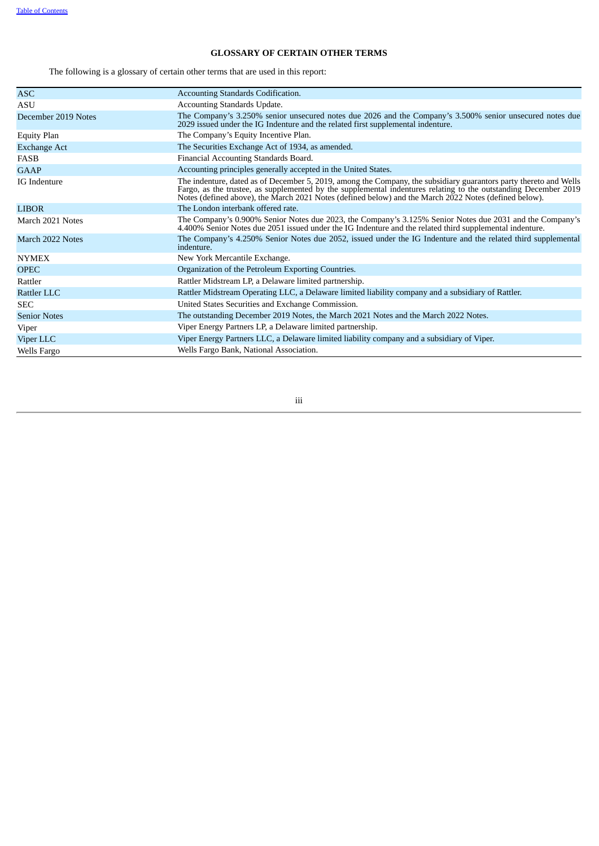# **GLOSSARY OF CERTAIN OTHER TERMS**

The following is a glossary of certain other terms that are used in this report:

| ASC.                | Accounting Standards Codification.                                                                                                                                                                                                                                                                                                            |
|---------------------|-----------------------------------------------------------------------------------------------------------------------------------------------------------------------------------------------------------------------------------------------------------------------------------------------------------------------------------------------|
| ASU                 | Accounting Standards Update.                                                                                                                                                                                                                                                                                                                  |
| December 2019 Notes | The Company's 3.250% senior unsecured notes due 2026 and the Company's 3.500% senior unsecured notes due<br>2029 issued under the IG Indenture and the related first supplemental indenture.                                                                                                                                                  |
| <b>Equity Plan</b>  | The Company's Equity Incentive Plan.                                                                                                                                                                                                                                                                                                          |
| <b>Exchange Act</b> | The Securities Exchange Act of 1934, as amended.                                                                                                                                                                                                                                                                                              |
| <b>FASB</b>         | Financial Accounting Standards Board.                                                                                                                                                                                                                                                                                                         |
| GAAP                | Accounting principles generally accepted in the United States.                                                                                                                                                                                                                                                                                |
| IG Indenture        | The indenture, dated as of December 5, 2019, among the Company, the subsidiary guarantors party thereto and Wells<br>Fargo, as the trustee, as supplemented by the supplemental indentures relating to the outstanding December 2019<br>Notes (defined above), the March 2021 Notes (defined below) and the March 2022 Notes (defined below). |
| <b>LIBOR</b>        | The London interbank offered rate.                                                                                                                                                                                                                                                                                                            |
| March 2021 Notes    | The Company's 0.900% Senior Notes due 2023, the Company's 3.125% Senior Notes due 2031 and the Company's<br>4.400% Senior Notes due 2051 issued under the IG Indenture and the related third supplemental indenture.                                                                                                                          |
| March 2022 Notes    | The Company's 4.250% Senior Notes due 2052, issued under the IG Indenture and the related third supplemental<br>indenture.                                                                                                                                                                                                                    |
| <b>NYMEX</b>        | New York Mercantile Exchange.                                                                                                                                                                                                                                                                                                                 |
| <b>OPEC</b>         | Organization of the Petroleum Exporting Countries.                                                                                                                                                                                                                                                                                            |
| Rattler             | Rattler Midstream LP, a Delaware limited partnership.                                                                                                                                                                                                                                                                                         |
| Rattler LLC         | Rattler Midstream Operating LLC, a Delaware limited liability company and a subsidiary of Rattler.                                                                                                                                                                                                                                            |
| <b>SEC</b>          | United States Securities and Exchange Commission.                                                                                                                                                                                                                                                                                             |
| <b>Senior Notes</b> | The outstanding December 2019 Notes, the March 2021 Notes and the March 2022 Notes.                                                                                                                                                                                                                                                           |
| Viper               | Viper Energy Partners LP, a Delaware limited partnership.                                                                                                                                                                                                                                                                                     |
| Viper LLC           | Viper Energy Partners LLC, a Delaware limited liability company and a subsidiary of Viper.                                                                                                                                                                                                                                                    |
| Wells Fargo         | Wells Fargo Bank, National Association.                                                                                                                                                                                                                                                                                                       |

<span id="page-3-0"></span>iii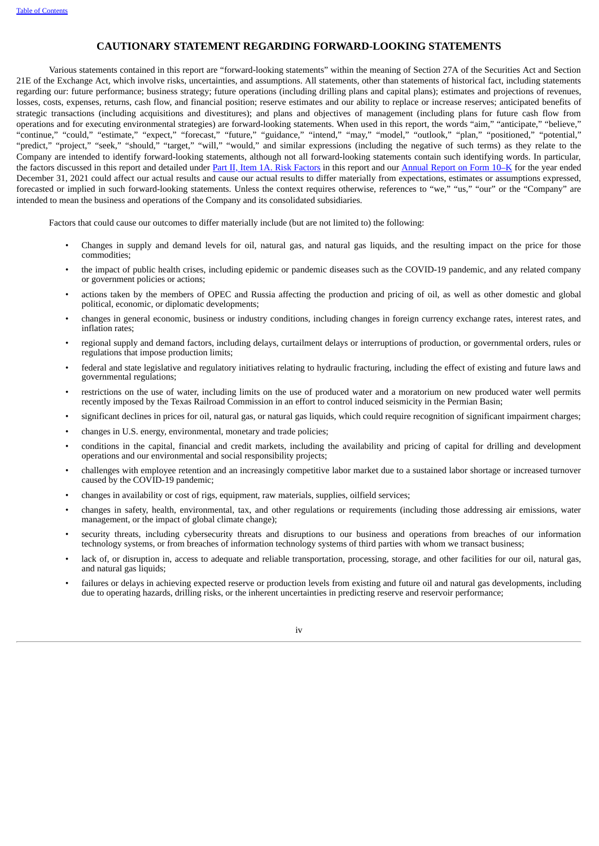# **CAUTIONARY STATEMENT REGARDING FORWARD-LOOKING STATEMENTS**

Various statements contained in this report are "forward-looking statements" within the meaning of Section 27A of the Securities Act and Section 21E of the Exchange Act, which involve risks, uncertainties, and assumptions. All statements, other than statements of historical fact, including statements regarding our: future performance; business strategy; future operations (including drilling plans and capital plans); estimates and projections of revenues, losses, costs, expenses, returns, cash flow, and financial position; reserve estimates and our ability to replace or increase reserves; anticipated benefits of strategic transactions (including acquisitions and divestitures); and plans and objectives of management (including plans for future cash flow from operations and for executing environmental strategies) are forward-looking statements. When used in this report, the words "aim," "anticipate," "believe," "continue," "could," "estimate," "expect," "forecast," "future," "guidance," "intend," "may," "model," "outlook," "plan," "positioned," "potential," "predict," "project," "seek," "should," "target," "will," "would," and similar expressions (including the negative of such terms) as they relate to the Company are intended to identify forward-looking statements, although not all forward-looking statements contain such identifying words. In particular, the factors discussed in this report and detailed under Part II, Item 1A. Risk [Factors](#page-54-1) in this report and our [Annual](https://www.sec.gov/ix?doc=/Archives/edgar/data/1539838/000153983822000008/fang-20211231.htm) Report on Form 10–K for the year ended December 31, 2021 could affect our actual results and cause our actual results to differ materially from expectations, estimates or assumptions expressed, forecasted or implied in such forward-looking statements. Unless the context requires otherwise, references to "we," "us," "our" or the "Company" are intended to mean the business and operations of the Company and its consolidated subsidiaries.

Factors that could cause our outcomes to differ materially include (but are not limited to) the following:

- Changes in supply and demand levels for oil, natural gas, and natural gas liquids, and the resulting impact on the price for those commodities;
- the impact of public health crises, including epidemic or pandemic diseases such as the COVID-19 pandemic, and any related company or government policies or actions;
- actions taken by the members of OPEC and Russia affecting the production and pricing of oil, as well as other domestic and global political, economic, or diplomatic developments;
- changes in general economic, business or industry conditions, including changes in foreign currency exchange rates, interest rates, and inflation rates;
- regional supply and demand factors, including delays, curtailment delays or interruptions of production, or governmental orders, rules or regulations that impose production limits;
- federal and state legislative and regulatory initiatives relating to hydraulic fracturing, including the effect of existing and future laws and governmental regulations;
- restrictions on the use of water, including limits on the use of produced water and a moratorium on new produced water well permits recently imposed by the Texas Railroad Commission in an effort to control induced seismicity in the Permian Basin;
- significant declines in prices for oil, natural gas, or natural gas liquids, which could require recognition of significant impairment charges;
- changes in U.S. energy, environmental, monetary and trade policies;
- conditions in the capital, financial and credit markets, including the availability and pricing of capital for drilling and development operations and our environmental and social responsibility projects;
- challenges with employee retention and an increasingly competitive labor market due to a sustained labor shortage or increased turnover caused by the COVID-19 pandemic;
- changes in availability or cost of rigs, equipment, raw materials, supplies, oilfield services;
- changes in safety, health, environmental, tax, and other regulations or requirements (including those addressing air emissions, water management, or the impact of global climate change);
- security threats, including cybersecurity threats and disruptions to our business and operations from breaches of our information technology systems, or from breaches of information technology systems of third parties with whom we transact business;
- lack of, or disruption in, access to adequate and reliable transportation, processing, storage, and other facilities for our oil, natural gas, and natural gas liquids;
- failures or delays in achieving expected reserve or production levels from existing and future oil and natural gas developments, including due to operating hazards, drilling risks, or the inherent uncertainties in predicting reserve and reservoir performance;

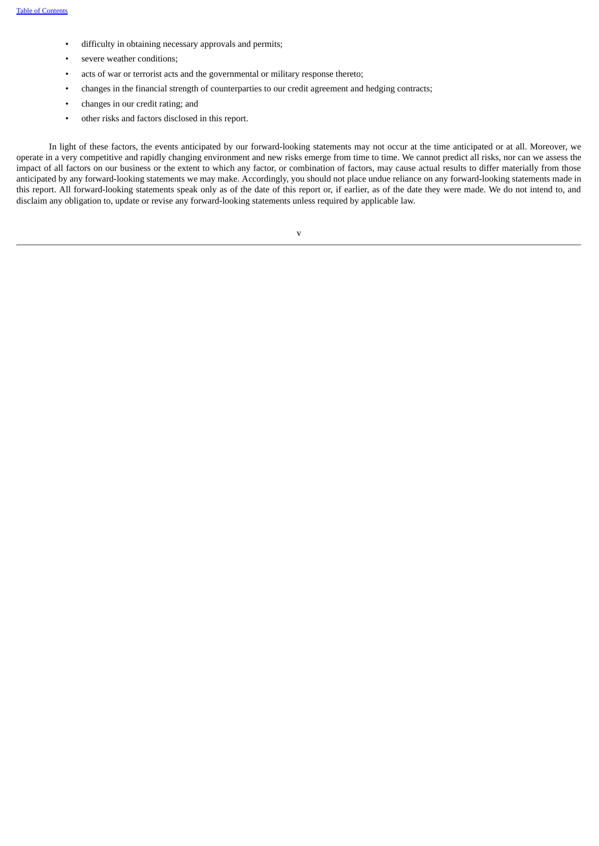- difficulty in obtaining necessary approvals and permits;
- severe weather conditions;
- acts of war or terrorist acts and the governmental or military response thereto;
- changes in the financial strength of counterparties to our credit agreement and hedging contracts;
- changes in our credit rating; and
- other risks and factors disclosed in this report.

<span id="page-5-0"></span>In light of these factors, the events anticipated by our forward-looking statements may not occur at the time anticipated or at all. Moreover, we operate in a very competitive and rapidly changing environment and new risks emerge from time to time. We cannot predict all risks, nor can we assess the impact of all factors on our business or the extent to which any factor, or combination of factors, may cause actual results to differ materially from those anticipated by any forward-looking statements we may make. Accordingly, you should not place undue reliance on any forward-looking statements made in this report. All forward-looking statements speak only as of the date of this report or, if earlier, as of the date they were made. We do not intend to, and disclaim any obligation to, update or revise any forward-looking statements unless required by applicable law.

v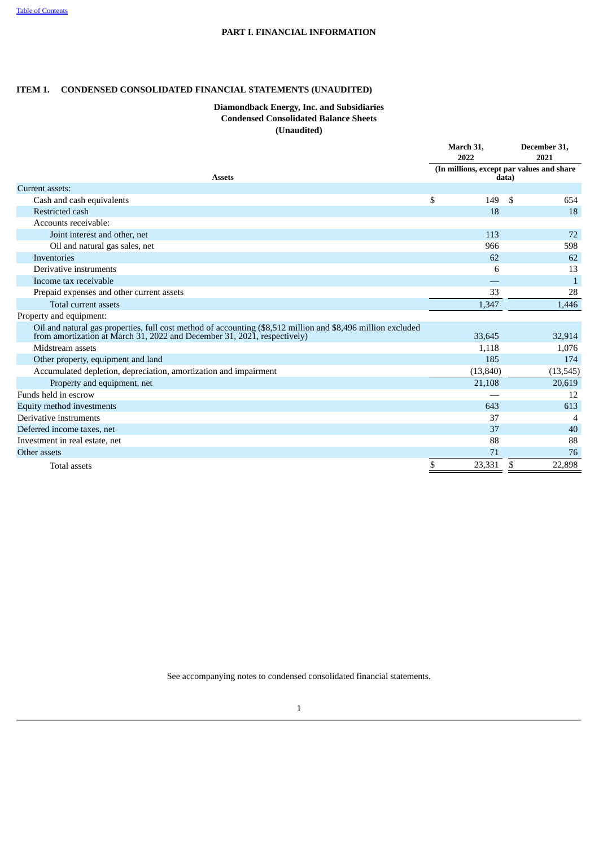# **PART I. FINANCIAL INFORMATION**

# <span id="page-6-0"></span>**ITEM 1. CONDENSED CONSOLIDATED FINANCIAL STATEMENTS (UNAUDITED)**

# **Diamondback Energy, Inc. and Subsidiaries Condensed Consolidated Balance Sheets (Unaudited)**

|                                                                                                                                                                                          | March 31,<br>2022 | December 31,<br>2021                               |
|------------------------------------------------------------------------------------------------------------------------------------------------------------------------------------------|-------------------|----------------------------------------------------|
| <b>Assets</b>                                                                                                                                                                            |                   | (In millions, except par values and share<br>data) |
| Current assets:                                                                                                                                                                          |                   |                                                    |
| Cash and cash equivalents                                                                                                                                                                | \$<br>149         | S<br>654                                           |
| Restricted cash                                                                                                                                                                          | 18                | 18                                                 |
| Accounts receivable:                                                                                                                                                                     |                   |                                                    |
| Joint interest and other, net                                                                                                                                                            | 113               | 72                                                 |
| Oil and natural gas sales, net                                                                                                                                                           | 966               | 598                                                |
| Inventories                                                                                                                                                                              | 62                | 62                                                 |
| Derivative instruments                                                                                                                                                                   | 6                 | 13                                                 |
| Income tax receivable                                                                                                                                                                    |                   | $\mathbf{1}$                                       |
| Prepaid expenses and other current assets                                                                                                                                                | 33                | 28                                                 |
| Total current assets                                                                                                                                                                     | 1,347             | 1,446                                              |
| Property and equipment:                                                                                                                                                                  |                   |                                                    |
| Oil and natural gas properties, full cost method of accounting (\$8,512 million and \$8,496 million excluded<br>from amortization at March 31, 2022 and December 31, 2021, respectively) | 33.645            | 32,914                                             |
| Midstream assets                                                                                                                                                                         | 1,118             | 1,076                                              |
| Other property, equipment and land                                                                                                                                                       | 185               | 174                                                |
| Accumulated depletion, depreciation, amortization and impairment                                                                                                                         | (13, 840)         | (13, 545)                                          |
| Property and equipment, net                                                                                                                                                              | 21,108            | 20,619                                             |
| Funds held in escrow                                                                                                                                                                     |                   | 12                                                 |
| Equity method investments                                                                                                                                                                | 643               | 613                                                |
| Derivative instruments                                                                                                                                                                   | 37                | 4                                                  |
| Deferred income taxes, net                                                                                                                                                               | 37                | 40                                                 |
| Investment in real estate, net                                                                                                                                                           | 88                | 88                                                 |
| Other assets                                                                                                                                                                             | 71                | 76                                                 |
| <b>Total assets</b>                                                                                                                                                                      | \$<br>23,331      | \$<br>22,898                                       |

See accompanying notes to condensed consolidated financial statements.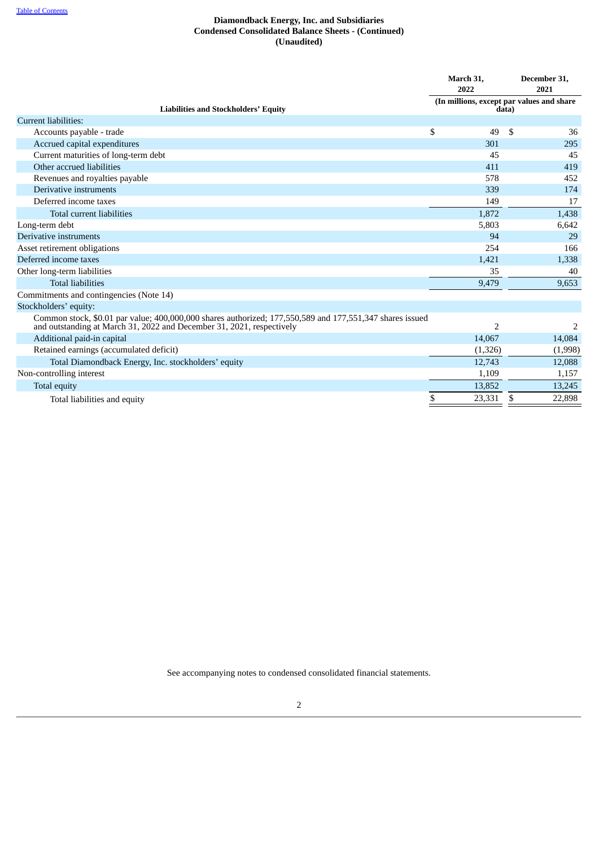# **Diamondback Energy, Inc. and Subsidiaries Condensed Consolidated Balance Sheets - (Continued) (Unaudited)**

|                                                                                                                                                                                   | March 31,<br>2022        | December 31,<br>2021<br>(In millions, except par values and share |
|-----------------------------------------------------------------------------------------------------------------------------------------------------------------------------------|--------------------------|-------------------------------------------------------------------|
| <b>Liabilities and Stockholders' Equity</b>                                                                                                                                       |                          | data)                                                             |
| <b>Current liabilities:</b>                                                                                                                                                       |                          |                                                                   |
| Accounts payable - trade                                                                                                                                                          | \$<br>49                 | \$<br>36                                                          |
| Accrued capital expenditures                                                                                                                                                      | 301                      | 295                                                               |
| Current maturities of long-term debt                                                                                                                                              | 45                       | 45                                                                |
| Other accrued liabilities                                                                                                                                                         | 411                      | 419                                                               |
| Revenues and royalties payable                                                                                                                                                    | 578                      | 452                                                               |
| Derivative instruments                                                                                                                                                            | 339                      | 174                                                               |
| Deferred income taxes                                                                                                                                                             | 149                      | 17                                                                |
| Total current liabilities                                                                                                                                                         | 1,872                    | 1,438                                                             |
| Long-term debt                                                                                                                                                                    | 5,803                    | 6,642                                                             |
| Derivative instruments                                                                                                                                                            | 94                       | 29                                                                |
| Asset retirement obligations                                                                                                                                                      | 254                      | 166                                                               |
| Deferred income taxes                                                                                                                                                             | 1,421                    | 1,338                                                             |
| Other long-term liabilities                                                                                                                                                       | 35                       | 40                                                                |
| <b>Total liabilities</b>                                                                                                                                                          | 9,479                    | 9,653                                                             |
| Commitments and contingencies (Note 14)                                                                                                                                           |                          |                                                                   |
| Stockholders' equity:                                                                                                                                                             |                          |                                                                   |
| Common stock, \$0.01 par value; 400,000,000 shares authorized; 177,550,589 and 177,551,347 shares issued<br>and outstanding at March 31, 2022 and December 31, 2021, respectively | $\overline{\phantom{a}}$ | 2                                                                 |
| Additional paid-in capital                                                                                                                                                        | 14,067                   | 14,084                                                            |
| Retained earnings (accumulated deficit)                                                                                                                                           | (1, 326)                 | (1,998)                                                           |
| Total Diamondback Energy, Inc. stockholders' equity                                                                                                                               | 12,743                   | 12,088                                                            |
| Non-controlling interest                                                                                                                                                          | 1,109                    | 1,157                                                             |
| <b>Total equity</b>                                                                                                                                                               | 13,852                   | 13,245                                                            |
| Total liabilities and equity                                                                                                                                                      | \$<br>23,331             | \$<br>22,898                                                      |

<span id="page-7-0"></span>See accompanying notes to condensed consolidated financial statements.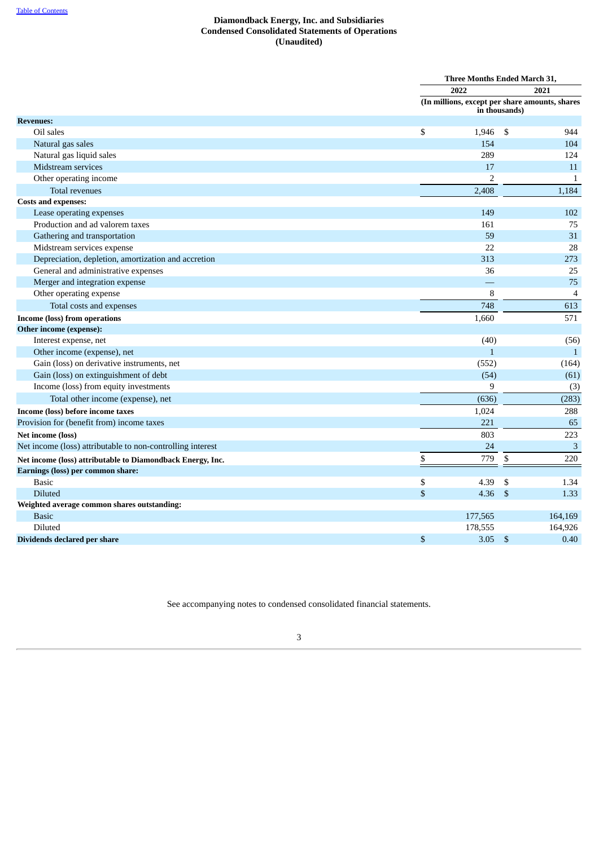# **Diamondback Energy, Inc. and Subsidiaries Condensed Consolidated Statements of Operations (Unaudited)**

|                                                            | Three Months Ended March 31,                   |               |                          |
|------------------------------------------------------------|------------------------------------------------|---------------|--------------------------|
|                                                            | 2022                                           |               | 2021                     |
|                                                            | (In millions, except per share amounts, shares | in thousands) |                          |
| <b>Revenues:</b>                                           |                                                |               |                          |
| Oil sales                                                  | \$<br>1,946                                    | - \$          | 944                      |
| Natural gas sales                                          | 154                                            |               | 104                      |
| Natural gas liquid sales                                   | 289                                            |               | 124                      |
| Midstream services                                         | 17                                             |               | 11                       |
| Other operating income                                     | 2                                              |               | $\mathbf{1}$             |
| Total revenues                                             | 2,408                                          |               | 1,184                    |
| <b>Costs and expenses:</b>                                 |                                                |               |                          |
| Lease operating expenses                                   | 149                                            |               | 102                      |
| Production and ad valorem taxes                            | 161                                            |               | 75                       |
| Gathering and transportation                               | 59                                             |               | 31                       |
| Midstream services expense                                 | 22                                             |               | 28                       |
| Depreciation, depletion, amortization and accretion        | 313                                            |               | 273                      |
| General and administrative expenses                        | 36                                             |               | 25                       |
| Merger and integration expense                             |                                                |               | 75                       |
| Other operating expense                                    | 8                                              |               | $\overline{\mathcal{A}}$ |
| Total costs and expenses                                   | 748                                            |               | 613                      |
| Income (loss) from operations                              | 1,660                                          |               | 571                      |
| Other income (expense):                                    |                                                |               |                          |
| Interest expense, net                                      | (40)                                           |               | (56)                     |
| Other income (expense), net                                | $\mathbf{1}$                                   |               | $\mathbf{1}$             |
| Gain (loss) on derivative instruments, net                 | (552)                                          |               | (164)                    |
| Gain (loss) on extinguishment of debt                      | (54)                                           |               | (61)                     |
| Income (loss) from equity investments                      | 9                                              |               | (3)                      |
| Total other income (expense), net                          | (636)                                          |               | (283)                    |
| Income (loss) before income taxes                          | 1,024                                          |               | 288                      |
| Provision for (benefit from) income taxes                  | 221                                            |               | 65                       |
| Net income (loss)                                          | 803                                            |               | 223                      |
| Net income (loss) attributable to non-controlling interest | 24                                             |               | $\overline{3}$           |
| Net income (loss) attributable to Diamondback Energy, Inc. | \$<br>779                                      | \$            | 220                      |
| Earnings (loss) per common share:                          |                                                |               |                          |
| <b>Basic</b>                                               | \$<br>4.39                                     | \$            | 1.34                     |
| <b>Diluted</b>                                             | \$<br>4.36                                     | \$            | 1.33                     |
| Weighted average common shares outstanding:                |                                                |               |                          |
| <b>Basic</b>                                               | 177,565                                        |               | 164,169                  |
| Diluted                                                    | 178,555                                        |               | 164,926                  |
| Dividends declared per share                               | \$<br>3.05                                     | -\$           | 0.40                     |

<span id="page-8-0"></span>See accompanying notes to condensed consolidated financial statements.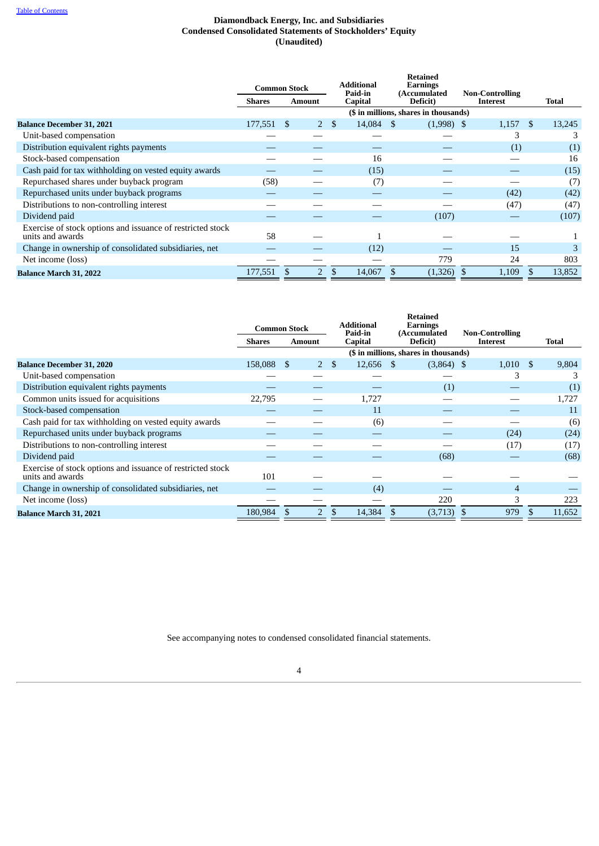# **Diamondback Energy, Inc. and Subsidiaries Condensed Consolidated Statements of Stockholders' Equity (Unaudited)**

|                                                                                | <b>Common Stock</b>     |                |               | <b>Additional</b><br>Paid-in | <b>Retained</b><br>Earnings<br>(Accumulated | <b>Non-Controlling</b> |                |        |  |
|--------------------------------------------------------------------------------|-------------------------|----------------|---------------|------------------------------|---------------------------------------------|------------------------|----------------|--------|--|
|                                                                                | Shares<br><b>Amount</b> |                |               | <b>Capital</b>               | Deficit)                                    | Interest               |                | Total  |  |
|                                                                                |                         |                |               |                              | (\$ in millions, shares in thousands)       |                        |                |        |  |
| <b>Balance December 31, 2021</b>                                               | 177,551 \$              | $2^{\circ}$    | <sup>\$</sup> | 14,084 \$                    | $(1,998)$ \$                                | 1,157                  | $\mathfrak{S}$ | 13,245 |  |
| Unit-based compensation                                                        |                         |                |               |                              |                                             | З                      |                | З      |  |
| Distribution equivalent rights payments                                        |                         |                |               |                              |                                             | (1)                    |                | (1)    |  |
| Stock-based compensation                                                       |                         |                |               | 16                           |                                             |                        |                | 16     |  |
| Cash paid for tax withholding on vested equity awards                          |                         |                |               | (15)                         |                                             |                        |                | (15)   |  |
| Repurchased shares under buyback program                                       | (58)                    |                |               | (7)                          |                                             |                        |                | (7)    |  |
| Repurchased units under buyback programs                                       |                         |                |               |                              |                                             | (42)                   |                | (42)   |  |
| Distributions to non-controlling interest                                      |                         |                |               |                              |                                             | (47)                   |                | (47)   |  |
| Dividend paid                                                                  |                         |                |               |                              | (107)                                       |                        |                | (107)  |  |
| Exercise of stock options and issuance of restricted stock<br>units and awards | 58                      |                |               |                              |                                             |                        |                |        |  |
| Change in ownership of consolidated subsidiaries, net                          |                         |                |               | (12)                         |                                             | 15                     |                | 3      |  |
| Net income (loss)                                                              |                         |                |               |                              | 779                                         | 24                     |                | 803    |  |
| <b>Balance March 31, 2022</b>                                                  | 177,551                 | $\overline{2}$ | \$            | 14,067                       | (1,326)                                     | 1,109                  |                | 13,852 |  |

|                                                                                | <b>Common Stock</b> |                |    | <b>Additional</b><br>Paid-in | <b>Retained</b><br><b>Earnings</b><br><b>(Accumulated)</b> | <b>Non-Controlling</b> |        |
|--------------------------------------------------------------------------------|---------------------|----------------|----|------------------------------|------------------------------------------------------------|------------------------|--------|
|                                                                                | <b>Shares</b>       | <b>Amount</b>  |    | <b>Capital</b>               | Deficit)                                                   | Interest               | Total  |
|                                                                                |                     |                |    |                              | (\$ in millions, shares in thousands)                      |                        |        |
| <b>Balance December 31, 2020</b>                                               | 158,088 \$          |                | 2S | 12,656 \$                    | $(3,864)$ \$                                               | $1,010$ \$             | 9,804  |
| Unit-based compensation                                                        |                     |                |    |                              |                                                            | З                      |        |
| Distribution equivalent rights payments                                        |                     |                |    |                              | (1)                                                        |                        | (1)    |
| Common units issued for acquisitions                                           | 22,795              |                |    | 1,727                        |                                                            |                        | 1,727  |
| Stock-based compensation                                                       |                     |                |    | 11                           |                                                            |                        | 11     |
| Cash paid for tax withholding on vested equity awards                          |                     |                |    | (6)                          |                                                            |                        | (6)    |
| Repurchased units under buyback programs                                       |                     |                |    |                              |                                                            | (24)                   | (24)   |
| Distributions to non-controlling interest                                      |                     |                |    |                              |                                                            | (17)                   | (17)   |
| Dividend paid                                                                  |                     |                |    |                              | (68)                                                       |                        | (68)   |
| Exercise of stock options and issuance of restricted stock<br>units and awards | 101                 |                |    |                              |                                                            |                        |        |
| Change in ownership of consolidated subsidiaries, net                          |                     |                |    | (4)                          |                                                            | 4                      |        |
| Net income (loss)                                                              |                     |                |    |                              | 220                                                        | 3                      | 223    |
| <b>Balance March 31, 2021</b>                                                  | 180,984 \$          | $\overline{2}$ | \$ | 14,384 \$                    | (3,713)                                                    | 979<br>-S              | 11,652 |

<span id="page-9-0"></span>See accompanying notes to condensed consolidated financial statements.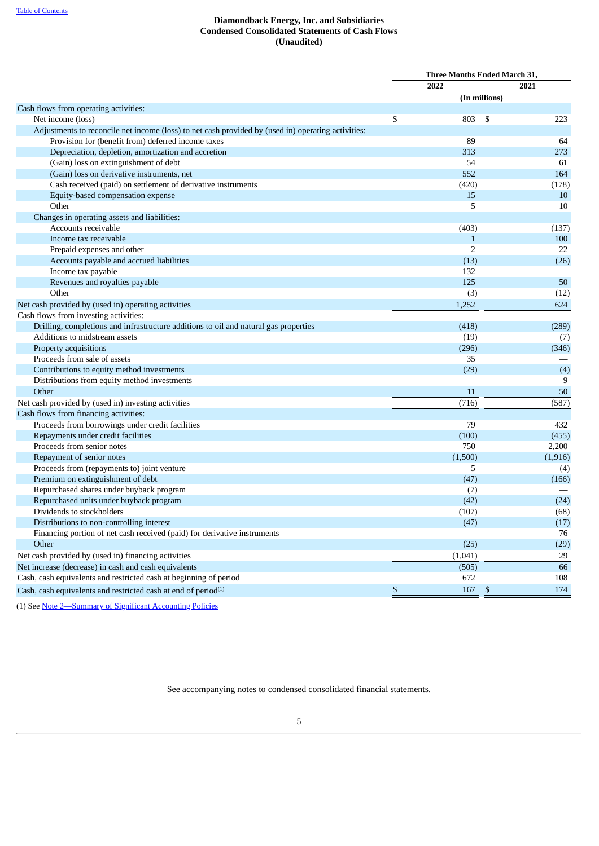# **Diamondback Energy, Inc. and Subsidiaries Condensed Consolidated Statements of Cash Flows (Unaudited)**

|                                                                                                    | Three Months Ended March 31, |                |               |          |
|----------------------------------------------------------------------------------------------------|------------------------------|----------------|---------------|----------|
|                                                                                                    |                              | 2022           |               | 2021     |
|                                                                                                    |                              |                | (In millions) |          |
| Cash flows from operating activities:                                                              |                              |                |               |          |
| Net income (loss)                                                                                  | \$                           | 803            | \$            | 223      |
| Adjustments to reconcile net income (loss) to net cash provided by (used in) operating activities: |                              |                |               |          |
| Provision for (benefit from) deferred income taxes                                                 |                              | 89             |               | 64       |
| Depreciation, depletion, amortization and accretion                                                |                              | 313            |               | 273      |
| (Gain) loss on extinguishment of debt                                                              |                              | 54             |               | 61       |
| (Gain) loss on derivative instruments, net                                                         |                              | 552            |               | 164      |
| Cash received (paid) on settlement of derivative instruments                                       |                              | (420)          |               | (178)    |
| Equity-based compensation expense                                                                  |                              | 15             |               | 10       |
| Other                                                                                              |                              | 5              |               | 10       |
| Changes in operating assets and liabilities:                                                       |                              |                |               |          |
| Accounts receivable                                                                                |                              | (403)          |               | (137)    |
| Income tax receivable                                                                              |                              | $\mathbf{1}$   |               | 100      |
| Prepaid expenses and other                                                                         |                              | $\overline{2}$ |               | 22       |
| Accounts payable and accrued liabilities                                                           |                              | (13)           |               | (26)     |
| Income tax payable                                                                                 |                              | 132            |               |          |
| Revenues and royalties payable                                                                     |                              | 125            |               | 50       |
| Other                                                                                              |                              | (3)            |               | (12)     |
| Net cash provided by (used in) operating activities                                                |                              | 1,252          |               | 624      |
| Cash flows from investing activities:                                                              |                              |                |               |          |
| Drilling, completions and infrastructure additions to oil and natural gas properties               |                              | (418)          |               | (289)    |
| Additions to midstream assets                                                                      |                              | (19)           |               | (7)      |
| Property acquisitions                                                                              |                              | (296)          |               | (346)    |
| Proceeds from sale of assets                                                                       |                              | 35             |               |          |
| Contributions to equity method investments                                                         |                              | (29)           |               | (4)      |
| Distributions from equity method investments                                                       |                              |                |               | 9        |
| Other                                                                                              |                              | 11             |               | 50       |
| Net cash provided by (used in) investing activities                                                |                              | (716)          |               | (587)    |
| Cash flows from financing activities:                                                              |                              |                |               |          |
| Proceeds from borrowings under credit facilities                                                   |                              | 79             |               | 432      |
| Repayments under credit facilities                                                                 |                              | (100)          |               | (455)    |
| Proceeds from senior notes                                                                         |                              | 750            |               | 2,200    |
| Repayment of senior notes                                                                          |                              | (1,500)        |               | (1, 916) |
| Proceeds from (repayments to) joint venture                                                        |                              | 5              |               | (4)      |
| Premium on extinguishment of debt                                                                  |                              | (47)           |               | (166)    |
| Repurchased shares under buyback program                                                           |                              | (7)            |               |          |
| Repurchased units under buyback program                                                            |                              | (42)           |               | (24)     |
| Dividends to stockholders                                                                          |                              | (107)          |               | (68)     |
| Distributions to non-controlling interest                                                          |                              | (47)           |               | (17)     |
| Financing portion of net cash received (paid) for derivative instruments                           |                              |                |               | 76       |
| Other                                                                                              |                              | (25)           |               | (29)     |
| Net cash provided by (used in) financing activities                                                |                              | (1,041)        |               | 29       |
| Net increase (decrease) in cash and cash equivalents                                               |                              | (505)          |               | 66       |
| Cash, cash equivalents and restricted cash at beginning of period                                  |                              | 672            |               | 108      |
| Cash, cash equivalents and restricted cash at end of period <sup>(1)</sup>                         | \$                           | 167            | $\mathbb{S}$  | 174      |
|                                                                                                    |                              |                |               |          |

<span id="page-10-0"></span>(1) See [Note 2—Summary of Significant Accounting Policies](#page-11-0)

See accompanying notes to condensed consolidated financial statements.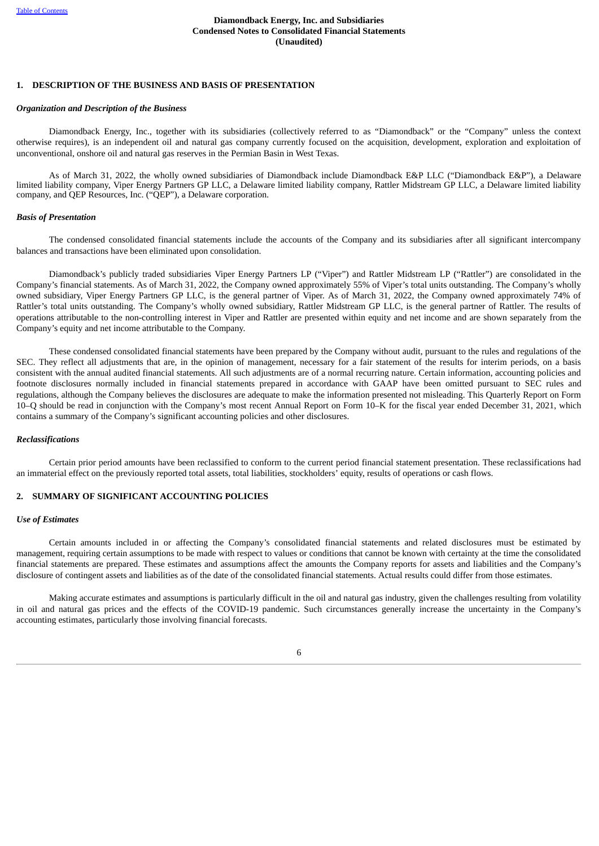# **1. DESCRIPTION OF THE BUSINESS AND BASIS OF PRESENTATION**

#### *Organization and Description of the Business*

Diamondback Energy, Inc., together with its subsidiaries (collectively referred to as "Diamondback" or the "Company" unless the context otherwise requires), is an independent oil and natural gas company currently focused on the acquisition, development, exploration and exploitation of unconventional, onshore oil and natural gas reserves in the Permian Basin in West Texas.

As of March 31, 2022, the wholly owned subsidiaries of Diamondback include Diamondback E&P LLC ("Diamondback E&P"), a Delaware limited liability company, Viper Energy Partners GP LLC, a Delaware limited liability company, Rattler Midstream GP LLC, a Delaware limited liability company, and QEP Resources, Inc. ("QEP"), a Delaware corporation.

#### *Basis of Presentation*

The condensed consolidated financial statements include the accounts of the Company and its subsidiaries after all significant intercompany balances and transactions have been eliminated upon consolidation.

Diamondback's publicly traded subsidiaries Viper Energy Partners LP ("Viper") and Rattler Midstream LP ("Rattler") are consolidated in the Company's financial statements. As of March 31, 2022, the Company owned approximately 55% of Viper's total units outstanding. The Company's wholly owned subsidiary, Viper Energy Partners GP LLC, is the general partner of Viper. As of March 31, 2022, the Company owned approximately 74% of Rattler's total units outstanding. The Company's wholly owned subsidiary, Rattler Midstream GP LLC, is the general partner of Rattler. The results of operations attributable to the non-controlling interest in Viper and Rattler are presented within equity and net income and are shown separately from the Company's equity and net income attributable to the Company.

These condensed consolidated financial statements have been prepared by the Company without audit, pursuant to the rules and regulations of the SEC. They reflect all adjustments that are, in the opinion of management, necessary for a fair statement of the results for interim periods, on a basis consistent with the annual audited financial statements. All such adjustments are of a normal recurring nature. Certain information, accounting policies and footnote disclosures normally included in financial statements prepared in accordance with GAAP have been omitted pursuant to SEC rules and regulations, although the Company believes the disclosures are adequate to make the information presented not misleading. This Quarterly Report on Form 10–Q should be read in conjunction with the Company's most recent Annual Report on Form 10–K for the fiscal year ended December 31, 2021, which contains a summary of the Company's significant accounting policies and other disclosures.

#### *Reclassifications*

Certain prior period amounts have been reclassified to conform to the current period financial statement presentation. These reclassifications had an immaterial effect on the previously reported total assets, total liabilities, stockholders' equity, results of operations or cash flows.

#### <span id="page-11-0"></span>**2. SUMMARY OF SIGNIFICANT ACCOUNTING POLICIES**

#### *Use of Estimates*

Certain amounts included in or affecting the Company's consolidated financial statements and related disclosures must be estimated by management, requiring certain assumptions to be made with respect to values or conditions that cannot be known with certainty at the time the consolidated financial statements are prepared. These estimates and assumptions affect the amounts the Company reports for assets and liabilities and the Company's disclosure of contingent assets and liabilities as of the date of the consolidated financial statements. Actual results could differ from those estimates.

Making accurate estimates and assumptions is particularly difficult in the oil and natural gas industry, given the challenges resulting from volatility in oil and natural gas prices and the effects of the COVID-19 pandemic. Such circumstances generally increase the uncertainty in the Company's accounting estimates, particularly those involving financial forecasts.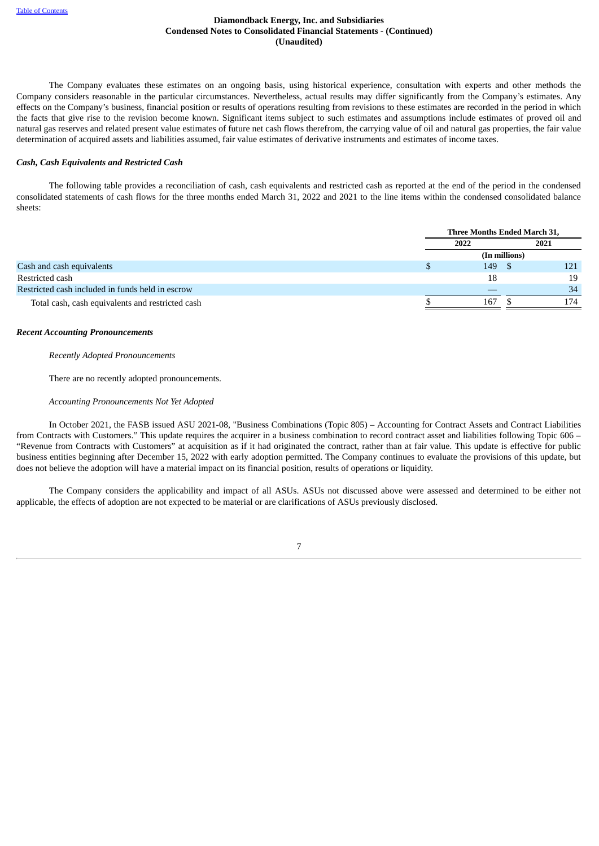The Company evaluates these estimates on an ongoing basis, using historical experience, consultation with experts and other methods the Company considers reasonable in the particular circumstances. Nevertheless, actual results may differ significantly from the Company's estimates. Any effects on the Company's business, financial position or results of operations resulting from revisions to these estimates are recorded in the period in which the facts that give rise to the revision become known. Significant items subject to such estimates and assumptions include estimates of proved oil and natural gas reserves and related present value estimates of future net cash flows therefrom, the carrying value of oil and natural gas properties, the fair value determination of acquired assets and liabilities assumed, fair value estimates of derivative instruments and estimates of income taxes.

#### *Cash, Cash Equivalents and Restricted Cash*

The following table provides a reconciliation of cash, cash equivalents and restricted cash as reported at the end of the period in the condensed consolidated statements of cash flows for the three months ended March 31, 2022 and 2021 to the line items within the condensed consolidated balance sheets:

|                                                  | Three Months Ended March 31, |               |      |  |
|--------------------------------------------------|------------------------------|---------------|------|--|
|                                                  | 2022                         |               | 2021 |  |
|                                                  |                              | (In millions) |      |  |
| Cash and cash equivalents                        | 149                          |               | 121  |  |
| Restricted cash                                  | 18                           |               | 19   |  |
| Restricted cash included in funds held in escrow |                              |               | 34   |  |
| Total cash, cash equivalents and restricted cash | 167                          |               | 174  |  |

#### *Recent Accounting Pronouncements*

*Recently Adopted Pronouncements*

There are no recently adopted pronouncements.

*Accounting Pronouncements Not Yet Adopted*

In October 2021, the FASB issued ASU 2021-08, "Business Combinations (Topic 805) – Accounting for Contract Assets and Contract Liabilities from Contracts with Customers." This update requires the acquirer in a business combination to record contract asset and liabilities following Topic 606 – "Revenue from Contracts with Customers" at acquisition as if it had originated the contract, rather than at fair value. This update is effective for public business entities beginning after December 15, 2022 with early adoption permitted. The Company continues to evaluate the provisions of this update, but does not believe the adoption will have a material impact on its financial position, results of operations or liquidity.

The Company considers the applicability and impact of all ASUs. ASUs not discussed above were assessed and determined to be either not applicable, the effects of adoption are not expected to be material or are clarifications of ASUs previously disclosed.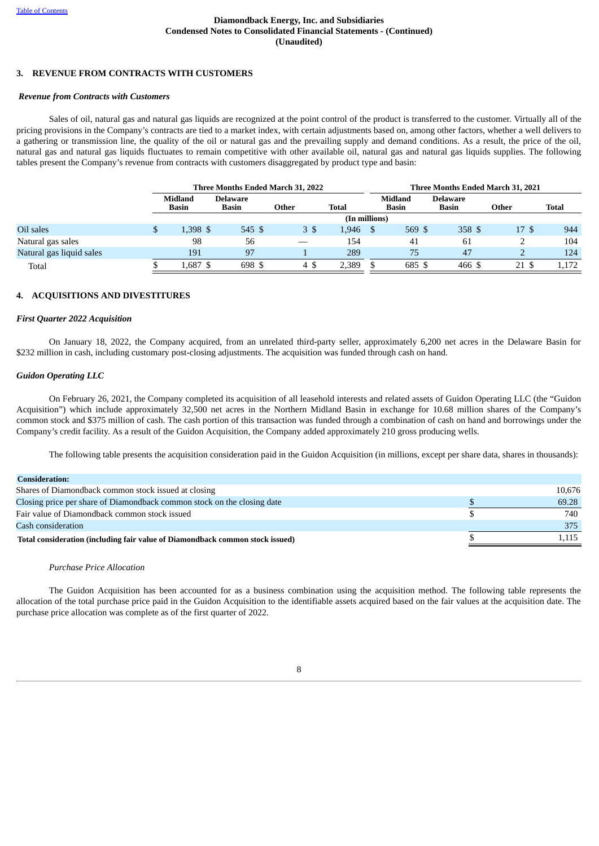# **3. REVENUE FROM CONTRACTS WITH CUSTOMERS**

#### *Revenue from Contracts with Customers*

Sales of oil, natural gas and natural gas liquids are recognized at the point control of the product is transferred to the customer. Virtually all of the pricing provisions in the Company's contracts are tied to a market index, with certain adjustments based on, among other factors, whether a well delivers to a gathering or transmission line, the quality of the oil or natural gas and the prevailing supply and demand conditions. As a result, the price of the oil, natural gas and natural gas liquids fluctuates to remain competitive with other available oil, natural gas and natural gas liquids supplies. The following tables present the Company's revenue from contracts with customers disaggregated by product type and basin:

|                          |   | Three Months Ended March 31, 2022 |                   |               |              |  |                         | Three Months Ended March 31, 2021 |       |              |
|--------------------------|---|-----------------------------------|-------------------|---------------|--------------|--|-------------------------|-----------------------------------|-------|--------------|
|                          |   | <b>Midland</b><br>Basin           | Delaware<br>Basin | Other         | <b>Total</b> |  | Midland<br><b>Basin</b> | <b>Delaware</b><br><b>Basin</b>   | Other | <b>Total</b> |
|                          |   |                                   |                   | (In millions) |              |  |                         |                                   |       |              |
| Oil sales                | ъ | 1.398 \$                          | 545 \$            | 3\$           | 1.946        |  | 569 \$                  | 358S                              | 17S   | 944          |
| Natural gas sales        |   | 98                                | 56                |               | 154          |  | 41                      | 61                                |       | 104          |
| Natural gas liquid sales |   | 191                               | 97                |               | 289          |  | 75                      | 47                                |       | 124          |
| Total                    |   | L.687 \$                          | 698 \$            | 4\$           | 2,389        |  | 685 \$                  | 466 \$                            | 21 \$ | 1,172        |

#### <span id="page-13-0"></span>**4. ACQUISITIONS AND DIVESTITURES**

#### *First Quarter 2022 Acquisition*

On January 18, 2022, the Company acquired, from an unrelated third-party seller, approximately 6,200 net acres in the Delaware Basin for \$232 million in cash, including customary post-closing adjustments. The acquisition was funded through cash on hand.

#### *Guidon Operating LLC*

On February 26, 2021, the Company completed its acquisition of all leasehold interests and related assets of Guidon Operating LLC (the "Guidon Acquisition") which include approximately 32,500 net acres in the Northern Midland Basin in exchange for 10.68 million shares of the Company's common stock and \$375 million of cash. The cash portion of this transaction was funded through a combination of cash on hand and borrowings under the Company's credit facility. As a result of the Guidon Acquisition, the Company added approximately 210 gross producing wells.

The following table presents the acquisition consideration paid in the Guidon Acquisition (in millions, except per share data, shares in thousands):

| <b>Consideration:</b>                                                         |        |
|-------------------------------------------------------------------------------|--------|
| Shares of Diamondback common stock issued at closing                          | 10.676 |
| Closing price per share of Diamondback common stock on the closing date       | 69.28  |
| Fair value of Diamondback common stock issued                                 | 740    |
| Cash consideration                                                            | 375    |
| Total consideration (including fair value of Diamondback common stock issued) | 1.115  |

#### *Purchase Price Allocation*

The Guidon Acquisition has been accounted for as a business combination using the acquisition method. The following table represents the allocation of the total purchase price paid in the Guidon Acquisition to the identifiable assets acquired based on the fair values at the acquisition date. The purchase price allocation was complete as of the first quarter of 2022.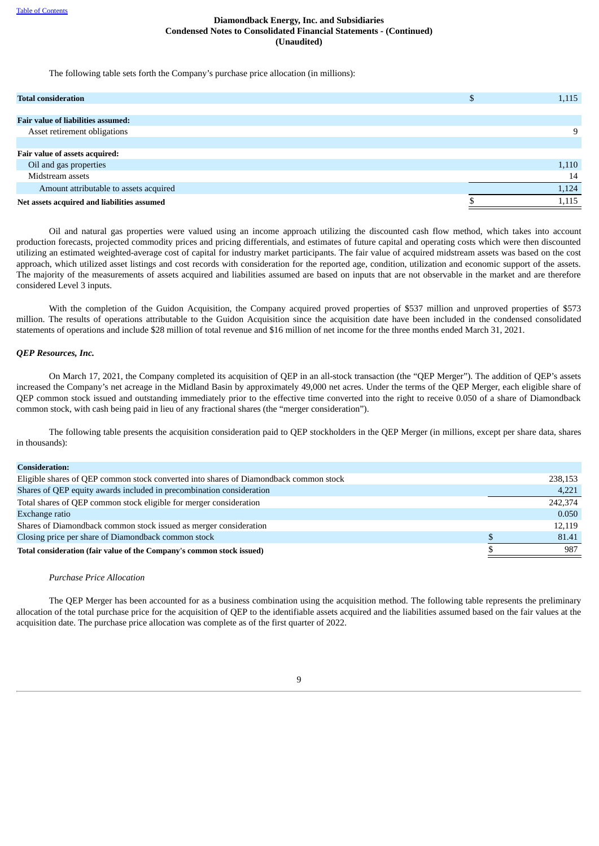The following table sets forth the Company's purchase price allocation (in millions):

| <b>Total consideration</b>                  | D | 1,115 |
|---------------------------------------------|---|-------|
|                                             |   |       |
| <b>Fair value of liabilities assumed:</b>   |   |       |
| Asset retirement obligations                |   |       |
|                                             |   |       |
| Fair value of assets acquired:              |   |       |
| Oil and gas properties                      |   | 1,110 |
| Midstream assets                            |   | 14    |
| Amount attributable to assets acquired      |   | 1,124 |
| Net assets acquired and liabilities assumed |   | 1,115 |

Oil and natural gas properties were valued using an income approach utilizing the discounted cash flow method, which takes into account production forecasts, projected commodity prices and pricing differentials, and estimates of future capital and operating costs which were then discounted utilizing an estimated weighted-average cost of capital for industry market participants. The fair value of acquired midstream assets was based on the cost approach, which utilized asset listings and cost records with consideration for the reported age, condition, utilization and economic support of the assets. The majority of the measurements of assets acquired and liabilities assumed are based on inputs that are not observable in the market and are therefore considered Level 3 inputs.

With the completion of the Guidon Acquisition, the Company acquired proved properties of \$537 million and unproved properties of \$573 million. The results of operations attributable to the Guidon Acquisition since the acquisition date have been included in the condensed consolidated statements of operations and include \$28 million of total revenue and \$16 million of net income for the three months ended March 31, 2021.

#### *QEP Resources, Inc.*

On March 17, 2021, the Company completed its acquisition of QEP in an all-stock transaction (the "QEP Merger"). The addition of QEP's assets increased the Company's net acreage in the Midland Basin by approximately 49,000 net acres. Under the terms of the QEP Merger, each eligible share of QEP common stock issued and outstanding immediately prior to the effective time converted into the right to receive 0.050 of a share of Diamondback common stock, with cash being paid in lieu of any fractional shares (the "merger consideration").

The following table presents the acquisition consideration paid to QEP stockholders in the QEP Merger (in millions, except per share data, shares in thousands):

| <b>Consideration:</b>                                                                 |         |
|---------------------------------------------------------------------------------------|---------|
| Eligible shares of QEP common stock converted into shares of Diamondback common stock | 238,153 |
| Shares of QEP equity awards included in precombination consideration                  | 4,221   |
| Total shares of QEP common stock eligible for merger consideration                    | 242,374 |
| Exchange ratio                                                                        | 0.050   |
| Shares of Diamondback common stock issued as merger consideration                     | 12,119  |
| Closing price per share of Diamondback common stock                                   | 81.41   |
| Total consideration (fair value of the Company's common stock issued)                 | 987     |
|                                                                                       |         |

#### *Purchase Price Allocation*

The QEP Merger has been accounted for as a business combination using the acquisition method. The following table represents the preliminary allocation of the total purchase price for the acquisition of QEP to the identifiable assets acquired and the liabilities assumed based on the fair values at the acquisition date. The purchase price allocation was complete as of the first quarter of 2022.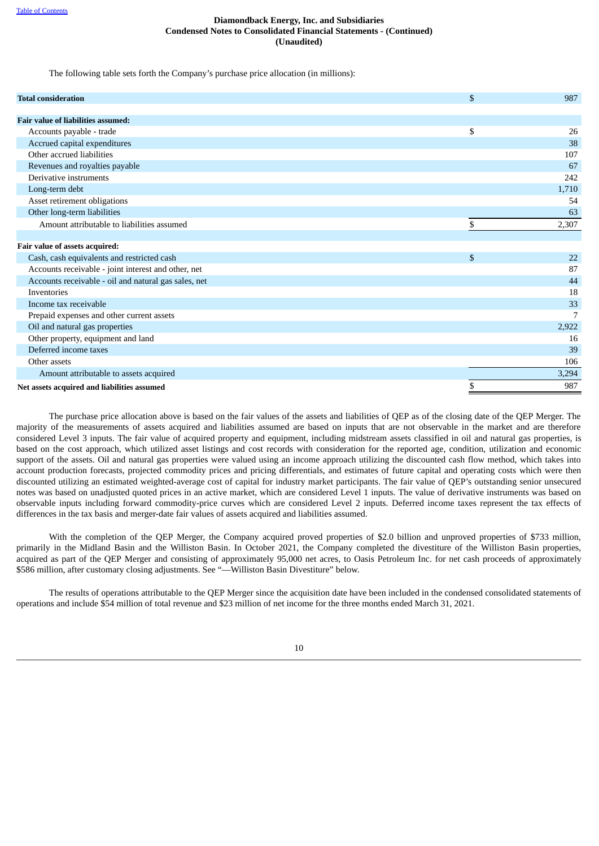The following table sets forth the Company's purchase price allocation (in millions):

| <b>Total consideration</b>                           | \$<br>987   |
|------------------------------------------------------|-------------|
| <b>Fair value of liabilities assumed:</b>            |             |
| Accounts payable - trade                             | \$<br>26    |
| Accrued capital expenditures                         | 38          |
| Other accrued liabilities                            | 107         |
| Revenues and royalties payable                       | 67          |
| Derivative instruments                               | 242         |
| Long-term debt                                       | 1,710       |
| Asset retirement obligations                         | 54          |
| Other long-term liabilities                          | 63          |
| Amount attributable to liabilities assumed           | \$<br>2,307 |
|                                                      |             |
| Fair value of assets acquired:                       |             |
| Cash, cash equivalents and restricted cash           | \$<br>22    |
| Accounts receivable - joint interest and other, net  | 87          |
| Accounts receivable - oil and natural gas sales, net | 44          |
| Inventories                                          | 18          |
| Income tax receivable                                | 33          |
| Prepaid expenses and other current assets            | 7           |
| Oil and natural gas properties                       | 2,922       |
| Other property, equipment and land                   | 16          |
| Deferred income taxes                                | 39          |
| Other assets                                         | 106         |
| Amount attributable to assets acquired               | 3,294       |
| Net assets acquired and liabilities assumed          | \$<br>987   |

The purchase price allocation above is based on the fair values of the assets and liabilities of QEP as of the closing date of the QEP Merger. The majority of the measurements of assets acquired and liabilities assumed are based on inputs that are not observable in the market and are therefore considered Level 3 inputs. The fair value of acquired property and equipment, including midstream assets classified in oil and natural gas properties, is based on the cost approach, which utilized asset listings and cost records with consideration for the reported age, condition, utilization and economic support of the assets. Oil and natural gas properties were valued using an income approach utilizing the discounted cash flow method, which takes into account production forecasts, projected commodity prices and pricing differentials, and estimates of future capital and operating costs which were then discounted utilizing an estimated weighted-average cost of capital for industry market participants. The fair value of QEP's outstanding senior unsecured notes was based on unadjusted quoted prices in an active market, which are considered Level 1 inputs. The value of derivative instruments was based on observable inputs including forward commodity-price curves which are considered Level 2 inputs. Deferred income taxes represent the tax effects of differences in the tax basis and merger-date fair values of assets acquired and liabilities assumed.

With the completion of the QEP Merger, the Company acquired proved properties of \$2.0 billion and unproved properties of \$733 million, primarily in the Midland Basin and the Williston Basin. In October 2021, the Company completed the divestiture of the Williston Basin properties, acquired as part of the QEP Merger and consisting of approximately 95,000 net acres, to Oasis Petroleum Inc. for net cash proceeds of approximately \$586 million, after customary closing adjustments. See "—Williston Basin Divestiture" below.

The results of operations attributable to the QEP Merger since the acquisition date have been included in the condensed consolidated statements of operations and include \$54 million of total revenue and \$23 million of net income for the three months ended March 31, 2021.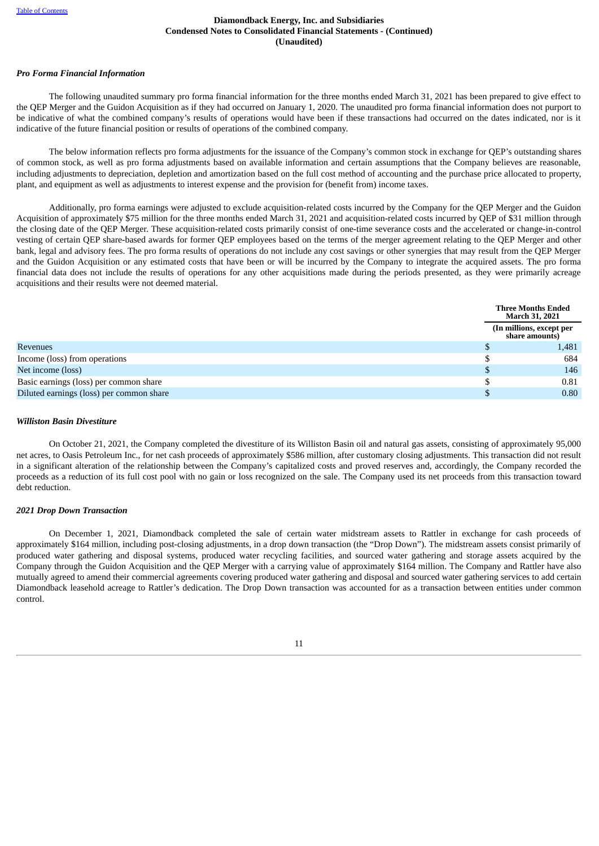# *Pro Forma Financial Information*

The following unaudited summary pro forma financial information for the three months ended March 31, 2021 has been prepared to give effect to the QEP Merger and the Guidon Acquisition as if they had occurred on January 1, 2020. The unaudited pro forma financial information does not purport to be indicative of what the combined company's results of operations would have been if these transactions had occurred on the dates indicated, nor is it indicative of the future financial position or results of operations of the combined company.

The below information reflects pro forma adjustments for the issuance of the Company's common stock in exchange for QEP's outstanding shares of common stock, as well as pro forma adjustments based on available information and certain assumptions that the Company believes are reasonable, including adjustments to depreciation, depletion and amortization based on the full cost method of accounting and the purchase price allocated to property, plant, and equipment as well as adjustments to interest expense and the provision for (benefit from) income taxes.

Additionally, pro forma earnings were adjusted to exclude acquisition-related costs incurred by the Company for the QEP Merger and the Guidon Acquisition of approximately \$75 million for the three months ended March 31, 2021 and acquisition-related costs incurred by QEP of \$31 million through the closing date of the QEP Merger. These acquisition-related costs primarily consist of one-time severance costs and the accelerated or change-in-control vesting of certain QEP share-based awards for former QEP employees based on the terms of the merger agreement relating to the QEP Merger and other bank, legal and advisory fees. The pro forma results of operations do not include any cost savings or other synergies that may result from the QEP Merger and the Guidon Acquisition or any estimated costs that have been or will be incurred by the Company to integrate the acquired assets. The pro forma financial data does not include the results of operations for any other acquisitions made during the periods presented, as they were primarily acreage acquisitions and their results were not deemed material.

|                                          | <b>Three Months Ended</b><br><b>March 31, 2021</b> |
|------------------------------------------|----------------------------------------------------|
|                                          | (In millions, except per<br>share amounts)         |
| <b>Revenues</b>                          | 1,481                                              |
| Income (loss) from operations            | 684                                                |
| Net income (loss)                        | 146                                                |
| Basic earnings (loss) per common share   | 0.81                                               |
| Diluted earnings (loss) per common share | 0.80                                               |

#### *Williston Basin Divestiture*

On October 21, 2021, the Company completed the divestiture of its Williston Basin oil and natural gas assets, consisting of approximately 95,000 net acres, to Oasis Petroleum Inc., for net cash proceeds of approximately \$586 million, after customary closing adjustments. This transaction did not result in a significant alteration of the relationship between the Company's capitalized costs and proved reserves and, accordingly, the Company recorded the proceeds as a reduction of its full cost pool with no gain or loss recognized on the sale. The Company used its net proceeds from this transaction toward debt reduction.

## *2021 Drop Down Transaction*

On December 1, 2021, Diamondback completed the sale of certain water midstream assets to Rattler in exchange for cash proceeds of approximately \$164 million, including post-closing adjustments, in a drop down transaction (the "Drop Down"). The midstream assets consist primarily of produced water gathering and disposal systems, produced water recycling facilities, and sourced water gathering and storage assets acquired by the Company through the Guidon Acquisition and the QEP Merger with a carrying value of approximately \$164 million. The Company and Rattler have also mutually agreed to amend their commercial agreements covering produced water gathering and disposal and sourced water gathering services to add certain Diamondback leasehold acreage to Rattler's dedication. The Drop Down transaction was accounted for as a transaction between entities under common control.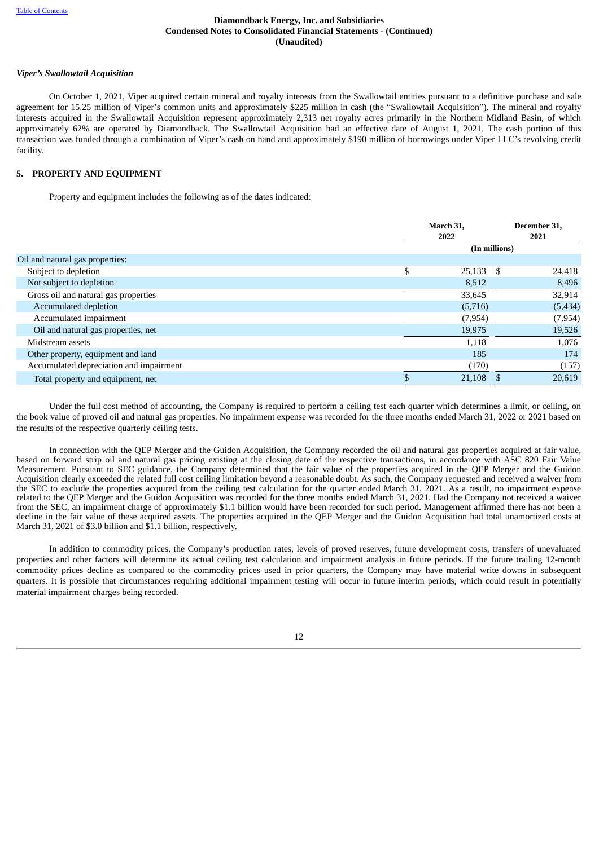#### *Viper's Swallowtail Acquisition*

On October 1, 2021, Viper acquired certain mineral and royalty interests from the Swallowtail entities pursuant to a definitive purchase and sale agreement for 15.25 million of Viper's common units and approximately \$225 million in cash (the "Swallowtail Acquisition"). The mineral and royalty interests acquired in the Swallowtail Acquisition represent approximately 2,313 net royalty acres primarily in the Northern Midland Basin, of which approximately 62% are operated by Diamondback. The Swallowtail Acquisition had an effective date of August 1, 2021. The cash portion of this transaction was funded through a combination of Viper's cash on hand and approximately \$190 million of borrowings under Viper LLC's revolving credit facility.

# <span id="page-17-0"></span>**5. PROPERTY AND EQUIPMENT**

Property and equipment includes the following as of the dates indicated:

|                                         | March 31,<br>2022 |               | December 31,<br>2021 |  |
|-----------------------------------------|-------------------|---------------|----------------------|--|
|                                         |                   | (In millions) |                      |  |
| Oil and natural gas properties:         |                   |               |                      |  |
| Subject to depletion                    | \$<br>$25,133$ \$ |               | 24,418               |  |
| Not subject to depletion                | 8,512             |               | 8,496                |  |
| Gross oil and natural gas properties    | 33,645            |               | 32,914               |  |
| Accumulated depletion                   | (5,716)           |               | (5,434)              |  |
| Accumulated impairment                  | (7,954)           |               | (7,954)              |  |
| Oil and natural gas properties, net     | 19,975            |               | 19,526               |  |
| Midstream assets                        | 1,118             |               | 1,076                |  |
| Other property, equipment and land      | 185               |               | 174                  |  |
| Accumulated depreciation and impairment | (170)             |               | (157)                |  |
| Total property and equipment, net       | 21,108            |               | 20,619               |  |

Under the full cost method of accounting, the Company is required to perform a ceiling test each quarter which determines a limit, or ceiling, on the book value of proved oil and natural gas properties. No impairment expense was recorded for the three months ended March 31, 2022 or 2021 based on the results of the respective quarterly ceiling tests.

In connection with the QEP Merger and the Guidon Acquisition, the Company recorded the oil and natural gas properties acquired at fair value, based on forward strip oil and natural gas pricing existing at the closing date of the respective transactions, in accordance with ASC 820 Fair Value Measurement. Pursuant to SEC guidance, the Company determined that the fair value of the properties acquired in the QEP Merger and the Guidon Acquisition clearly exceeded the related full cost ceiling limitation beyond a reasonable doubt. As such, the Company requested and received a waiver from the SEC to exclude the properties acquired from the ceiling test calculation for the quarter ended March 31, 2021. As a result, no impairment expense related to the QEP Merger and the Guidon Acquisition was recorded for the three months ended March 31, 2021. Had the Company not received a waiver from the SEC, an impairment charge of approximately \$1.1 billion would have been recorded for such period. Management affirmed there has not been a decline in the fair value of these acquired assets. The properties acquired in the QEP Merger and the Guidon Acquisition had total unamortized costs at March 31, 2021 of \$3.0 billion and \$1.1 billion, respectively.

In addition to commodity prices, the Company's production rates, levels of proved reserves, future development costs, transfers of unevaluated properties and other factors will determine its actual ceiling test calculation and impairment analysis in future periods. If the future trailing 12-month commodity prices decline as compared to the commodity prices used in prior quarters, the Company may have material write downs in subsequent quarters. It is possible that circumstances requiring additional impairment testing will occur in future interim periods, which could result in potentially material impairment charges being recorded.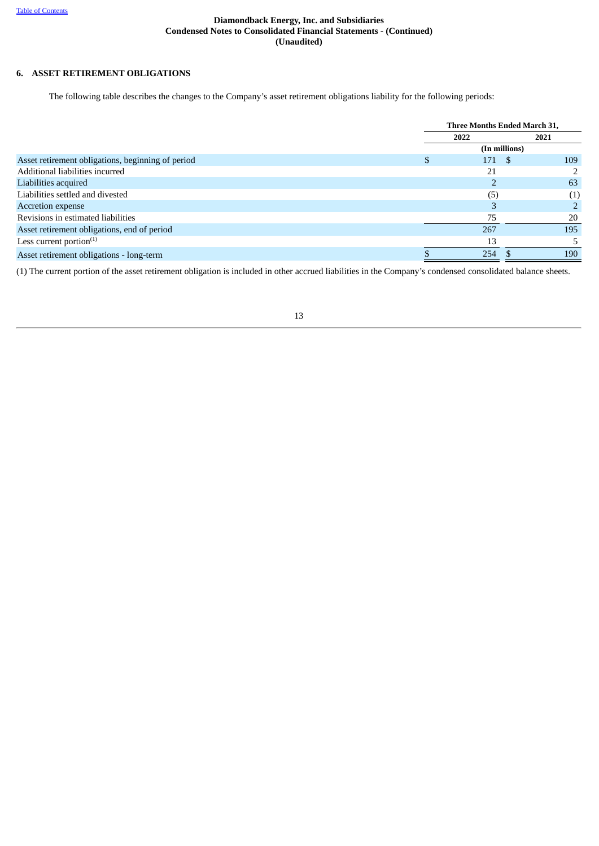# **6. ASSET RETIREMENT OBLIGATIONS**

The following table describes the changes to the Company's asset retirement obligations liability for the following periods:

|                                                   | Three Months Ended March 31, |               |  |      |
|---------------------------------------------------|------------------------------|---------------|--|------|
|                                                   | 2022                         |               |  | 2021 |
|                                                   |                              | (In millions) |  |      |
| Asset retirement obligations, beginning of period |                              | 171 \$        |  | 109  |
| Additional liabilities incurred                   |                              | 21            |  |      |
| Liabilities acquired                              |                              |               |  | 63   |
| Liabilities settled and divested                  |                              | (5)           |  | (1)  |
| Accretion expense                                 |                              |               |  |      |
| Revisions in estimated liabilities                |                              | 75            |  | 20   |
| Asset retirement obligations, end of period       |                              | 267           |  | 195  |
| Less current portion $(1)$                        |                              | 13            |  |      |
| Asset retirement obligations - long-term          |                              | 254           |  | 190  |

<span id="page-18-0"></span>(1) The current portion of the asset retirement obligation is included in other accrued liabilities in the Company's condensed consolidated balance sheets.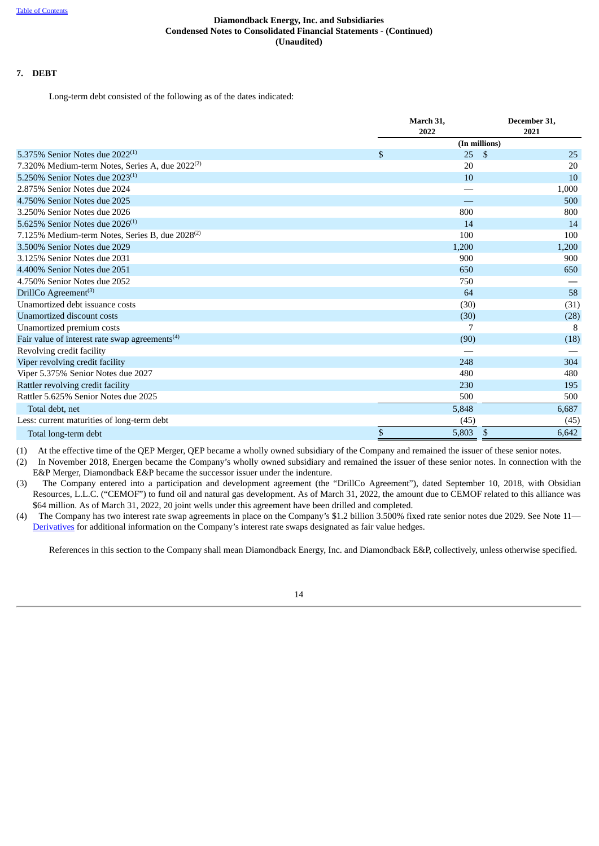# **7. DEBT**

Long-term debt consisted of the following as of the dates indicated:

|                                                             |              | March 31, | December 31,  |
|-------------------------------------------------------------|--------------|-----------|---------------|
|                                                             |              | 2022      | 2021          |
|                                                             |              |           | (In millions) |
| 5.375% Senior Notes due $2022^{(1)}$                        | $\mathbb{S}$ | 25        | -\$<br>25     |
| 7.320% Medium-term Notes, Series A, due $2022^{(2)}$        |              | 20        | 20            |
| 5.250% Senior Notes due $2023^{(1)}$                        |              | 10        | 10            |
| 2.875% Senior Notes due 2024                                |              |           | 1,000         |
| 4.750% Senior Notes due 2025                                |              |           | 500           |
| 3.250% Senior Notes due 2026                                |              | 800       | 800           |
| 5.625% Senior Notes due $2026^{(1)}$                        |              | 14        | 14            |
| 7.125% Medium-term Notes, Series B, due 2028 <sup>(2)</sup> |              | 100       | 100           |
| 3.500% Senior Notes due 2029                                |              | 1,200     | 1,200         |
| 3.125% Senior Notes due 2031                                |              | 900       | 900           |
| 4.400% Senior Notes due 2051                                |              | 650       | 650           |
| 4.750% Senior Notes due 2052                                |              | 750       |               |
| DrillCo Agreement <sup>(3)</sup>                            |              | 64        | 58            |
| Unamortized debt issuance costs                             |              | (30)      | (31)          |
| Unamortized discount costs                                  |              | (30)      | (28)          |
| Unamortized premium costs                                   |              | 7         | 8             |
| Fair value of interest rate swap agreements <sup>(4)</sup>  |              | (90)      | (18)          |
| Revolving credit facility                                   |              |           |               |
| Viper revolving credit facility                             |              | 248       | 304           |
| Viper 5.375% Senior Notes due 2027                          |              | 480       | 480           |
| Rattler revolving credit facility                           |              | 230       | 195           |
| Rattler 5.625% Senior Notes due 2025                        |              | 500       | 500           |
| Total debt, net                                             |              | 5,848     | 6,687         |
| Less: current maturities of long-term debt                  |              | (45)      | (45)          |
| Total long-term debt                                        | \$           | 5,803     | 6,642<br>\$   |

(1) At the effective time of the QEP Merger, QEP became a wholly owned subsidiary of the Company and remained the issuer of these senior notes.

(2) In November 2018, Energen became the Company's wholly owned subsidiary and remained the issuer of these senior notes. In connection with the E&P Merger, Diamondback E&P became the successor issuer under the indenture.

- (3) The Company entered into a participation and development agreement (the "DrillCo Agreement"), dated September 10, 2018, with Obsidian Resources, L.L.C. ("CEMOF") to fund oil and natural gas development. As of March 31, 2022, the amount due to CEMOF related to this alliance was \$64 million. As of March 31, 2022, 20 joint wells under this agreement have been drilled and completed.
- (4) The Company has two interest rate swap agreements in place on the Company's \$1.2 billion 3.500% fixed rate senior notes due 2029. See Note 11— [Derivatives](#page-24-0) for additional information on the Company's interest rate swaps designated as fair value hedges.

References in this section to the Company shall mean Diamondback Energy, Inc. and Diamondback E&P, collectively, unless otherwise specified.

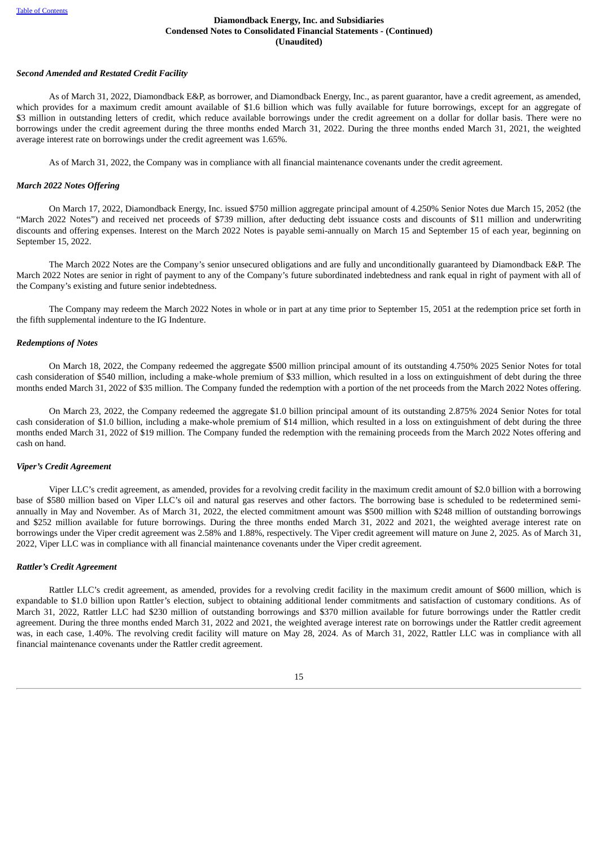#### *Second Amended and Restated Credit Facility*

As of March 31, 2022, Diamondback E&P, as borrower, and Diamondback Energy, Inc., as parent guarantor, have a credit agreement, as amended, which provides for a maximum credit amount available of \$1.6 billion which was fully available for future borrowings, except for an aggregate of \$3 million in outstanding letters of credit, which reduce available borrowings under the credit agreement on a dollar for dollar basis. There were no borrowings under the credit agreement during the three months ended March 31, 2022. During the three months ended March 31, 2021, the weighted average interest rate on borrowings under the credit agreement was 1.65%.

As of March 31, 2022, the Company was in compliance with all financial maintenance covenants under the credit agreement.

#### *March 2022 Notes Offering*

On March 17, 2022, Diamondback Energy, Inc. issued \$750 million aggregate principal amount of 4.250% Senior Notes due March 15, 2052 (the "March 2022 Notes") and received net proceeds of \$739 million, after deducting debt issuance costs and discounts of \$11 million and underwriting discounts and offering expenses. Interest on the March 2022 Notes is payable semi-annually on March 15 and September 15 of each year, beginning on September 15, 2022.

The March 2022 Notes are the Company's senior unsecured obligations and are fully and unconditionally guaranteed by Diamondback E&P. The March 2022 Notes are senior in right of payment to any of the Company's future subordinated indebtedness and rank equal in right of payment with all of the Company's existing and future senior indebtedness.

The Company may redeem the March 2022 Notes in whole or in part at any time prior to September 15, 2051 at the redemption price set forth in the fifth supplemental indenture to the IG Indenture.

#### *Redemptions of Notes*

On March 18, 2022, the Company redeemed the aggregate \$500 million principal amount of its outstanding 4.750% 2025 Senior Notes for total cash consideration of \$540 million, including a make-whole premium of \$33 million, which resulted in a loss on extinguishment of debt during the three months ended March 31, 2022 of \$35 million. The Company funded the redemption with a portion of the net proceeds from the March 2022 Notes offering.

On March 23, 2022, the Company redeemed the aggregate \$1.0 billion principal amount of its outstanding 2.875% 2024 Senior Notes for total cash consideration of \$1.0 billion, including a make-whole premium of \$14 million, which resulted in a loss on extinguishment of debt during the three months ended March 31, 2022 of \$19 million. The Company funded the redemption with the remaining proceeds from the March 2022 Notes offering and cash on hand.

#### *Viper's Credit Agreement*

Viper LLC's credit agreement, as amended, provides for a revolving credit facility in the maximum credit amount of \$2.0 billion with a borrowing base of \$580 million based on Viper LLC's oil and natural gas reserves and other factors. The borrowing base is scheduled to be redetermined semiannually in May and November. As of March 31, 2022, the elected commitment amount was \$500 million with \$248 million of outstanding borrowings and \$252 million available for future borrowings. During the three months ended March 31, 2022 and 2021, the weighted average interest rate on borrowings under the Viper credit agreement was 2.58% and 1.88%, respectively. The Viper credit agreement will mature on June 2, 2025. As of March 31, 2022, Viper LLC was in compliance with all financial maintenance covenants under the Viper credit agreement.

#### *Rattler's Credit Agreement*

Rattler LLC's credit agreement, as amended, provides for a revolving credit facility in the maximum credit amount of \$600 million, which is expandable to \$1.0 billion upon Rattler's election, subject to obtaining additional lender commitments and satisfaction of customary conditions. As of March 31, 2022, Rattler LLC had \$230 million of outstanding borrowings and \$370 million available for future borrowings under the Rattler credit agreement. During the three months ended March 31, 2022 and 2021, the weighted average interest rate on borrowings under the Rattler credit agreement was, in each case, 1.40%. The revolving credit facility will mature on May 28, 2024. As of March 31, 2022, Rattler LLC was in compliance with all financial maintenance covenants under the Rattler credit agreement.

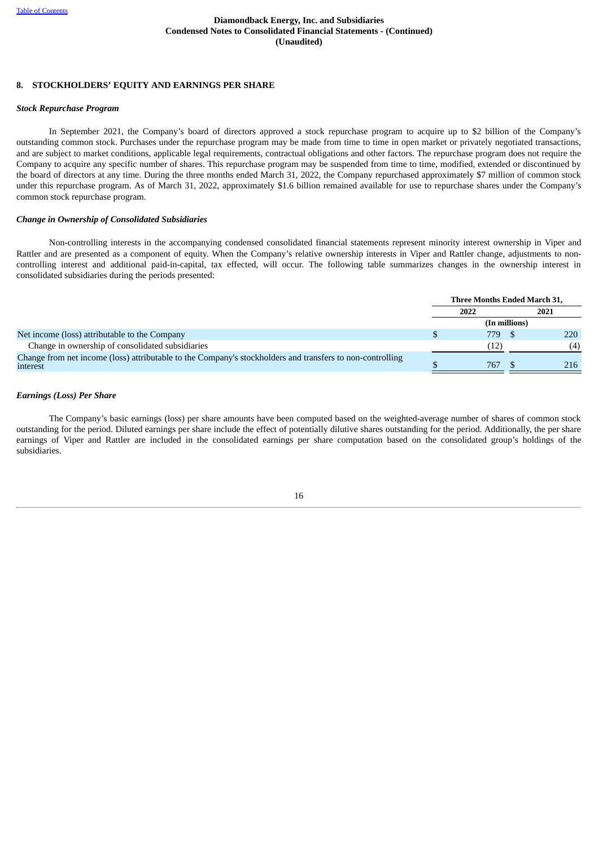# <span id="page-21-0"></span>**8. STOCKHOLDERS' EQUITY AND EARNINGS PER SHARE**

#### *Stock Repurchase Program*

In September 2021, the Company's board of directors approved a stock repurchase program to acquire up to \$2 billion of the Company's outstanding common stock. Purchases under the repurchase program may be made from time to time in open market or privately negotiated transactions, and are subject to market conditions, applicable legal requirements, contractual obligations and other factors. The repurchase program does not require the Company to acquire any specific number of shares. This repurchase program may be suspended from time to time, modified, extended or discontinued by the board of directors at any time. During the three months ended March 31, 2022, the Company repurchased approximately \$7 million of common stock under this repurchase program. As of March 31, 2022, approximately \$1.6 billion remained available for use to repurchase shares under the Company's common stock repurchase program.

#### *Change in Ownership of Consolidated Subsidiaries*

Non-controlling interests in the accompanying condensed consolidated financial statements represent minority interest ownership in Viper and Rattler and are presented as a component of equity. When the Company's relative ownership interests in Viper and Rattler change, adjustments to noncontrolling interest and additional paid-in-capital, tax effected, will occur. The following table summarizes changes in the ownership interest in consolidated subsidiaries during the periods presented:

|                                                                                                                       | Three Months Ended March 31, |               |  |      |  |
|-----------------------------------------------------------------------------------------------------------------------|------------------------------|---------------|--|------|--|
|                                                                                                                       | 2022                         |               |  | 2021 |  |
|                                                                                                                       |                              | (In millions) |  |      |  |
| Net income (loss) attributable to the Company                                                                         |                              | 779.          |  | 220  |  |
| Change in ownership of consolidated subsidiaries                                                                      |                              | (12)          |  | (4)  |  |
| Change from net income (loss) attributable to the Company's stockholders and transfers to non-controlling<br>interest |                              | 767           |  | 216  |  |

#### *Earnings (Loss) Per Share*

The Company's basic earnings (loss) per share amounts have been computed based on the weighted-average number of shares of common stock outstanding for the period. Diluted earnings per share include the effect of potentially dilutive shares outstanding for the period. Additionally, the per share earnings of Viper and Rattler are included in the consolidated earnings per share computation based on the consolidated group's holdings of the subsidiaries.

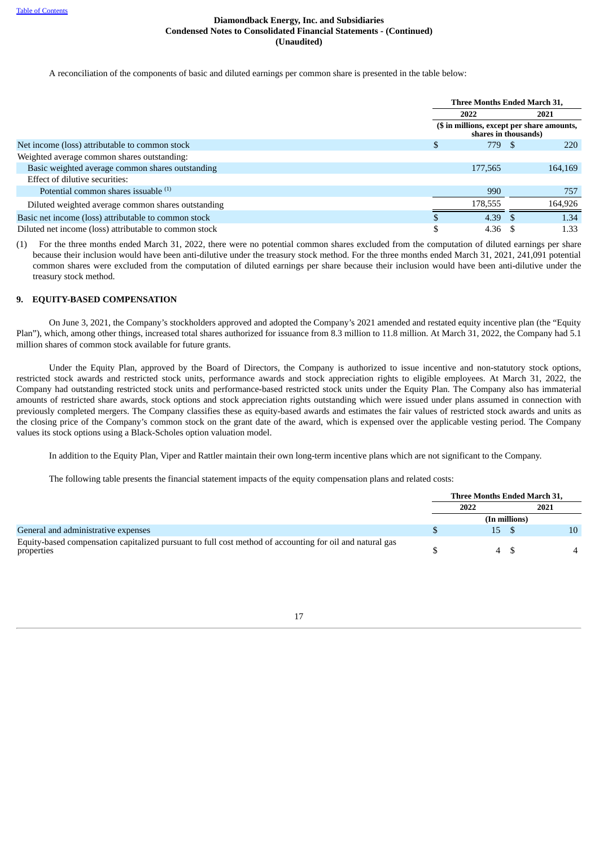A reconciliation of the components of basic and diluted earnings per common share is presented in the table below:

|                                                        | Three Months Ended March 31,                                       |  |            |  |
|--------------------------------------------------------|--------------------------------------------------------------------|--|------------|--|
|                                                        | 2022                                                               |  | 2021       |  |
|                                                        | (\$ in millions, except per share amounts,<br>shares in thousands) |  |            |  |
| Net income (loss) attributable to common stock         | 779                                                                |  | <b>220</b> |  |
| Weighted average common shares outstanding:            |                                                                    |  |            |  |
| Basic weighted average common shares outstanding       | 177,565                                                            |  | 164,169    |  |
| Effect of dilutive securities:                         |                                                                    |  |            |  |
| Potential common shares issuable <sup>(1)</sup>        | 990                                                                |  | 757        |  |
| Diluted weighted average common shares outstanding     | 178,555                                                            |  | 164,926    |  |
| Basic net income (loss) attributable to common stock   | 4.39                                                               |  | 1.34       |  |
| Diluted net income (loss) attributable to common stock | 4.36                                                               |  | 1.33       |  |

(1) For the three months ended March 31, 2022, there were no potential common shares excluded from the computation of diluted earnings per share because their inclusion would have been anti-dilutive under the treasury stock method. For the three months ended March 31, 2021, 241,091 potential common shares were excluded from the computation of diluted earnings per share because their inclusion would have been anti-dilutive under the treasury stock method.

#### **9. EQUITY-BASED COMPENSATION**

On June 3, 2021, the Company's stockholders approved and adopted the Company's 2021 amended and restated equity incentive plan (the "Equity Plan"), which, among other things, increased total shares authorized for issuance from 8.3 million to 11.8 million. At March 31, 2022, the Company had 5.1 million shares of common stock available for future grants.

Under the Equity Plan, approved by the Board of Directors, the Company is authorized to issue incentive and non-statutory stock options, restricted stock awards and restricted stock units, performance awards and stock appreciation rights to eligible employees. At March 31, 2022, the Company had outstanding restricted stock units and performance-based restricted stock units under the Equity Plan. The Company also has immaterial amounts of restricted share awards, stock options and stock appreciation rights outstanding which were issued under plans assumed in connection with previously completed mergers. The Company classifies these as equity-based awards and estimates the fair values of restricted stock awards and units as the closing price of the Company's common stock on the grant date of the award, which is expensed over the applicable vesting period. The Company values its stock options using a Black-Scholes option valuation model.

In addition to the Equity Plan, Viper and Rattler maintain their own long-term incentive plans which are not significant to the Company.

The following table presents the financial statement impacts of the equity compensation plans and related costs:

|                                                                                                                        | Three Months Ended March 31, |                 |      |    |
|------------------------------------------------------------------------------------------------------------------------|------------------------------|-----------------|------|----|
|                                                                                                                        | 2022                         |                 | 2021 |    |
|                                                                                                                        |                              | (In millions)   |      |    |
| General and administrative expenses                                                                                    |                              | 15 <sub>l</sub> |      | 10 |
| Equity-based compensation capitalized pursuant to full cost method of accounting for oil and natural gas<br>properties |                              |                 |      |    |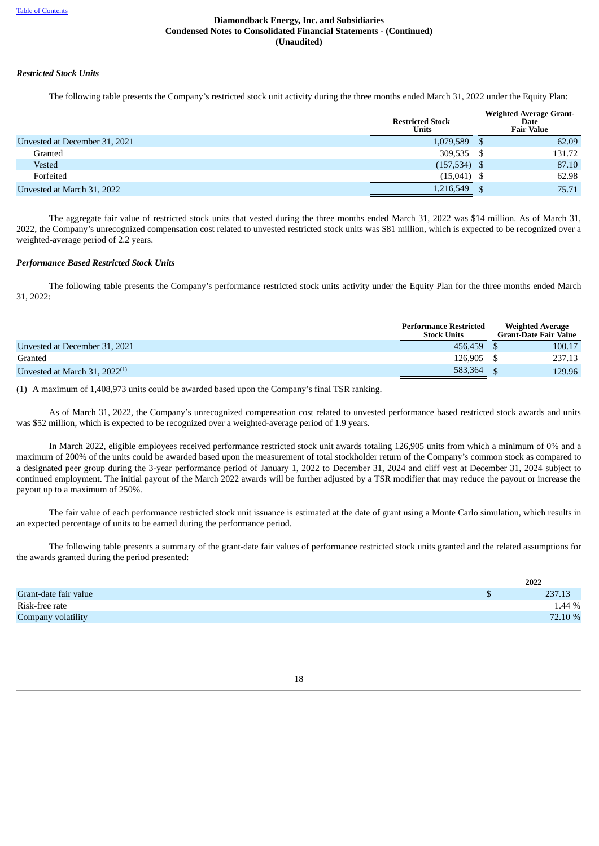### *Restricted Stock Units*

The following table presents the Company's restricted stock unit activity during the three months ended March 31, 2022 under the Equity Plan:

|                               | <b>Restricted Stock</b><br><b>Units</b> |      | <b>Weighted Average Grant-</b><br>Date<br><b>Fair Value</b> |
|-------------------------------|-----------------------------------------|------|-------------------------------------------------------------|
| Unvested at December 31, 2021 | 1,079,589                               |      | 62.09                                                       |
| Granted                       | 309,535                                 | - \$ | 131.72                                                      |
| Vested                        | $(157,534)$ \$                          |      | 87.10                                                       |
| Forfeited                     | $(15,041)$ \$                           |      | 62.98                                                       |
| Unvested at March 31, 2022    | 1,216,549                               |      | 75.71                                                       |

The aggregate fair value of restricted stock units that vested during the three months ended March 31, 2022 was \$14 million. As of March 31, 2022, the Company's unrecognized compensation cost related to unvested restricted stock units was \$81 million, which is expected to be recognized over a weighted-average period of 2.2 years.

#### *Performance Based Restricted Stock Units*

The following table presents the Company's performance restricted stock units activity under the Equity Plan for the three months ended March 31, 2022:

|                                    | <b>Performance Restricted</b><br><b>Stock Units</b> | <b>Weighted Average</b><br><b>Grant-Date Fair Value</b> |
|------------------------------------|-----------------------------------------------------|---------------------------------------------------------|
| Unvested at December 31, 2021      | 456,459                                             | 100.17                                                  |
| Granted                            | 126.905                                             | 237.13                                                  |
| Unvested at March 31, $2022^{(1)}$ | 583,364                                             | 129.96                                                  |

(1) A maximum of 1,408,973 units could be awarded based upon the Company's final TSR ranking.

As of March 31, 2022, the Company's unrecognized compensation cost related to unvested performance based restricted stock awards and units was \$52 million, which is expected to be recognized over a weighted-average period of 1.9 years.

In March 2022, eligible employees received performance restricted stock unit awards totaling 126,905 units from which a minimum of 0% and a maximum of 200% of the units could be awarded based upon the measurement of total stockholder return of the Company's common stock as compared to a designated peer group during the 3-year performance period of January 1, 2022 to December 31, 2024 and cliff vest at December 31, 2024 subject to continued employment. The initial payout of the March 2022 awards will be further adjusted by a TSR modifier that may reduce the payout or increase the payout up to a maximum of 250%.

The fair value of each performance restricted stock unit issuance is estimated at the date of grant using a Monte Carlo simulation, which results in an expected percentage of units to be earned during the performance period.

The following table presents a summary of the grant-date fair values of performance restricted stock units granted and the related assumptions for the awards granted during the period presented:

<span id="page-23-0"></span>

|                       | 2022    |
|-----------------------|---------|
| Grant-date fair value | 237.13  |
| Risk-free rate        | 1.44 %  |
| Company volatility    | 72.10 % |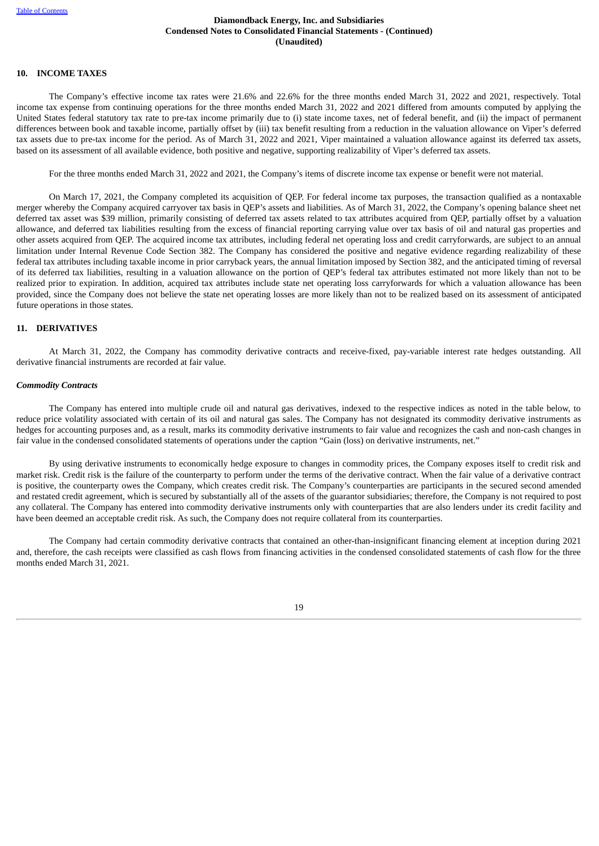# **10. INCOME TAXES**

The Company's effective income tax rates were 21.6% and 22.6% for the three months ended March 31, 2022 and 2021, respectively. Total income tax expense from continuing operations for the three months ended March 31, 2022 and 2021 differed from amounts computed by applying the United States federal statutory tax rate to pre-tax income primarily due to (i) state income taxes, net of federal benefit, and (ii) the impact of permanent differences between book and taxable income, partially offset by (iii) tax benefit resulting from a reduction in the valuation allowance on Viper's deferred tax assets due to pre-tax income for the period. As of March 31, 2022 and 2021, Viper maintained a valuation allowance against its deferred tax assets, based on its assessment of all available evidence, both positive and negative, supporting realizability of Viper's deferred tax assets.

For the three months ended March 31, 2022 and 2021, the Company's items of discrete income tax expense or benefit were not material.

On March 17, 2021, the Company completed its acquisition of QEP. For federal income tax purposes, the transaction qualified as a nontaxable merger whereby the Company acquired carryover tax basis in QEP's assets and liabilities. As of March 31, 2022, the Company's opening balance sheet net deferred tax asset was \$39 million, primarily consisting of deferred tax assets related to tax attributes acquired from QEP, partially offset by a valuation allowance, and deferred tax liabilities resulting from the excess of financial reporting carrying value over tax basis of oil and natural gas properties and other assets acquired from QEP. The acquired income tax attributes, including federal net operating loss and credit carryforwards, are subject to an annual limitation under Internal Revenue Code Section 382. The Company has considered the positive and negative evidence regarding realizability of these federal tax attributes including taxable income in prior carryback years, the annual limitation imposed by Section 382, and the anticipated timing of reversal of its deferred tax liabilities, resulting in a valuation allowance on the portion of QEP's federal tax attributes estimated not more likely than not to be realized prior to expiration. In addition, acquired tax attributes include state net operating loss carryforwards for which a valuation allowance has been provided, since the Company does not believe the state net operating losses are more likely than not to be realized based on its assessment of anticipated future operations in those states.

#### <span id="page-24-0"></span>**11. DERIVATIVES**

At March 31, 2022, the Company has commodity derivative contracts and receive-fixed, pay-variable interest rate hedges outstanding. All derivative financial instruments are recorded at fair value.

#### *Commodity Contracts*

The Company has entered into multiple crude oil and natural gas derivatives, indexed to the respective indices as noted in the table below, to reduce price volatility associated with certain of its oil and natural gas sales. The Company has not designated its commodity derivative instruments as hedges for accounting purposes and, as a result, marks its commodity derivative instruments to fair value and recognizes the cash and non-cash changes in fair value in the condensed consolidated statements of operations under the caption "Gain (loss) on derivative instruments, net."

By using derivative instruments to economically hedge exposure to changes in commodity prices, the Company exposes itself to credit risk and market risk. Credit risk is the failure of the counterparty to perform under the terms of the derivative contract. When the fair value of a derivative contract is positive, the counterparty owes the Company, which creates credit risk. The Company's counterparties are participants in the secured second amended and restated credit agreement, which is secured by substantially all of the assets of the guarantor subsidiaries; therefore, the Company is not required to post any collateral. The Company has entered into commodity derivative instruments only with counterparties that are also lenders under its credit facility and have been deemed an acceptable credit risk. As such, the Company does not require collateral from its counterparties.

The Company had certain commodity derivative contracts that contained an other-than-insignificant financing element at inception during 2021 and, therefore, the cash receipts were classified as cash flows from financing activities in the condensed consolidated statements of cash flow for the three months ended March 31, 2021.

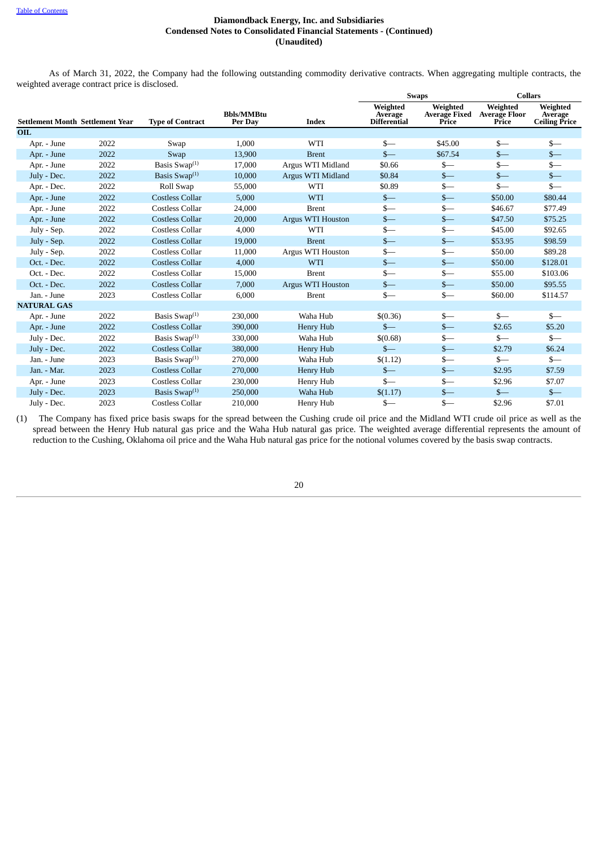As of March 31, 2022, the Company had the following outstanding commodity derivative contracts. When aggregating multiple contracts, the weighted average contract price is disclosed.

|                                         |      |                           |                              |                          | <b>Swaps</b>                               |                                           | <b>Collars</b>                            |                                             |
|-----------------------------------------|------|---------------------------|------------------------------|--------------------------|--------------------------------------------|-------------------------------------------|-------------------------------------------|---------------------------------------------|
| <b>Settlement Month Settlement Year</b> |      | <b>Type of Contract</b>   | <b>Bbls/MMBtu</b><br>Per Day | <b>Index</b>             | Weighted<br>Average<br><b>Differential</b> | Weighted<br><b>Average Fixed</b><br>Price | Weighted<br><b>Average Floor</b><br>Price | Weighted<br>Average<br><b>Ceiling Price</b> |
| OIL                                     |      |                           |                              |                          |                                            |                                           |                                           |                                             |
| Apr. - June                             | 2022 | Swap                      | 1,000                        | WTI                      | $s-$                                       | \$45.00                                   | $s-$                                      | $s-$                                        |
| Apr. - June                             | 2022 | Swap                      | 13,900                       | <b>Brent</b>             | $S-$                                       | \$67.54                                   | $s-$                                      | $s-$                                        |
| Apr. - June                             | 2022 | Basis Swap $(1)$          | 17,000                       | Argus WTI Midland        | \$0.66                                     | $s-$                                      | $s-$                                      | $s-$                                        |
| July - Dec.                             | 2022 | Basis Swap $(1)$          | 10,000                       | Argus WTI Midland        | \$0.84                                     | $s-$                                      | $s-$                                      | $s-$                                        |
| Apr. - Dec.                             | 2022 | Roll Swap                 | 55,000                       | WTI                      | \$0.89                                     | $_{s-}$                                   | $s-$                                      | $S-$                                        |
| Apr. - June                             | 2022 | <b>Costless Collar</b>    | 5,000                        | <b>WTI</b>               | $s-$                                       | $s-$                                      | \$50.00                                   | \$80.44                                     |
| Apr. - June                             | 2022 | <b>Costless Collar</b>    | 24,000                       | <b>Brent</b>             | \$—                                        | $s-$                                      | \$46.67                                   | \$77.49                                     |
| Apr. - June                             | 2022 | <b>Costless Collar</b>    | 20,000                       | <b>Argus WTI Houston</b> | $s-$                                       | $s-$                                      | \$47.50                                   | \$75.25                                     |
| July - Sep.                             | 2022 | <b>Costless Collar</b>    | 4,000                        | WTI                      | $S-$                                       | $s-$                                      | \$45.00                                   | \$92.65                                     |
| July - Sep.                             | 2022 | <b>Costless Collar</b>    | 19,000                       | <b>Brent</b>             | $S-$                                       | $s-$                                      | \$53.95                                   | \$98.59                                     |
| July - Sep.                             | 2022 | <b>Costless Collar</b>    | 11,000                       | Argus WTI Houston        | $s-$                                       | $s-$                                      | \$50.00                                   | \$89.28                                     |
| Oct. - Dec.                             | 2022 | <b>Costless Collar</b>    | 4,000                        | WTI                      | $S-$                                       | $s-$                                      | \$50.00                                   | \$128.01                                    |
| Oct. - Dec.                             | 2022 | <b>Costless Collar</b>    | 15,000                       | <b>Brent</b>             | \$—                                        | $s-$                                      | \$55.00                                   | \$103.06                                    |
| Oct. - Dec.                             | 2022 | <b>Costless Collar</b>    | 7,000                        | Argus WTI Houston        | $s-$                                       | $s-$                                      | \$50.00                                   | \$95.55                                     |
| Jan. - June                             | 2023 | <b>Costless Collar</b>    | 6,000                        | <b>Brent</b>             | $S-$                                       | $s-$                                      | \$60.00                                   | \$114.57                                    |
| <b>NATURAL GAS</b>                      |      |                           |                              |                          |                                            |                                           |                                           |                                             |
| Apr. - June                             | 2022 | Basis Swap $(1)$          | 230,000                      | Waha Hub                 | \$(0.36)                                   | $s-$                                      | $s-$                                      | $S-$                                        |
| Apr. - June                             | 2022 | <b>Costless Collar</b>    | 390,000                      | Henry Hub                | $S-$                                       | $s-$                                      | \$2.65                                    | \$5.20                                      |
| July - Dec.                             | 2022 | Basis Swap <sup>(1)</sup> | 330,000                      | Waha Hub                 | \$(0.68)                                   | \$—                                       | \$—                                       | $s-$                                        |
| July - Dec.                             | 2022 | <b>Costless Collar</b>    | 380,000                      | Henry Hub                | $S-$                                       | $s-$                                      | \$2.79                                    | \$6.24                                      |
| Jan. - June                             | 2023 | Basis Swap $(1)$          | 270,000                      | Waha Hub                 | \$(1.12)                                   | \$—                                       | $s-$                                      | $s-$                                        |
| Jan. - Mar.                             | 2023 | <b>Costless Collar</b>    | 270,000                      | Henry Hub                | $s-$                                       | $s-$                                      | \$2.95                                    | \$7.59                                      |
| Apr. - June                             | 2023 | <b>Costless Collar</b>    | 230,000                      | Henry Hub                | $S-$                                       | $s-$                                      | \$2.96                                    | \$7.07                                      |
| July - Dec.                             | 2023 | Basis Swap <sup>(1)</sup> | 250,000                      | Waha Hub                 | \$(1.17)                                   | $s-$                                      | $s-$                                      | $s-$                                        |
| July - Dec.                             | 2023 | Costless Collar           | 210,000                      | Henry Hub                | \$—                                        | $S-$                                      | \$2.96                                    | \$7.01                                      |

(1) The Company has fixed price basis swaps for the spread between the Cushing crude oil price and the Midland WTI crude oil price as well as the spread between the Henry Hub natural gas price and the Waha Hub natural gas price. The weighted average differential represents the amount of reduction to the Cushing, Oklahoma oil price and the Waha Hub natural gas price for the notional volumes covered by the basis swap contracts.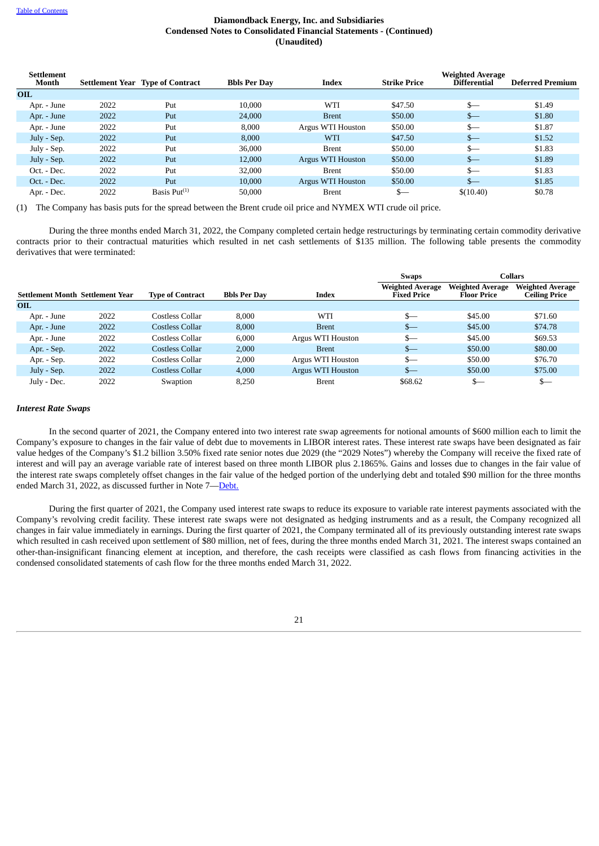| <b>Settlement</b><br>Month |      | <b>Settlement Year Type of Contract</b> | <b>Bbls Per Day</b> | <b>Index</b>      | <b>Strike Price</b> | <b>Weighted Average</b><br><b>Differential</b> | <b>Deferred Premium</b> |
|----------------------------|------|-----------------------------------------|---------------------|-------------------|---------------------|------------------------------------------------|-------------------------|
| <b>OIL</b>                 |      |                                         |                     |                   |                     |                                                |                         |
| Apr. - June                | 2022 | Put                                     | 10.000              | WTI               | \$47.50             | $S-$                                           | \$1.49                  |
| Apr. - June                | 2022 | Put                                     | 24,000              | <b>Brent</b>      | \$50.00             | $s-$                                           | \$1.80                  |
| Apr. - June                | 2022 | Put                                     | 8.000               | Argus WTI Houston | \$50.00             | $S-$                                           | \$1.87                  |
| July - Sep.                | 2022 | Put                                     | 8,000               | WTI               | \$47.50             | $S-$                                           | \$1.52                  |
| July - Sep.                | 2022 | Put                                     | 36,000              | <b>Brent</b>      | \$50.00             | $s-$                                           | \$1.83                  |
| July - Sep.                | 2022 | Put                                     | 12,000              | Argus WTI Houston | \$50.00             | $s-$                                           | \$1.89                  |
| Oct. - Dec.                | 2022 | Put                                     | 32,000              | <b>Brent</b>      | \$50.00             | $S-$                                           | \$1.83                  |
| Oct. - Dec.                | 2022 | Put                                     | 10,000              | Argus WTI Houston | \$50.00             | $s-$                                           | \$1.85                  |
| Apr. - Dec.                | 2022 | Basis $Put^{(1)}$                       | 50,000              | <b>Brent</b>      | $s-$                | \$(10,40)                                      | \$0.78                  |

(1) The Company has basis puts for the spread between the Brent crude oil price and NYMEX WTI crude oil price.

During the three months ended March 31, 2022, the Company completed certain hedge restructurings by terminating certain commodity derivative contracts prior to their contractual maturities which resulted in net cash settlements of \$135 million. The following table presents the commodity derivatives that were terminated:

|                                         |      |                         |                     |                   | Collars<br><b>Swaps</b>                |                                        |                                          |
|-----------------------------------------|------|-------------------------|---------------------|-------------------|----------------------------------------|----------------------------------------|------------------------------------------|
| <b>Settlement Month Settlement Year</b> |      | <b>Type of Contract</b> | <b>Bbls Per Day</b> | <b>Index</b>      | <b>Weighted Average</b><br>Fixed Price | <b>Weighted Average</b><br>Floor Price | <b>Weighted Average</b><br>Ceiling Price |
| <b>OIL</b>                              |      |                         |                     |                   |                                        |                                        |                                          |
| Apr. - June                             | 2022 | Costless Collar         | 8.000               | WTI               | $S-$                                   | \$45.00                                | \$71.60                                  |
| Apr. - June                             | 2022 | Costless Collar         | 8,000               | <b>Brent</b>      | $s-$                                   | \$45.00                                | \$74.78                                  |
| Apr. - June                             | 2022 | Costless Collar         | 6,000               | Argus WTI Houston | $s-$                                   | \$45.00                                | \$69.53                                  |
| Apr. - Sep.                             | 2022 | Costless Collar         | 2,000               | <b>Brent</b>      | $s-$                                   | \$50.00                                | \$80.00                                  |
| Apr. - Sep.                             | 2022 | Costless Collar         | 2,000               | Argus WTI Houston | $s-$                                   | \$50.00                                | \$76.70                                  |
| July - Sep.                             | 2022 | Costless Collar         | 4,000               | Argus WTI Houston | $s-$                                   | \$50.00                                | \$75.00                                  |
| July - Dec.                             | 2022 | Swaption                | 8,250               | <b>Brent</b>      | \$68.62                                | $S-$                                   | \$—                                      |

#### *Interest Rate Swaps*

In the second quarter of 2021, the Company entered into two interest rate swap agreements for notional amounts of \$600 million each to limit the Company's exposure to changes in the fair value of debt due to movements in LIBOR interest rates. These interest rate swaps have been designated as fair value hedges of the Company's \$1.2 billion 3.50% fixed rate senior notes due 2029 (the "2029 Notes") whereby the Company will receive the fixed rate of interest and will pay an average variable rate of interest based on three month LIBOR plus 2.1865%. Gains and losses due to changes in the fair value of the interest rate swaps completely offset changes in the fair value of the hedged portion of the underlying debt and totaled \$90 million for the three months ended March 31, 2022, as discussed further in Note 7—[Debt.](#page-18-0)

During the first quarter of 2021, the Company used interest rate swaps to reduce its exposure to variable rate interest payments associated with the Company's revolving credit facility. These interest rate swaps were not designated as hedging instruments and as a result, the Company recognized all changes in fair value immediately in earnings. During the first quarter of 2021, the Company terminated all of its previously outstanding interest rate swaps which resulted in cash received upon settlement of \$80 million, net of fees, during the three months ended March 31, 2021. The interest swaps contained an other-than-insignificant financing element at inception, and therefore, the cash receipts were classified as cash flows from financing activities in the condensed consolidated statements of cash flow for the three months ended March 31, 2022.

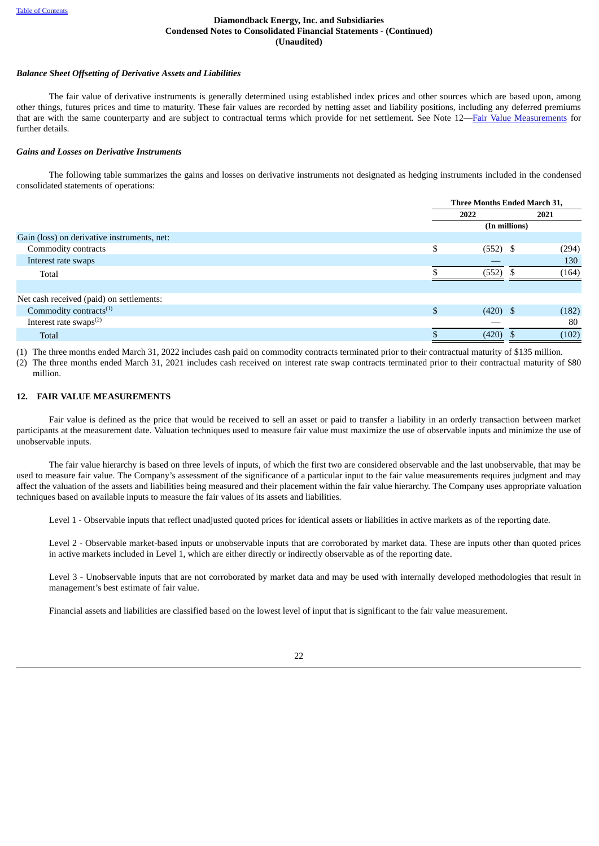#### *Balance Sheet Offsetting of Derivative Assets and Liabilities*

The fair value of derivative instruments is generally determined using established index prices and other sources which are based upon, among other things, futures prices and time to maturity. These fair values are recorded by netting asset and liability positions, including any deferred premiums that are with the same counterparty and are subject to contractual terms which provide for net settlement. See Note 12—Fair Value [Measurements](#page-27-0) for further details.

#### *Gains and Losses on Derivative Instruments*

The following table summarizes the gains and losses on derivative instruments not designated as hedging instruments included in the condensed consolidated statements of operations:

|                                             |                  | Three Months Ended March 31, |  |  |  |
|---------------------------------------------|------------------|------------------------------|--|--|--|
|                                             | 2022             | 2021                         |  |  |  |
|                                             |                  | (In millions)                |  |  |  |
| Gain (loss) on derivative instruments, net: |                  |                              |  |  |  |
| Commodity contracts                         | \$<br>$(552)$ \$ | (294)                        |  |  |  |
| Interest rate swaps                         |                  | 130                          |  |  |  |
| Total                                       | (552)            | (164)                        |  |  |  |
|                                             |                  |                              |  |  |  |
| Net cash received (paid) on settlements:    |                  |                              |  |  |  |
| Commodity contracts $(1)$                   | \$<br>$(420)$ \$ | (182)                        |  |  |  |
| Interest rate swaps <sup>(2)</sup>          |                  | 80                           |  |  |  |
| <b>Total</b>                                | $(420)$ \$       | (102)                        |  |  |  |
|                                             |                  |                              |  |  |  |

(1) The three months ended March 31, 2022 includes cash paid on commodity contracts terminated prior to their contractual maturity of \$135 million.

(2) The three months ended March 31, 2021 includes cash received on interest rate swap contracts terminated prior to their contractual maturity of \$80 million.

#### <span id="page-27-0"></span>**12. FAIR VALUE MEASUREMENTS**

Fair value is defined as the price that would be received to sell an asset or paid to transfer a liability in an orderly transaction between market participants at the measurement date. Valuation techniques used to measure fair value must maximize the use of observable inputs and minimize the use of unobservable inputs.

The fair value hierarchy is based on three levels of inputs, of which the first two are considered observable and the last unobservable, that may be used to measure fair value. The Company's assessment of the significance of a particular input to the fair value measurements requires judgment and may affect the valuation of the assets and liabilities being measured and their placement within the fair value hierarchy. The Company uses appropriate valuation techniques based on available inputs to measure the fair values of its assets and liabilities.

Level 1 - Observable inputs that reflect unadjusted quoted prices for identical assets or liabilities in active markets as of the reporting date.

Level 2 - Observable market-based inputs or unobservable inputs that are corroborated by market data. These are inputs other than quoted prices in active markets included in Level 1, which are either directly or indirectly observable as of the reporting date.

Level 3 - Unobservable inputs that are not corroborated by market data and may be used with internally developed methodologies that result in management's best estimate of fair value.

Financial assets and liabilities are classified based on the lowest level of input that is significant to the fair value measurement.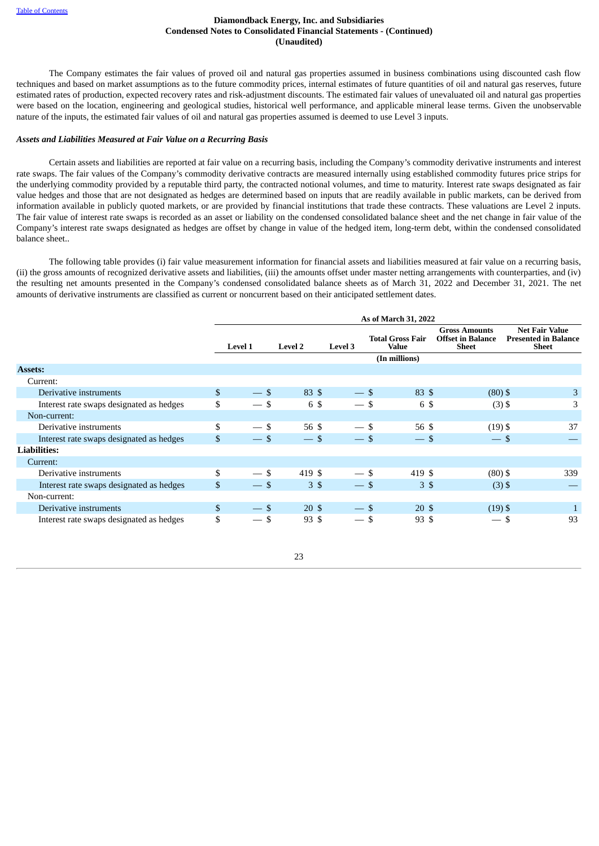The Company estimates the fair values of proved oil and natural gas properties assumed in business combinations using discounted cash flow techniques and based on market assumptions as to the future commodity prices, internal estimates of future quantities of oil and natural gas reserves, future estimated rates of production, expected recovery rates and risk-adjustment discounts. The estimated fair values of unevaluated oil and natural gas properties were based on the location, engineering and geological studies, historical well performance, and applicable mineral lease terms. Given the unobservable nature of the inputs, the estimated fair values of oil and natural gas properties assumed is deemed to use Level 3 inputs.

#### *Assets and Liabilities Measured at Fair Value on a Recurring Basis*

Certain assets and liabilities are reported at fair value on a recurring basis, including the Company's commodity derivative instruments and interest rate swaps. The fair values of the Company's commodity derivative contracts are measured internally using established commodity futures price strips for the underlying commodity provided by a reputable third party, the contracted notional volumes, and time to maturity. Interest rate swaps designated as fair value hedges and those that are not designated as hedges are determined based on inputs that are readily available in public markets, can be derived from information available in publicly quoted markets, or are provided by financial institutions that trade these contracts. These valuations are Level 2 inputs. The fair value of interest rate swaps is recorded as an asset or liability on the condensed consolidated balance sheet and the net change in fair value of the Company's interest rate swaps designated as hedges are offset by change in value of the hedged item, long-term debt, within the condensed consolidated balance sheet..

The following table provides (i) fair value measurement information for financial assets and liabilities measured at fair value on a recurring basis, (ii) the gross amounts of recognized derivative assets and liabilities, (iii) the amounts offset under master netting arrangements with counterparties, and (iv) the resulting net amounts presented in the Company's condensed consolidated balance sheets as of March 31, 2022 and December 31, 2021. The net amounts of derivative instruments are classified as current or noncurrent based on their anticipated settlement dates.

|                                          |                |                |                  |                | As of March 31, 2022                    |                                                                  |                                                                      |
|------------------------------------------|----------------|----------------|------------------|----------------|-----------------------------------------|------------------------------------------------------------------|----------------------------------------------------------------------|
|                                          |                | <b>Level 1</b> | <b>Level 2</b>   | <b>Level 3</b> | <b>Total Gross Fair</b><br><b>Value</b> | <b>Gross Amounts</b><br><b>Offset in Balance</b><br><b>Sheet</b> | <b>Net Fair Value</b><br><b>Presented in Balance</b><br><b>Sheet</b> |
|                                          |                |                |                  |                | (In millions)                           |                                                                  |                                                                      |
| <b>Assets:</b>                           |                |                |                  |                |                                         |                                                                  |                                                                      |
| Current:                                 |                |                |                  |                |                                         |                                                                  |                                                                      |
| Derivative instruments                   | $\mathbb{S}$   | $-$ \$         | 83 \$            | $-5$           | 83 \$                                   | $(80)$ \$                                                        | 3                                                                    |
| Interest rate swaps designated as hedges | \$             | $-5$           | 6 \$             | $-$ \$         | 6 \$                                    | $(3)$ \$                                                         | 3                                                                    |
| Non-current:                             |                |                |                  |                |                                         |                                                                  |                                                                      |
| Derivative instruments                   | \$             | $-$ \$         | 56 \$            | $-$ \$         | 56 \$                                   | $(19)$ \$                                                        | 37                                                                   |
| Interest rate swaps designated as hedges | $\mathfrak{L}$ | $-5$           | $-$ \$           | $-$ \$         | $-$ \$                                  | $-5$                                                             |                                                                      |
| <b>Liabilities:</b>                      |                |                |                  |                |                                         |                                                                  |                                                                      |
| Current:                                 |                |                |                  |                |                                         |                                                                  |                                                                      |
| Derivative instruments                   | \$             | $-$ \$         | 419 \$           | $-$ \$         | 419 \$                                  | $(80)$ \$                                                        | 339                                                                  |
| Interest rate swaps designated as hedges | \$             | $-5$           | 3 \$             | $-5$           | 3S                                      | $(3)$ \$                                                         |                                                                      |
| Non-current:                             |                |                |                  |                |                                         |                                                                  |                                                                      |
| Derivative instruments                   | $\mathfrak{S}$ | $-5$           | $20 \text{ }$ \$ | $-$ \$         | 20 \$                                   | $(19)$ \$                                                        |                                                                      |
| Interest rate swaps designated as hedges | \$             | $-5$           | 93 \$            | $-$ \$         | 93 \$                                   | $\overline{\phantom{m}}$                                         | 93<br>-S                                                             |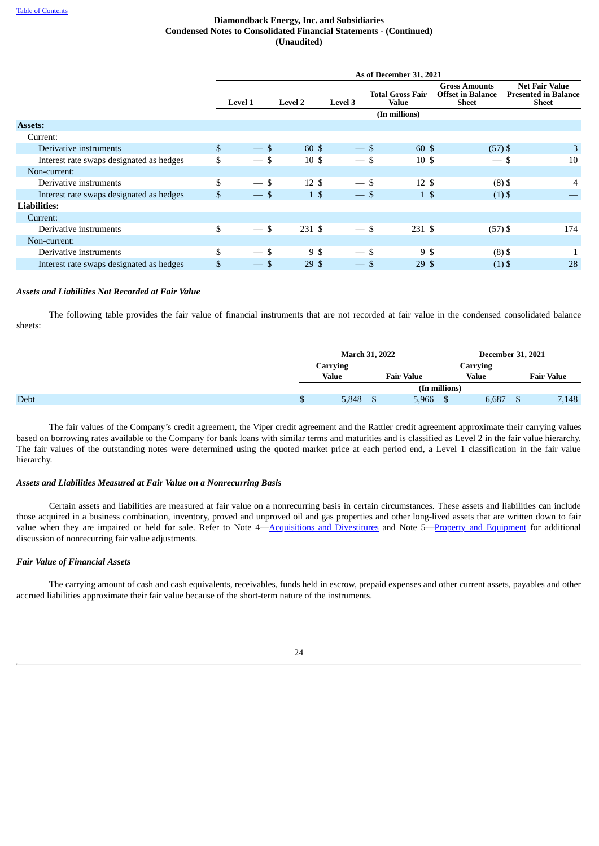|                                          |                |                                 |                  |                         | As of December 31, 2021          |                                                                  |                                                               |
|------------------------------------------|----------------|---------------------------------|------------------|-------------------------|----------------------------------|------------------------------------------------------------------|---------------------------------------------------------------|
|                                          |                | <b>Level 1</b>                  | <b>Level 2</b>   | <b>Level 3</b>          | <b>Total Gross Fair</b><br>Value | <b>Gross Amounts</b><br><b>Offset in Balance</b><br><b>Sheet</b> | <b>Net Fair Value</b><br><b>Presented in Balance</b><br>Sheet |
|                                          |                |                                 |                  |                         | (In millions)                    |                                                                  |                                                               |
| <b>Assets:</b>                           |                |                                 |                  |                         |                                  |                                                                  |                                                               |
| Current:                                 |                |                                 |                  |                         |                                  |                                                                  |                                                               |
| Derivative instruments                   | $\mathbb{S}$   | $-$ \$                          | 60 \$            | $-5$                    | 60 \$                            | $(57)$ \$                                                        | 3                                                             |
| Interest rate swaps designated as hedges | \$             | $-5$                            | 10S              | $-$ \$                  | 10 <sup>5</sup>                  | — \$                                                             | 10                                                            |
| Non-current:                             |                |                                 |                  |                         |                                  |                                                                  |                                                               |
| Derivative instruments                   | \$             | $-$ \$                          | $12 \text{ }$ \$ | $-$ \$                  | $12 \text{ }$ \$                 | $(8)$ \$                                                         | 4                                                             |
| Interest rate swaps designated as hedges | $\mathfrak{S}$ | $-$ \$                          | $1\sqrt{5}$      | $-$ \$                  | $1\,$ \$                         | $(1)$ \$                                                         |                                                               |
| <b>Liabilities:</b>                      |                |                                 |                  |                         |                                  |                                                                  |                                                               |
| Current:                                 |                |                                 |                  |                         |                                  |                                                                  |                                                               |
| Derivative instruments                   | \$             | $-$ \$                          | 231 \$           | $-$ \$                  | 231 \$                           | $(57)$ \$                                                        | 174                                                           |
| Non-current:                             |                |                                 |                  |                         |                                  |                                                                  |                                                               |
| Derivative instruments                   | \$             | $-$ \$                          | 9\$              | $-$ \$                  | 9 \$                             | $(8)$ \$                                                         |                                                               |
| Interest rate swaps designated as hedges | \$             | -\$<br>$\overline{\phantom{m}}$ | 29S              | \$<br>$\qquad \qquad -$ | 29 <sup>5</sup>                  | $(1)$ \$                                                         | 28                                                            |

## *Assets and Liabilities Not Recorded at Fair Value*

The following table provides the fair value of financial instruments that are not recorded at fair value in the condensed consolidated balance sheets:

|             |   | <b>March 31, 2022</b>                                |   |       | <b>December 31, 2021</b> |          |                   |       |
|-------------|---|------------------------------------------------------|---|-------|--------------------------|----------|-------------------|-------|
|             |   | <b>Carrying</b><br><b>Value</b><br><b>Fair Value</b> |   |       |                          | Carrying |                   |       |
|             |   |                                                      |   |       | <b>Value</b>             |          | <b>Fair Value</b> |       |
|             |   | (In millions)                                        |   |       |                          |          |                   |       |
| <b>Debt</b> | D | 5,848                                                | D | 5,966 |                          | 6,687    | D                 | 7,148 |

The fair values of the Company's credit agreement, the Viper credit agreement and the Rattler credit agreement approximate their carrying values based on borrowing rates available to the Company for bank loans with similar terms and maturities and is classified as Level 2 in the fair value hierarchy. The fair values of the outstanding notes were determined using the quoted market price at each period end, a Level 1 classification in the fair value hierarchy.

#### *Assets and Liabilities Measured at Fair Value on a Nonrecurring Basis*

Certain assets and liabilities are measured at fair value on a nonrecurring basis in certain circumstances. These assets and liabilities can include those acquired in a business combination, inventory, proved and unproved oil and gas properties and other long-lived assets that are written down to fair value when they are impaired or held for sale. Refer to Note 4[—Acquisitions](#page-13-0) and Divestitures and Note 5—Property and [Equipment](#page-17-0) for additional discussion of nonrecurring fair value adjustments.

### *Fair Value of Financial Assets*

The carrying amount of cash and cash equivalents, receivables, funds held in escrow, prepaid expenses and other current assets, payables and other accrued liabilities approximate their fair value because of the short-term nature of the instruments.

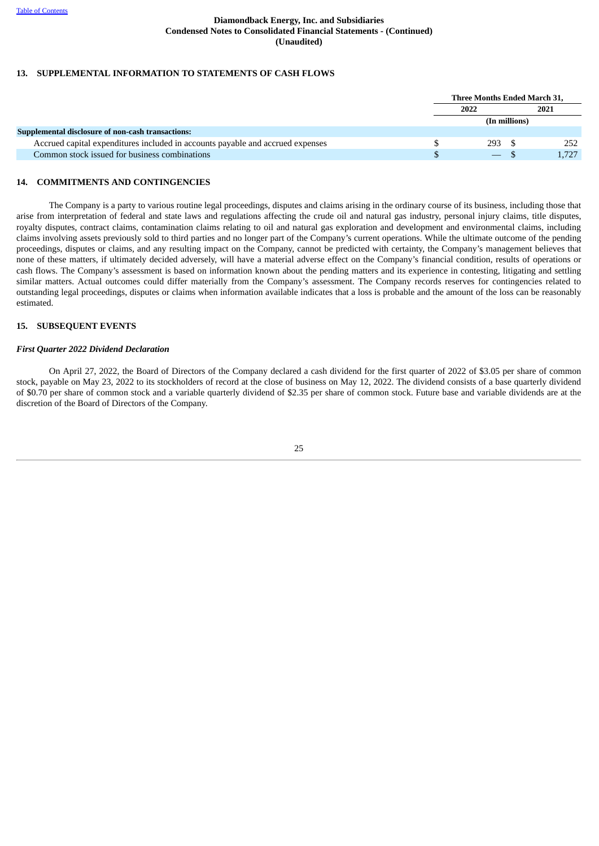### **13. SUPPLEMENTAL INFORMATION TO STATEMENTS OF CASH FLOWS**

|                                                                                | Three Months Ended March 31, |               |      |  |
|--------------------------------------------------------------------------------|------------------------------|---------------|------|--|
|                                                                                | 2022                         |               | 2021 |  |
|                                                                                |                              | (In millions) |      |  |
| Supplemental disclosure of non-cash transactions:                              |                              |               |      |  |
| Accrued capital expenditures included in accounts payable and accrued expenses | 293 \$                       |               | 252  |  |
| Common stock issued for business combinations                                  | $\equiv$                     |               |      |  |

#### <span id="page-30-1"></span>**14. COMMITMENTS AND CONTINGENCIES**

The Company is a party to various routine legal proceedings, disputes and claims arising in the ordinary course of its business, including those that arise from interpretation of federal and state laws and regulations affecting the crude oil and natural gas industry, personal injury claims, title disputes, royalty disputes, contract claims, contamination claims relating to oil and natural gas exploration and development and environmental claims, including claims involving assets previously sold to third parties and no longer part of the Company's current operations. While the ultimate outcome of the pending proceedings, disputes or claims, and any resulting impact on the Company, cannot be predicted with certainty, the Company's management believes that none of these matters, if ultimately decided adversely, will have a material adverse effect on the Company's financial condition, results of operations or cash flows. The Company's assessment is based on information known about the pending matters and its experience in contesting, litigating and settling similar matters. Actual outcomes could differ materially from the Company's assessment. The Company records reserves for contingencies related to outstanding legal proceedings, disputes or claims when information available indicates that a loss is probable and the amount of the loss can be reasonably estimated.

#### **15. SUBSEQUENT EVENTS**

#### *First Quarter 2022 Dividend Declaration*

<span id="page-30-0"></span>On April 27, 2022, the Board of Directors of the Company declared a cash dividend for the first quarter of 2022 of \$3.05 per share of common stock, payable on May 23, 2022 to its stockholders of record at the close of business on May 12, 2022. The dividend consists of a base quarterly dividend of \$0.70 per share of common stock and a variable quarterly dividend of \$2.35 per share of common stock. Future base and variable dividends are at the discretion of the Board of Directors of the Company.

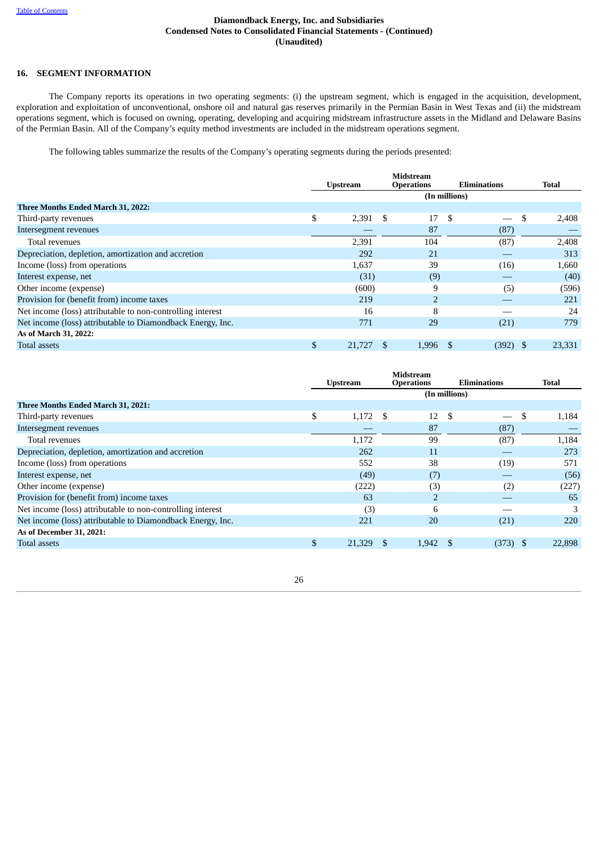# **16. SEGMENT INFORMATION**

The Company reports its operations in two operating segments: (i) the upstream segment, which is engaged in the acquisition, development, exploration and exploitation of unconventional, onshore oil and natural gas reserves primarily in the Permian Basin in West Texas and (ii) the midstream operations segment, which is focused on owning, operating, developing and acquiring midstream infrastructure assets in the Midland and Delaware Basins of the Permian Basin. All of the Company's equity method investments are included in the midstream operations segment.

The following tables summarize the results of the Company's operating segments during the periods presented:

|                                                            | <b>Midstream</b> |                   |               |                     |        |  |
|------------------------------------------------------------|------------------|-------------------|---------------|---------------------|--------|--|
|                                                            | <b>Upstream</b>  | <b>Operations</b> |               | <b>Eliminations</b> | Total  |  |
|                                                            |                  |                   | (In millions) |                     |        |  |
| Three Months Ended March 31, 2022:                         |                  |                   |               |                     |        |  |
| Third-party revenues                                       | \$<br>$2,391$ \$ |                   | -S<br>17      | S                   | 2,408  |  |
| Intersegment revenues                                      |                  |                   | 87            | (87)                |        |  |
| Total revenues                                             | 2,391            | 104               |               | (87)                | 2,408  |  |
| Depreciation, depletion, amortization and accretion        | 292              |                   | 21            |                     | 313    |  |
| Income (loss) from operations                              | 1,637            |                   | 39            | (16)                | 1,660  |  |
| Interest expense, net                                      | (31)             |                   | (9)           |                     | (40)   |  |
| Other income (expense)                                     | (600)            |                   | 9             | (5)                 | (596)  |  |
| Provision for (benefit from) income taxes                  | 219              |                   |               |                     | 221    |  |
| Net income (loss) attributable to non-controlling interest | 16               |                   | 8             |                     | 24     |  |
| Net income (loss) attributable to Diamondback Energy, Inc. | 771              |                   | 29            | (21)                | 779    |  |
| As of March 31, 2022:                                      |                  |                   |               |                     |        |  |
| <b>Total assets</b>                                        | \$<br>21,727     | 1,996             | \$.           | (392)<br>-S         | 23,331 |  |

<span id="page-31-0"></span>

|                                                            | Midstream<br><b>Eliminations</b><br><b>Operations</b><br><b>Upstream</b> |            |  |       | Total         |            |    |        |
|------------------------------------------------------------|--------------------------------------------------------------------------|------------|--|-------|---------------|------------|----|--------|
|                                                            |                                                                          |            |  |       | (In millions) |            |    |        |
| Three Months Ended March 31, 2021:                         |                                                                          |            |  |       |               |            |    |        |
| Third-party revenues                                       | \$                                                                       | $1,172$ \$ |  | 12    | \$            |            | \$ | 1,184  |
| Intersegment revenues                                      |                                                                          |            |  | 87    |               | (87)       |    |        |
| Total revenues                                             |                                                                          | 1,172      |  | 99    |               | (87)       |    | 1,184  |
| Depreciation, depletion, amortization and accretion        |                                                                          | 262        |  | 11    |               |            |    | 273    |
| Income (loss) from operations                              |                                                                          | 552        |  | 38    |               | (19)       |    | 571    |
| Interest expense, net                                      |                                                                          | (49)       |  | (7)   |               |            |    | (56)   |
| Other income (expense)                                     |                                                                          | (222)      |  | (3)   |               | (2)        |    | (227)  |
| Provision for (benefit from) income taxes                  |                                                                          | 63         |  | 2     |               |            |    | 65     |
| Net income (loss) attributable to non-controlling interest |                                                                          | (3)        |  | 6     |               |            |    | 3      |
| Net income (loss) attributable to Diamondback Energy, Inc. |                                                                          | 221        |  | 20    |               | (21)       |    | 220    |
| As of December 31, 2021:                                   |                                                                          |            |  |       |               |            |    |        |
| <b>Total assets</b>                                        | \$                                                                       | 21,329     |  | 1,942 | S             | $(373)$ \$ |    | 22,898 |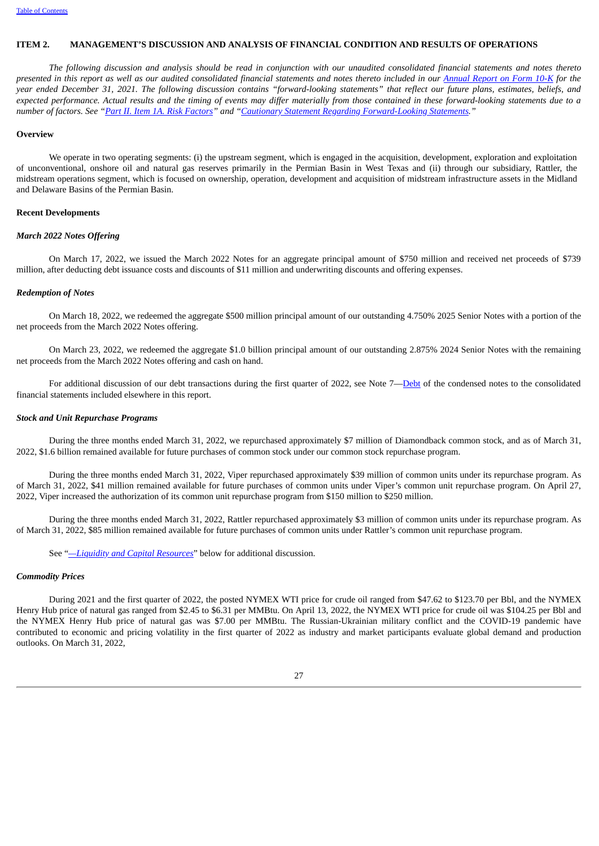#### **ITEM 2. MANAGEMENT'S DISCUSSION AND ANALYSIS OF FINANCIAL CONDITION AND RESULTS OF OPERATIONS**

The following discussion and analysis should be read in conjunction with our unaudited consolidated financial statements and notes thereto presented in this report as well as our audited consolidated financial statements and notes thereto included in our [Annual](https://www.sec.gov/ix?doc=/Archives/edgar/data/1539838/000153983822000008/fang-20211231.htm) Report on Form 10-K for the year ended December 31, 2021. The following discussion contains "forward-looking statements" that reflect our future plans, estimates, beliefs, and expected performance. Actual results and the timing of events may differ materially from those contained in these forward-looking statements due to a number of factors. See "Part II. Item 1A. Risk [Factors](#page-54-1)" and "Cautionary Statement Regarding [Forward-Looking](#page-3-0) Statements."

#### <span id="page-32-0"></span>**Overview**

We operate in two operating segments: (i) the upstream segment, which is engaged in the acquisition, development, exploration and exploitation of unconventional, onshore oil and natural gas reserves primarily in the Permian Basin in West Texas and (ii) through our subsidiary, Rattler, the midstream operations segment, which is focused on ownership, operation, development and acquisition of midstream infrastructure assets in the Midland and Delaware Basins of the Permian Basin.

### **Recent Developments**

#### *March 2022 Notes Offering*

On March 17, 2022, we issued the March 2022 Notes for an aggregate principal amount of \$750 million and received net proceeds of \$739 million, after deducting debt issuance costs and discounts of \$11 million and underwriting discounts and offering expenses.

#### *Redemption of Notes*

On March 18, 2022, we redeemed the aggregate \$500 million principal amount of our outstanding 4.750% 2025 Senior Notes with a portion of the net proceeds from the March 2022 Notes offering.

On March 23, 2022, we redeemed the aggregate \$1.0 billion principal amount of our outstanding 2.875% 2024 Senior Notes with the remaining net proceeds from the March 2022 Notes offering and cash on hand.

For additional discussion of our debt transactions during the first quarter of 2022, see Note 7[—Debt](#page-18-0) of the condensed notes to the consolidated financial statements included elsewhere in this report.

#### *Stock and Unit Repurchase Programs*

During the three months ended March 31, 2022, we repurchased approximately \$7 million of Diamondback common stock, and as of March 31, 2022, \$1.6 billion remained available for future purchases of common stock under our common stock repurchase program.

During the three months ended March 31, 2022, Viper repurchased approximately \$39 million of common units under its repurchase program. As of March 31, 2022, \$41 million remained available for future purchases of common units under Viper's common unit repurchase program. On April 27, 2022, Viper increased the authorization of its common unit repurchase program from \$150 million to \$250 million.

During the three months ended March 31, 2022, Rattler repurchased approximately \$3 million of common units under its repurchase program. As of March 31, 2022, \$85 million remained available for future purchases of common units under Rattler's common unit repurchase program.

See "*[—Liquidity](#page-46-0) and Capital Resources*" below for additional discussion.

#### *Commodity Prices*

During 2021 and the first quarter of 2022, the posted NYMEX WTI price for crude oil ranged from \$47.62 to \$123.70 per Bbl, and the NYMEX Henry Hub price of natural gas ranged from \$2.45 to \$6.31 per MMBtu. On April 13, 2022, the NYMEX WTI price for crude oil was \$104.25 per Bbl and the NYMEX Henry Hub price of natural gas was \$7.00 per MMBtu. The Russian-Ukrainian military conflict and the COVID-19 pandemic have contributed to economic and pricing volatility in the first quarter of 2022 as industry and market participants evaluate global demand and production outlooks. On March 31, 2022,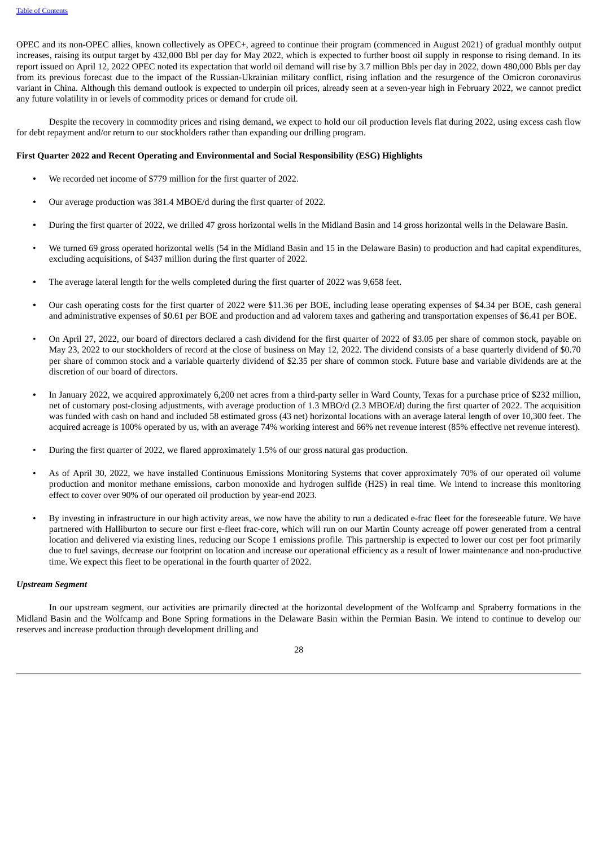OPEC and its non-OPEC allies, known collectively as OPEC+, agreed to continue their program (commenced in August 2021) of gradual monthly output increases, raising its output target by 432,000 Bbl per day for May 2022, which is expected to further boost oil supply in response to rising demand. In its report issued on April 12, 2022 OPEC noted its expectation that world oil demand will rise by 3.7 million Bbls per day in 2022, down 480,000 Bbls per day from its previous forecast due to the impact of the Russian-Ukrainian military conflict, rising inflation and the resurgence of the Omicron coronavirus variant in China. Although this demand outlook is expected to underpin oil prices, already seen at a seven-year high in February 2022, we cannot predict any future volatility in or levels of commodity prices or demand for crude oil.

Despite the recovery in commodity prices and rising demand, we expect to hold our oil production levels flat during 2022, using excess cash flow for debt repayment and/or return to our stockholders rather than expanding our drilling program.

#### **First Quarter 2022 and Recent Operating and Environmental and Social Responsibility (ESG) Highlights**

- *•* We recorded net income of \$779 million for the first quarter of 2022.
- *•* Our average production was 381.4 MBOE/d during the first quarter of 2022.
- *•* During the first quarter of 2022, we drilled 47 gross horizontal wells in the Midland Basin and 14 gross horizontal wells in the Delaware Basin.
- We turned 69 gross operated horizontal wells (54 in the Midland Basin and 15 in the Delaware Basin) to production and had capital expenditures, excluding acquisitions, of \$437 million during the first quarter of 2022.
- *•* The average lateral length for the wells completed during the first quarter of 2022 was 9,658 feet.
- *•* Our cash operating costs for the first quarter of 2022 were \$11.36 per BOE, including lease operating expenses of \$4.34 per BOE, cash general and administrative expenses of \$0.61 per BOE and production and ad valorem taxes and gathering and transportation expenses of \$6.41 per BOE.
- On April 27, 2022, our board of directors declared a cash dividend for the first quarter of 2022 of \$3.05 per share of common stock, payable on May 23, 2022 to our stockholders of record at the close of business on May 12, 2022. The dividend consists of a base quarterly dividend of \$0.70 per share of common stock and a variable quarterly dividend of \$2.35 per share of common stock. Future base and variable dividends are at the discretion of our board of directors.
- **•** In January 2022, we acquired approximately 6,200 net acres from a third-party seller in Ward County, Texas for a purchase price of \$232 million, net of customary post-closing adjustments, with average production of 1.3 MBO/d (2.3 MBOE/d) during the first quarter of 2022. The acquisition was funded with cash on hand and included 58 estimated gross (43 net) horizontal locations with an average lateral length of over 10,300 feet. The acquired acreage is 100% operated by us, with an average 74% working interest and 66% net revenue interest (85% effective net revenue interest).
- During the first quarter of 2022, we flared approximately 1.5% of our gross natural gas production.
- As of April 30, 2022, we have installed Continuous Emissions Monitoring Systems that cover approximately 70% of our operated oil volume production and monitor methane emissions, carbon monoxide and hydrogen sulfide (H2S) in real time. We intend to increase this monitoring effect to cover over 90% of our operated oil production by year-end 2023.
- By investing in infrastructure in our high activity areas, we now have the ability to run a dedicated e-frac fleet for the foreseeable future. We have partnered with Halliburton to secure our first e-fleet frac-core, which will run on our Martin County acreage off power generated from a central location and delivered via existing lines, reducing our Scope 1 emissions profile. This partnership is expected to lower our cost per foot primarily due to fuel savings, decrease our footprint on location and increase our operational efficiency as a result of lower maintenance and non-productive time. We expect this fleet to be operational in the fourth quarter of 2022.

#### *Upstream Segment*

In our upstream segment, our activities are primarily directed at the horizontal development of the Wolfcamp and Spraberry formations in the Midland Basin and the Wolfcamp and Bone Spring formations in the Delaware Basin within the Permian Basin. We intend to continue to develop our reserves and increase production through development drilling and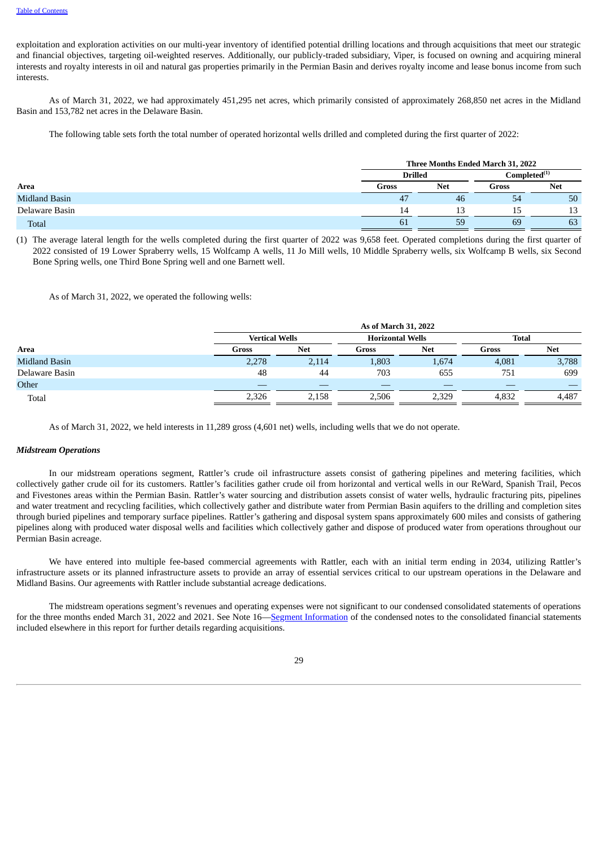exploitation and exploration activities on our multi-year inventory of identified potential drilling locations and through acquisitions that meet our strategic and financial objectives, targeting oil-weighted reserves. Additionally, our publicly-traded subsidiary, Viper, is focused on owning and acquiring mineral interests and royalty interests in oil and natural gas properties primarily in the Permian Basin and derives royalty income and lease bonus income from such interests.

As of March 31, 2022, we had approximately 451,295 net acres, which primarily consisted of approximately 268,850 net acres in the Midland Basin and 153,782 net acres in the Delaware Basin.

The following table sets forth the total number of operated horizontal wells drilled and completed during the first quarter of 2022:

|                      | Three Months Ended March 31, 2022 |                     |     |                                                          |  |  |  |
|----------------------|-----------------------------------|---------------------|-----|----------------------------------------------------------|--|--|--|
|                      | <b>Drilled</b>                    |                     |     | $\mathsf{Completely}^{\scriptscriptstyle{\mathrm{(1)}}}$ |  |  |  |
| Area                 | Gross                             | <b>Net</b><br>Gross |     | Net                                                      |  |  |  |
| <b>Midland Basin</b> | 47                                | 46                  | -54 | 50                                                       |  |  |  |
| Delaware Basin       | 14                                | 13                  | 15  | 13                                                       |  |  |  |
| <b>Total</b>         | 61                                | 59                  | 69  | 63                                                       |  |  |  |

(1) The average lateral length for the wells completed during the first quarter of 2022 was 9,658 feet. Operated completions during the first quarter of 2022 consisted of 19 Lower Spraberry wells, 15 Wolfcamp A wells, 11 Jo Mill wells, 10 Middle Spraberry wells, six Wolfcamp B wells, six Second Bone Spring wells, one Third Bone Spring well and one Barnett well.

As of March 31, 2022, we operated the following wells:

|                |                       | As of March 31, 2022 |                         |            |              |            |  |  |  |  |  |
|----------------|-----------------------|----------------------|-------------------------|------------|--------------|------------|--|--|--|--|--|
|                | <b>Vertical Wells</b> |                      | <b>Horizontal Wells</b> |            | <b>Total</b> |            |  |  |  |  |  |
| Area           | Gross                 | <b>Net</b>           | Gross                   | <b>Net</b> | Gross        | <b>Net</b> |  |  |  |  |  |
| Midland Basin  | 2,278                 | 2,114                | 1,803                   | 1,674      | 4,081        | 3,788      |  |  |  |  |  |
| Delaware Basin | 48                    | 44                   | 703                     | 655        | 751          | 699        |  |  |  |  |  |
| Other          | _                     |                      |                         |            |              |            |  |  |  |  |  |
| Total          | 2,326                 | 2,158                | 2,506                   | 2,329      | 4,832        | 4,487      |  |  |  |  |  |

As of March 31, 2022, we held interests in 11,289 gross (4,601 net) wells, including wells that we do not operate.

#### *Midstream Operations*

In our midstream operations segment, Rattler's crude oil infrastructure assets consist of gathering pipelines and metering facilities, which collectively gather crude oil for its customers. Rattler's facilities gather crude oil from horizontal and vertical wells in our ReWard, Spanish Trail, Pecos and Fivestones areas within the Permian Basin. Rattler's water sourcing and distribution assets consist of water wells, hydraulic fracturing pits, pipelines and water treatment and recycling facilities, which collectively gather and distribute water from Permian Basin aquifers to the drilling and completion sites through buried pipelines and temporary surface pipelines. Rattler's gathering and disposal system spans approximately 600 miles and consists of gathering pipelines along with produced water disposal wells and facilities which collectively gather and dispose of produced water from operations throughout our Permian Basin acreage.

We have entered into multiple fee-based commercial agreements with Rattler, each with an initial term ending in 2034, utilizing Rattler's infrastructure assets or its planned infrastructure assets to provide an array of essential services critical to our upstream operations in the Delaware and Midland Basins. Our agreements with Rattler include substantial acreage dedications.

<span id="page-34-0"></span>The midstream operations segment's revenues and operating expenses were not significant to our condensed consolidated statements of operations for the three months ended March 31, 2022 and 2021. See Note 16—Segment [Information](#page-30-0) of the condensed notes to the consolidated financial statements included elsewhere in this report for further details regarding acquisitions.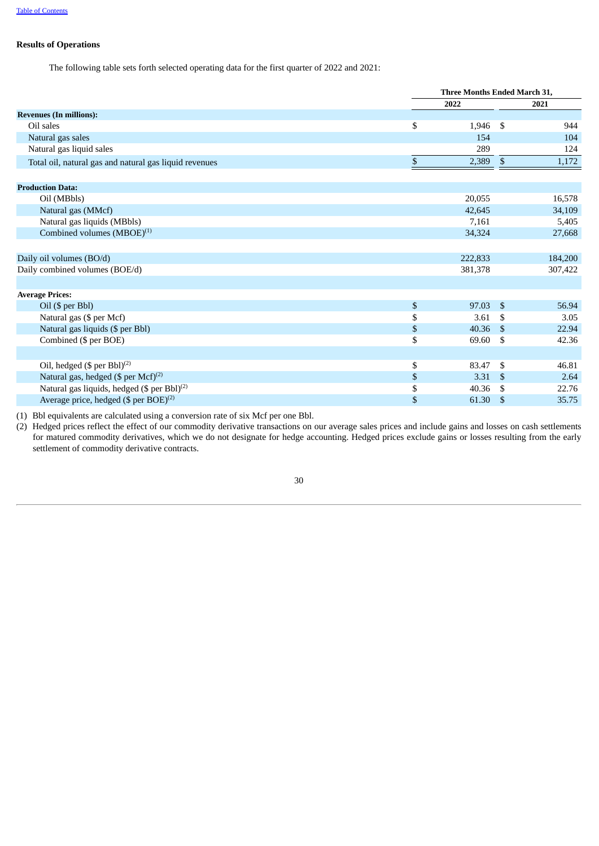# **Results of Operations**

The following table sets forth selected operating data for the first quarter of 2022 and 2021:

|                                                         | Three Months Ended March 31, |     |         |  |  |  |  |
|---------------------------------------------------------|------------------------------|-----|---------|--|--|--|--|
|                                                         | 2022                         |     |         |  |  |  |  |
| <b>Revenues (In millions):</b>                          |                              |     |         |  |  |  |  |
| Oil sales                                               | \$<br>1,946                  | \$  | 944     |  |  |  |  |
| Natural gas sales                                       | 154                          |     | 104     |  |  |  |  |
| Natural gas liquid sales                                | 289                          |     | 124     |  |  |  |  |
| Total oil, natural gas and natural gas liquid revenues  | \$<br>2,389                  | \$  | 1,172   |  |  |  |  |
| <b>Production Data:</b>                                 |                              |     |         |  |  |  |  |
| Oil (MBbls)                                             | 20,055                       |     | 16,578  |  |  |  |  |
| Natural gas (MMcf)                                      | 42,645                       |     | 34,109  |  |  |  |  |
| Natural gas liquids (MBbls)                             | 7,161                        |     | 5,405   |  |  |  |  |
| Combined volumes (MBOE) <sup>(1)</sup>                  | 34,324                       |     | 27,668  |  |  |  |  |
| Daily oil volumes (BO/d)                                | 222,833                      |     | 184,200 |  |  |  |  |
| Daily combined volumes (BOE/d)                          | 381,378                      |     | 307,422 |  |  |  |  |
| <b>Average Prices:</b>                                  |                              |     |         |  |  |  |  |
| Oil (\$ per Bbl)                                        | \$<br>97.03                  | \$  | 56.94   |  |  |  |  |
| Natural gas (\$ per Mcf)                                | \$<br>3.61                   | \$  | 3.05    |  |  |  |  |
| Natural gas liquids (\$ per Bbl)                        | \$<br>40.36                  | -S  | 22.94   |  |  |  |  |
| Combined (\$ per BOE)                                   | \$<br>69.60                  | \$  | 42.36   |  |  |  |  |
| Oil, hedged (\$ per Bbl) <sup>(2)</sup>                 | \$<br>83.47                  | \$  | 46.81   |  |  |  |  |
| Natural gas, hedged (\$ per Mcf) <sup>(2)</sup>         | \$<br>3.31                   | \$  | 2.64    |  |  |  |  |
| Natural gas liquids, hedged (\$ per Bbl) <sup>(2)</sup> | \$<br>40.36                  | \$. | 22.76   |  |  |  |  |
| Average price, hedged $(\$$ per BOE $)^{(2)}$           | \$<br>61.30                  | \$  | 35.75   |  |  |  |  |

(1) Bbl equivalents are calculated using a conversion rate of six Mcf per one Bbl.

(2) Hedged prices reflect the effect of our commodity derivative transactions on our average sales prices and include gains and losses on cash settlements for matured commodity derivatives, which we do not designate for hedge accounting. Hedged prices exclude gains or losses resulting from the early settlement of commodity derivative contracts.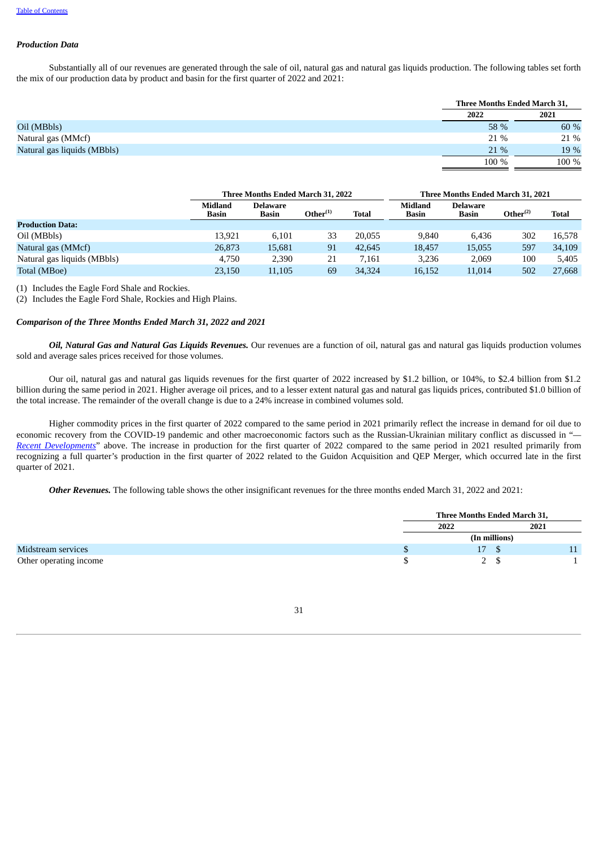#### *Production Data*

Substantially all of our revenues are generated through the sale of oil, natural gas and natural gas liquids production. The following tables set forth the mix of our production data by product and basin for the first quarter of 2022 and 2021:

|                                     | Three Months Ended March 31, |
|-------------------------------------|------------------------------|
| 2022                                | 2021                         |
| Oil (MBbls)<br>58 %                 | 60 %                         |
| Natural gas (MMcf)<br>21 %          | 21 %                         |
| Natural gas liquids (MBbls)<br>21 % | 19 %                         |
| 100 %                               | 100 %                        |

|                             |                                | Three Months Ended March 31, 2022 |                                       |              |                  | Three Months Ended March 31, 2021 |                      |              |
|-----------------------------|--------------------------------|-----------------------------------|---------------------------------------|--------------|------------------|-----------------------------------|----------------------|--------------|
|                             | <b>Midland</b><br><b>Basin</b> | <b>Delaware</b><br>Basin          | $O$ ther $^{\scriptscriptstyle{(1)}}$ | <b>Total</b> | Midland<br>Basin | <b>Delaware</b><br><b>Basin</b>   | Other <sup>(2)</sup> | <b>Total</b> |
| <b>Production Data:</b>     |                                |                                   |                                       |              |                  |                                   |                      |              |
| Oil (MBbls)                 | 13.921                         | 6,101                             | 33                                    | 20,055       | 9.840            | 6.436                             | 302                  | 16.578       |
| Natural gas (MMcf)          | 26,873                         | 15,681                            | 91                                    | 42.645       | 18,457           | 15,055                            | 597                  | 34,109       |
| Natural gas liquids (MBbls) | 4.750                          | 2,390                             | 21                                    | 7.161        | 3.236            | 2.069                             | 100                  | 5.405        |
| Total (MBoe)                | 23,150                         | 11,105                            | 69                                    | 34,324       | 16,152           | 11.014                            | 502                  | 27,668       |

(1) Includes the Eagle Ford Shale and Rockies.

(2) Includes the Eagle Ford Shale, Rockies and High Plains.

#### *Comparison of the Three Months Ended March 31, 2022 and 2021*

*Oil, Natural Gas and Natural Gas Liquids Revenues.* Our revenues are a function of oil, natural gas and natural gas liquids production volumes sold and average sales prices received for those volumes.

Our oil, natural gas and natural gas liquids revenues for the first quarter of 2022 increased by \$1.2 billion, or 104%, to \$2.4 billion from \$1.2 billion during the same period in 2021. Higher average oil prices, and to a lesser extent natural gas and natural gas liquids prices, contributed \$1.0 billion of the total increase. The remainder of the overall change is due to a 24% increase in combined volumes sold.

Higher commodity prices in the first quarter of 2022 compared to the same period in 2021 primarily reflect the increase in demand for oil due to economic recovery from the COVID-19 pandemic and other macroeconomic factors such as the Russian-Ukrainian military conflict as discussed in "*— Recent [Developments](#page-32-0)*" above. The increase in production for the first quarter of 2022 compared to the same period in 2021 resulted primarily from recognizing a full quarter's production in the first quarter of 2022 related to the Guidon Acquisition and QEP Merger, which occurred late in the first quarter of 2021.

*Other Revenues.* The following table shows the other insignificant revenues for the three months ended March 31, 2022 and 2021:

|                        |      | Three Months Ended March 31, |  |      |  |  |
|------------------------|------|------------------------------|--|------|--|--|
|                        | 2022 |                              |  | 2021 |  |  |
|                        |      | (In millions)                |  |      |  |  |
| Midstream services     |      | 17                           |  |      |  |  |
| Other operating income |      |                              |  |      |  |  |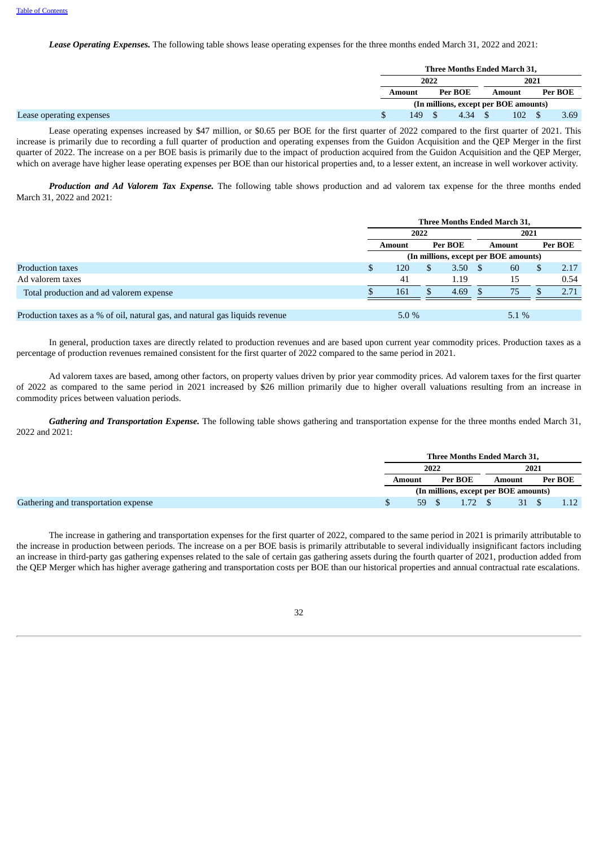*Lease Operating Expenses.* The following table shows lease operating expenses for the three months ended March 31, 2022 and 2021:

|                          | Three Months Ended March 31,          |         |      |        |     |  |         |
|--------------------------|---------------------------------------|---------|------|--------|-----|--|---------|
|                          | 2022                                  |         |      | 2021   |     |  |         |
|                          | Amount                                | Per BOE |      | Amount |     |  | Per BOE |
|                          | (In millions, except per BOE amounts) |         |      |        |     |  |         |
| Lease operating expenses | 149                                   |         | 4.34 |        | 102 |  | 3.69    |

Lease operating expenses increased by \$47 million, or \$0.65 per BOE for the first quarter of 2022 compared to the first quarter of 2021. This increase is primarily due to recording a full quarter of production and operating expenses from the Guidon Acquisition and the QEP Merger in the first quarter of 2022. The increase on a per BOE basis is primarily due to the impact of production acquired from the Guidon Acquisition and the QEP Merger, which on average have higher lease operating expenses per BOE than our historical properties and, to a lesser extent, an increase in well workover activity.

*Production and Ad Valorem Tax Expense.* The following table shows production and ad valorem tax expense for the three months ended March 31, 2022 and 2021:

|                                                                              | Three Months Ended March 31,          |        |         |      |        |    |  |         |  |
|------------------------------------------------------------------------------|---------------------------------------|--------|---------|------|--------|----|--|---------|--|
|                                                                              |                                       |        | 2022    |      | 2021   |    |  |         |  |
|                                                                              |                                       | Amount | Per BOE |      | Amount |    |  | Per BOE |  |
|                                                                              | (In millions, except per BOE amounts) |        |         |      |        |    |  |         |  |
| Production taxes                                                             |                                       | 120    |         | 3.50 | - \$   | 60 |  | 2.17    |  |
| Ad valorem taxes                                                             |                                       | 41     |         | 1.19 |        | 15 |  | 0.54    |  |
| Total production and ad valorem expense                                      |                                       | 161    |         | 4.69 |        | 75 |  | 2.71    |  |
|                                                                              |                                       |        |         |      |        |    |  |         |  |
| Production taxes as a % of oil, natural gas, and natural gas liquids revenue | $5.1\%$<br>$5.0\%$                    |        |         |      |        |    |  |         |  |

In general, production taxes are directly related to production revenues and are based upon current year commodity prices. Production taxes as a percentage of production revenues remained consistent for the first quarter of 2022 compared to the same period in 2021.

Ad valorem taxes are based, among other factors, on property values driven by prior year commodity prices. Ad valorem taxes for the first quarter of 2022 as compared to the same period in 2021 increased by \$26 million primarily due to higher overall valuations resulting from an increase in commodity prices between valuation periods.

*Gathering and Transportation Expense.* The following table shows gathering and transportation expense for the three months ended March 31, 2022 and 2021:

|                                      | Three Months Ended March 31,          |  |        |      |         |  |                |
|--------------------------------------|---------------------------------------|--|--------|------|---------|--|----------------|
|                                      | 2022                                  |  |        | 2021 |         |  |                |
|                                      | Per BOE<br>Amount                     |  | Amount |      | Per BOE |  |                |
|                                      | (In millions, except per BOE amounts) |  |        |      |         |  |                |
| Gathering and transportation expense | 59                                    |  |        |      | 31      |  | $1.12^{\circ}$ |

The increase in gathering and transportation expenses for the first quarter of 2022, compared to the same period in 2021 is primarily attributable to the increase in production between periods. The increase on a per BOE basis is primarily attributable to several individually insignificant factors including an increase in third-party gas gathering expenses related to the sale of certain gas gathering assets during the fourth quarter of 2021, production added from the QEP Merger which has higher average gathering and transportation costs per BOE than our historical properties and annual contractual rate escalations.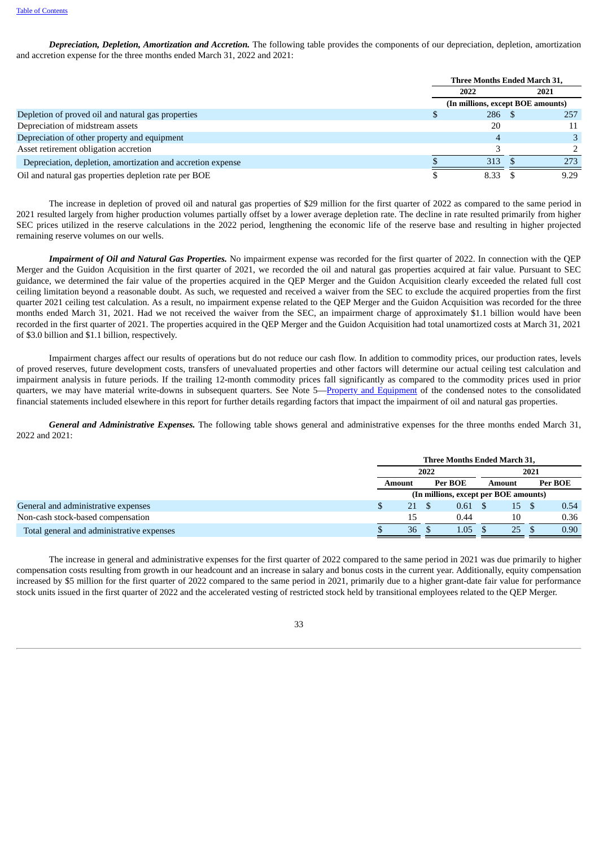*Depreciation, Depletion, Amortization and Accretion.* The following table provides the components of our depreciation, depletion, amortization and accretion expense for the three months ended March 31, 2022 and 2021:

|                                                             | Three Months Ended March 31,      |  |      |  |  |  |  |  |
|-------------------------------------------------------------|-----------------------------------|--|------|--|--|--|--|--|
|                                                             | 2022                              |  | 2021 |  |  |  |  |  |
|                                                             | (In millions, except BOE amounts) |  |      |  |  |  |  |  |
| Depletion of proved oil and natural gas properties          | $286 \quad $$                     |  | 257  |  |  |  |  |  |
| Depreciation of midstream assets                            | 20                                |  | 11   |  |  |  |  |  |
| Depreciation of other property and equipment                | 4                                 |  |      |  |  |  |  |  |
| Asset retirement obligation accretion                       |                                   |  |      |  |  |  |  |  |
| Depreciation, depletion, amortization and accretion expense | 313                               |  | 273  |  |  |  |  |  |
| Oil and natural gas properties depletion rate per BOE       | 8.33                              |  | 9.29 |  |  |  |  |  |

The increase in depletion of proved oil and natural gas properties of \$29 million for the first quarter of 2022 as compared to the same period in 2021 resulted largely from higher production volumes partially offset by a lower average depletion rate. The decline in rate resulted primarily from higher SEC prices utilized in the reserve calculations in the 2022 period, lengthening the economic life of the reserve base and resulting in higher projected remaining reserve volumes on our wells.

*Impairment of Oil and Natural Gas Properties.* No impairment expense was recorded for the first quarter of 2022. In connection with the QEP Merger and the Guidon Acquisition in the first quarter of 2021, we recorded the oil and natural gas properties acquired at fair value. Pursuant to SEC guidance, we determined the fair value of the properties acquired in the QEP Merger and the Guidon Acquisition clearly exceeded the related full cost ceiling limitation beyond a reasonable doubt. As such, we requested and received a waiver from the SEC to exclude the acquired properties from the first quarter 2021 ceiling test calculation. As a result, no impairment expense related to the QEP Merger and the Guidon Acquisition was recorded for the three months ended March 31, 2021. Had we not received the waiver from the SEC, an impairment charge of approximately \$1.1 billion would have been recorded in the first quarter of 2021. The properties acquired in the QEP Merger and the Guidon Acquisition had total unamortized costs at March 31, 2021 of \$3.0 billion and \$1.1 billion, respectively.

Impairment charges affect our results of operations but do not reduce our cash flow. In addition to commodity prices, our production rates, levels of proved reserves, future development costs, transfers of unevaluated properties and other factors will determine our actual ceiling test calculation and impairment analysis in future periods. If the trailing 12-month commodity prices fall significantly as compared to the commodity prices used in prior quarters, we may have material write-downs in subsequent quarters. See Note 5—Property and [Equipment](#page-17-0) of the condensed notes to the consolidated financial statements included elsewhere in this report for further details regarding factors that impact the impairment of oil and natural gas properties.

*General and Administrative Expenses.* The following table shows general and administrative expenses for the three months ended March 31, 2022 and 2021:

|                                           | Three Months Ended March 31, |                                       |                |        |  |         |  |  |
|-------------------------------------------|------------------------------|---------------------------------------|----------------|--------|--|---------|--|--|
|                                           | 2022                         |                                       |                | 2021   |  |         |  |  |
|                                           | Amount                       | Per BOE                               |                | Amount |  | Per BOE |  |  |
|                                           |                              | (In millions, except per BOE amounts) |                |        |  |         |  |  |
| General and administrative expenses       | 21<br>P.                     |                                       | $0.61 \quad $$ | 15     |  | 0.54    |  |  |
| Non-cash stock-based compensation         | 15                           | 0.44                                  |                | 10     |  | 0.36    |  |  |
| Total general and administrative expenses | 36                           | 1.05 <sub>1</sub>                     |                | 25     |  | 0.90    |  |  |

The increase in general and administrative expenses for the first quarter of 2022 compared to the same period in 2021 was due primarily to higher compensation costs resulting from growth in our headcount and an increase in salary and bonus costs in the current year. Additionally, equity compensation increased by \$5 million for the first quarter of 2022 compared to the same period in 2021, primarily due to a higher grant-date fair value for performance stock units issued in the first quarter of 2022 and the accelerated vesting of restricted stock held by transitional employees related to the QEP Merger.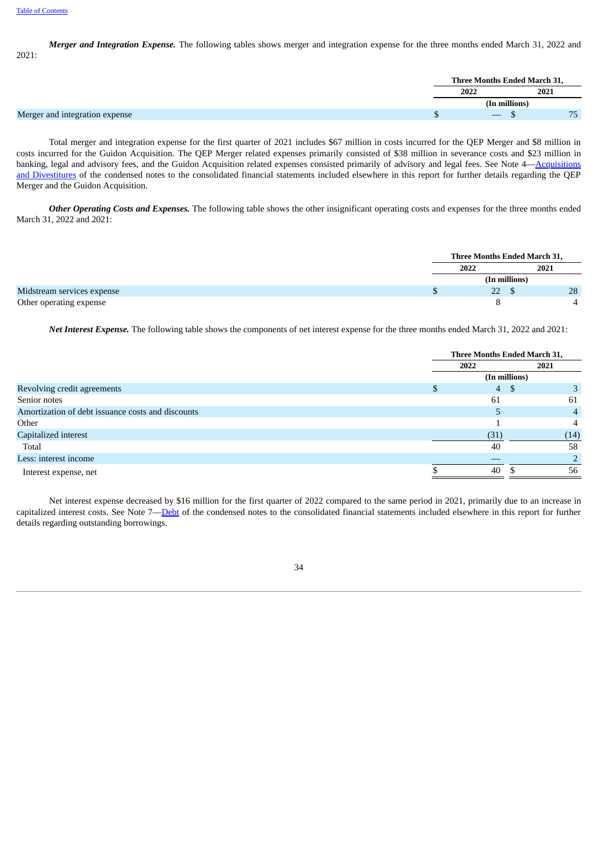*Merger and Integration Expense.* The following tables shows merger and integration expense for the three months ended March 31, 2022 and 2021:

Total merger and integration expense for the first quarter of 2021 includes \$67 million in costs incurred for the QEP Merger and \$8 million in costs incurred for the Guidon Acquisition. The QEP Merger related expenses primarily consisted of \$38 million in severance costs and \$23 million in banking, legal and advisory fees, and the Guidon Acquisition related expenses consisted primarily of advisory and legal fees. See Note [4—Acquisitions](#page-13-0) and Divestitures of the condensed notes to the consolidated financial statements included elsewhere in this report for further details regarding the QEP Merger and the Guidon Acquisition.

*Other Operating Costs and Expenses.* The following table shows the other insignificant operating costs and expenses for the three months ended March 31, 2022 and 2021:

|  | Three Months Ended March 31, |               |      |
|--|------------------------------|---------------|------|
|  | 2022                         |               | 2021 |
|  |                              | (In millions) |      |
|  | 22.                          |               | 28   |
|  |                              |               |      |

*Net Interest Expense.* The following table shows the components of net interest expense for the three months ended March 31, 2022 and 2021:

|                                                   | Three Months Ended March 31, |                |  |  |  |
|---------------------------------------------------|------------------------------|----------------|--|--|--|
|                                                   | 2022                         | 2021           |  |  |  |
|                                                   | (In millions)                |                |  |  |  |
| Revolving credit agreements                       | $\overline{4}$<br>-S         | 3              |  |  |  |
| Senior notes                                      | 61                           | 61             |  |  |  |
| Amortization of debt issuance costs and discounts |                              | $\overline{4}$ |  |  |  |
| Other                                             |                              | 4              |  |  |  |
| Capitalized interest                              | (31)                         | (14)           |  |  |  |
| Total                                             | 40                           | 58             |  |  |  |
| Less: interest income                             |                              |                |  |  |  |
| Interest expense, net                             | 40                           | 56             |  |  |  |
|                                                   |                              |                |  |  |  |

Net interest expense decreased by \$16 million for the first quarter of 2022 compared to the same period in 2021, primarily due to an increase in capitalized interest costs. See Note 7—[Debt](#page-18-0) of the condensed notes to the consolidated financial statements included elsewhere in this report for further details regarding outstanding borrowings.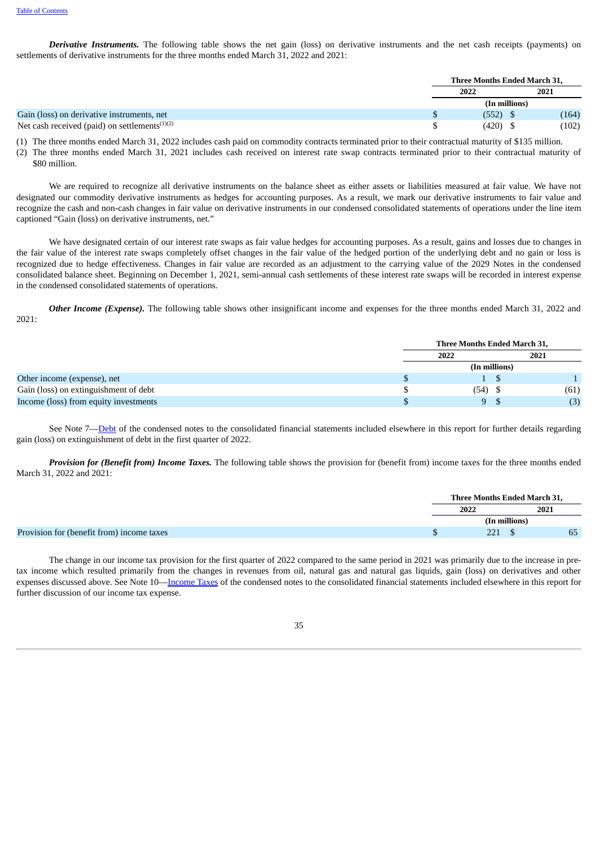*Derivative Instruments.* The following table shows the net gain (loss) on derivative instruments and the net cash receipts (payments) on settlements of derivative instruments for the three months ended March 31, 2022 and 2021:

|                                                                        | <b>Three Months Ended March 31.</b> |       |
|------------------------------------------------------------------------|-------------------------------------|-------|
|                                                                        | 2022                                | 2021  |
|                                                                        | (In millions)                       |       |
| Gain (loss) on derivative instruments, net                             | (552)                               | (164) |
| Net cash received (paid) on settlements <sup><math>(1)(2)</math></sup> | (420)                               | (102) |

(1) The three months ended March 31, 2022 includes cash paid on commodity contracts terminated prior to their contractual maturity of \$135 million.

(2) The three months ended March 31, 2021 includes cash received on interest rate swap contracts terminated prior to their contractual maturity of \$80 million.

We are required to recognize all derivative instruments on the balance sheet as either assets or liabilities measured at fair value. We have not designated our commodity derivative instruments as hedges for accounting purposes. As a result, we mark our derivative instruments to fair value and recognize the cash and non-cash changes in fair value on derivative instruments in our condensed consolidated statements of operations under the line item captioned "Gain (loss) on derivative instruments, net."

We have designated certain of our interest rate swaps as fair value hedges for accounting purposes. As a result, gains and losses due to changes in the fair value of the interest rate swaps completely offset changes in the fair value of the hedged portion of the underlying debt and no gain or loss is recognized due to hedge effectiveness. Changes in fair value are recorded as an adjustment to the carrying value of the 2029 Notes in the condensed consolidated balance sheet. Beginning on December 1, 2021, semi-annual cash settlements of these interest rate swaps will be recorded in interest expense in the condensed consolidated statements of operations.

*Other Income (Expense).* The following table shows other insignificant income and expenses for the three months ended March 31, 2022 and 2021:

|                                       | Three Months Ended March 31, |               |      |  |  |
|---------------------------------------|------------------------------|---------------|------|--|--|
|                                       | 2022                         |               | 2021 |  |  |
|                                       |                              | (In millions) |      |  |  |
| Other income (expense), net           |                              |               |      |  |  |
| Gain (loss) on extinguishment of debt | $(54)$ \$                    |               | (61) |  |  |
| Income (loss) from equity investments | 9 S                          |               | (3)  |  |  |

See Note 7—[Debt](#page-18-0) of the condensed notes to the consolidated financial statements included elsewhere in this report for further details regarding gain (loss) on extinguishment of debt in the first quarter of 2022.

*Provision for (Benefit from) Income Taxes.* The following table shows the provision for (benefit from) income taxes for the three months ended March 31, 2022 and 2021:

| Three Months Ended March 31. |      |  |
|------------------------------|------|--|
| 2021                         | 2022 |  |
| (In millions)                |      |  |
| 65<br>221                    |      |  |

The change in our income tax provision for the first quarter of 2022 compared to the same period in 2021 was primarily due to the increase in pretax income which resulted primarily from the changes in revenues from oil, natural gas and natural gas liquids, gain (loss) on derivatives and other expenses discussed above. See Note 10—[Income](#page-23-0) Taxes of the condensed notes to the consolidated financial statements included elsewhere in this report for further discussion of our income tax expense.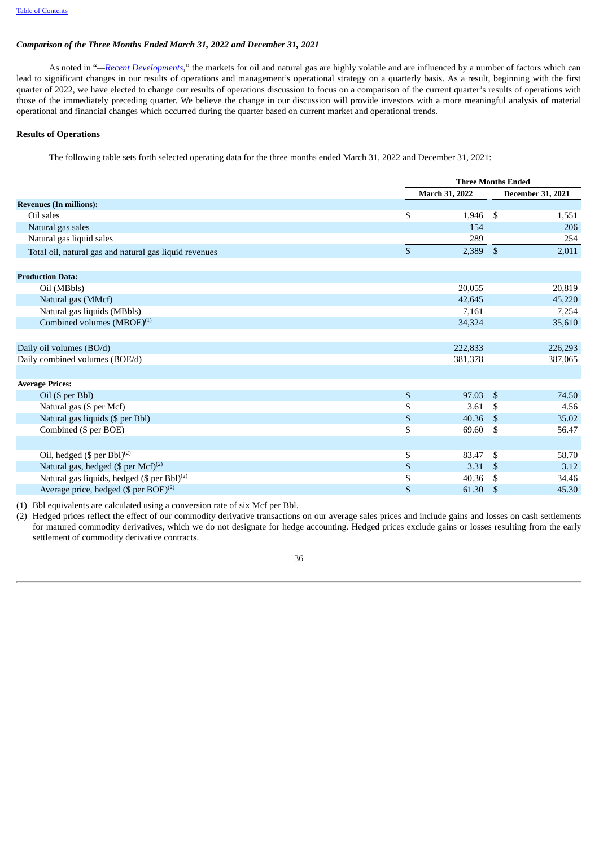#### *Comparison of the Three Months Ended March 31, 2022 and December 31, 2021*

As noted in "*—Recent [Developments](#page-32-0),*" the markets for oil and natural gas are highly volatile and are influenced by a number of factors which can lead to significant changes in our results of operations and management's operational strategy on a quarterly basis. As a result, beginning with the first quarter of 2022, we have elected to change our results of operations discussion to focus on a comparison of the current quarter's results of operations with those of the immediately preceding quarter. We believe the change in our discussion will provide investors with a more meaningful analysis of material operational and financial changes which occurred during the quarter based on current market and operational trends.

# **Results of Operations**

The following table sets forth selected operating data for the three months ended March 31, 2022 and December 31, 2021:

|                                                         | <b>Three Months Ended</b> |                    |                   |  |
|---------------------------------------------------------|---------------------------|--------------------|-------------------|--|
|                                                         | March 31, 2022            |                    | December 31, 2021 |  |
| <b>Revenues (In millions):</b>                          |                           |                    |                   |  |
| Oil sales                                               | \$<br>1,946               | - \$               | 1,551             |  |
| Natural gas sales                                       | 154                       |                    | 206               |  |
| Natural gas liquid sales                                | 289                       |                    | 254               |  |
| Total oil, natural gas and natural gas liquid revenues  | \$<br>2,389               | $\sqrt{3}$         | 2,011             |  |
| <b>Production Data:</b>                                 |                           |                    |                   |  |
| Oil (MBbls)                                             | 20,055                    |                    | 20,819            |  |
| Natural gas (MMcf)                                      | 42,645                    |                    | 45,220            |  |
| Natural gas liquids (MBbls)                             | 7,161                     |                    | 7,254             |  |
| Combined volumes $(MBOE)^{(1)}$                         | 34,324                    |                    | 35,610            |  |
|                                                         |                           |                    |                   |  |
| Daily oil volumes (BO/d)                                | 222,833                   |                    | 226,293           |  |
| Daily combined volumes (BOE/d)                          | 381,378                   |                    | 387,065           |  |
| <b>Average Prices:</b>                                  |                           |                    |                   |  |
| Oil (\$ per Bbl)                                        | \$<br>97.03               | - \$               | 74.50             |  |
| Natural gas (\$ per Mcf)                                | \$<br>3.61                | - \$               | 4.56              |  |
| Natural gas liquids (\$ per Bbl)                        | \$<br>40.36               | $\mathbf{\hat{s}}$ | 35.02             |  |
| Combined (\$ per BOE)                                   | \$<br>69.60               | -\$                | 56.47             |  |
|                                                         |                           |                    |                   |  |
| Oil, hedged $(\$$ per Bbl $)^{(2)}$                     | \$<br>83.47               | -\$                | 58.70             |  |
| Natural gas, hedged (\$ per Mcf) <sup>(2)</sup>         | \$<br>3.31                | - \$               | 3.12              |  |
| Natural gas liquids, hedged (\$ per Bbl) <sup>(2)</sup> | \$<br>40.36               | -\$                | 34.46             |  |
| Average price, hedged $(\$$ per BOE $)^{(2)}$           | \$<br>61.30               | -\$                | 45.30             |  |

(1) Bbl equivalents are calculated using a conversion rate of six Mcf per Bbl.

(2) Hedged prices reflect the effect of our commodity derivative transactions on our average sales prices and include gains and losses on cash settlements for matured commodity derivatives, which we do not designate for hedge accounting. Hedged prices exclude gains or losses resulting from the early settlement of commodity derivative contracts.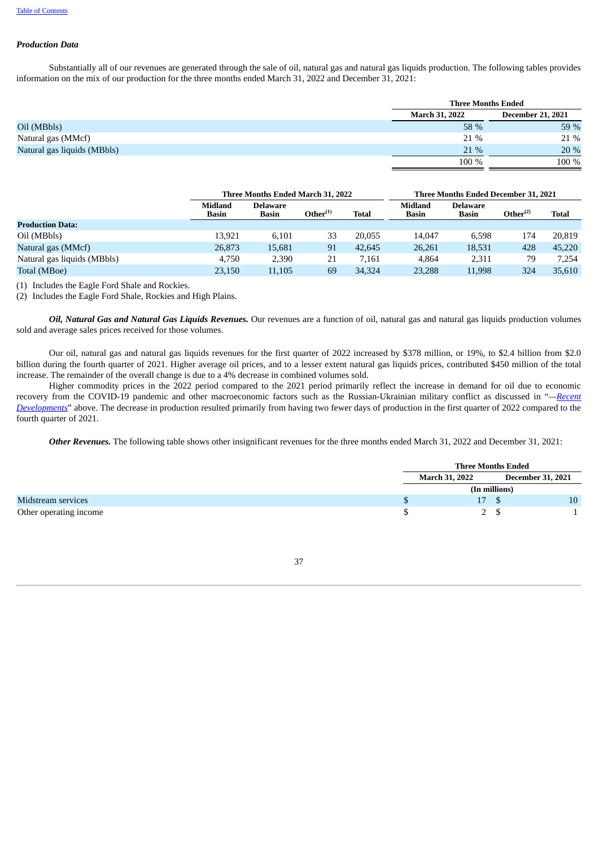#### *Production Data*

Substantially all of our revenues are generated through the sale of oil, natural gas and natural gas liquids production. The following tables provides information on the mix of our production for the three months ended March 31, 2022 and December 31, 2021:

|                             |                       | <b>Three Months Ended</b> |  |  |  |  |
|-----------------------------|-----------------------|---------------------------|--|--|--|--|
|                             | <b>March 31, 2022</b> | <b>December 21, 2021</b>  |  |  |  |  |
| Oil (MBbls)                 | 58 %                  | 59 %                      |  |  |  |  |
| Natural gas (MMcf)          | 21 %                  | 21 %                      |  |  |  |  |
| Natural gas liquids (MBbls) | $21\%$                | 20 %                      |  |  |  |  |
|                             | 100 %                 | 100 %                     |  |  |  |  |

|                             |                         | <b>Three Months Ended March 31, 2022</b> |                   |              |                         | Three Months Ended December 31, 2021 |                   |              |
|-----------------------------|-------------------------|------------------------------------------|-------------------|--------------|-------------------------|--------------------------------------|-------------------|--------------|
|                             | Midland<br><b>Basin</b> | <b>Delaware</b><br><b>Basin</b>          | $O$ ther $^{(1)}$ | <b>Total</b> | Midland<br><b>Basin</b> | <b>Delaware</b><br><b>Basin</b>      | $O$ ther $^{(2)}$ | <b>Total</b> |
| <b>Production Data:</b>     |                         |                                          |                   |              |                         |                                      |                   |              |
| Oil (MBbls)                 | 13.921                  | 6,101                                    | 33                | 20,055       | 14.047                  | 6.598                                | 174               | 20.819       |
| Natural gas (MMcf)          | 26,873                  | 15,681                                   | 91                | 42,645       | 26,261                  | 18,531                               | 428               | 45,220       |
| Natural gas liquids (MBbls) | 4.750                   | 2,390                                    | 21                | 7.161        | 4.864                   | 2,311                                | 79                | 7.254        |
| Total (MBoe)                | 23,150                  | 11.105                                   | 69                | 34,324       | 23,288                  | 11,998                               | 324               | 35.610       |

(1) Includes the Eagle Ford Shale and Rockies.

(2) Includes the Eagle Ford Shale, Rockies and High Plains.

*Oil, Natural Gas and Natural Gas Liquids Revenues.* Our revenues are a function of oil, natural gas and natural gas liquids production volumes sold and average sales prices received for those volumes.

Our oil, natural gas and natural gas liquids revenues for the first quarter of 2022 increased by \$378 million, or 19%, to \$2.4 billion from \$2.0 billion during the fourth quarter of 2021. Higher average oil prices, and to a lesser extent natural gas liquids prices, contributed \$450 million of the total increase. The remainder of the overall change is due to a 4% decrease in combined volumes sold.

Higher commodity prices in the 2022 period compared to the 2021 period primarily reflect the increase in demand for oil due to economic recovery from the COVID-19 pandemic and other macroeconomic factors such as the [Russian-Ukrainian](#page-32-0) military conflict as discussed in "*—Recent Developments*" above. The decrease in production resulted primarily from having two fewer days of production in the first quarter of 2022 compared to the fourth quarter of 2021.

*Other Revenues.* The following table shows other insignificant revenues for the three months ended March 31, 2022 and December 31, 2021:

|                        | <b>Three Months Ended</b> |                          |                 |  |  |
|------------------------|---------------------------|--------------------------|-----------------|--|--|
|                        | <b>March 31, 2022</b>     | <b>December 31, 2021</b> |                 |  |  |
|                        | (In millions)             |                          |                 |  |  |
| Midstream services     | 17                        | - \$                     | 10 <sup>°</sup> |  |  |
| Other operating income |                           | 2 \$                     |                 |  |  |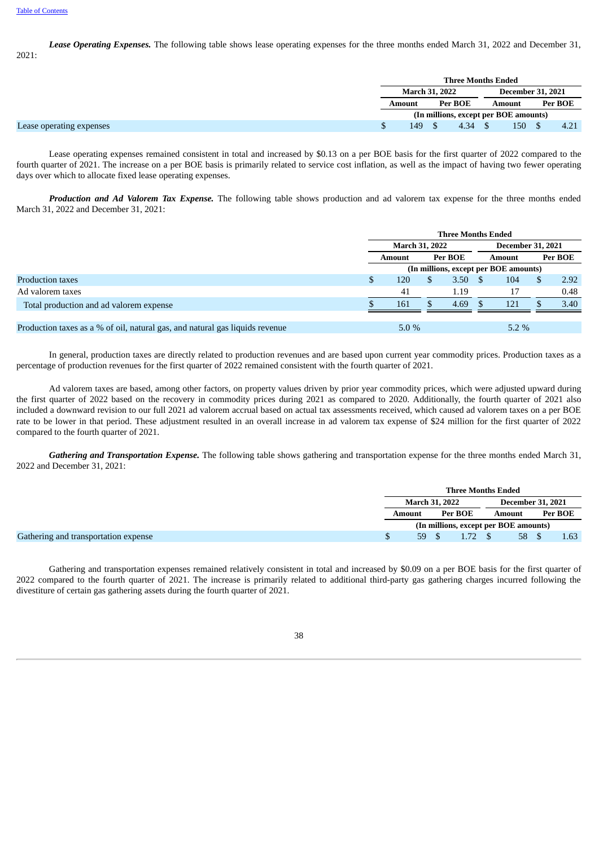*Lease Operating Expenses.* The following table shows lease operating expenses for the three months ended March 31, 2022 and December 31, 2021:

|                          | <b>Three Months Ended</b>             |         |      |                          |     |         |      |  |
|--------------------------|---------------------------------------|---------|------|--------------------------|-----|---------|------|--|
|                          | <b>March 31, 2022</b>                 |         |      | <b>December 31, 2021</b> |     |         |      |  |
|                          | Amount                                | Per BOE |      | Amount                   |     | Per BOE |      |  |
|                          | (In millions, except per BOE amounts) |         |      |                          |     |         |      |  |
| Lease operating expenses | 149                                   |         | 4.34 |                          | 150 |         | 4.21 |  |

Lease operating expenses remained consistent in total and increased by \$0.13 on a per BOE basis for the first quarter of 2022 compared to the fourth quarter of 2021. The increase on a per BOE basis is primarily related to service cost inflation, as well as the impact of having two fewer operating days over which to allocate fixed lease operating expenses.

*Production and Ad Valorem Tax Expense.* The following table shows production and ad valorem tax expense for the three months ended March 31, 2022 and December 31, 2021:

|                                                                              | <b>Three Months Ended</b>             |                       |  |         |               |                          |  |         |  |
|------------------------------------------------------------------------------|---------------------------------------|-----------------------|--|---------|---------------|--------------------------|--|---------|--|
|                                                                              |                                       | <b>March 31, 2022</b> |  |         |               | <b>December 31, 2021</b> |  |         |  |
|                                                                              |                                       | Amount                |  | Per BOE | <b>Amount</b> |                          |  | Per BOE |  |
|                                                                              | (In millions, except per BOE amounts) |                       |  |         |               |                          |  |         |  |
| Production taxes                                                             |                                       | 120                   |  | 3.50    |               | 104                      |  | 2.92    |  |
| Ad valorem taxes                                                             |                                       | 41                    |  | 1.19    |               | 17                       |  | 0.48    |  |
| Total production and ad valorem expense                                      |                                       | 161                   |  | 4.69    |               | 121                      |  | 3.40    |  |
|                                                                              |                                       |                       |  |         |               |                          |  |         |  |
| Production taxes as a % of oil, natural gas, and natural gas liquids revenue | $5.0\%$<br>$5.2\%$                    |                       |  |         |               |                          |  |         |  |

In general, production taxes are directly related to production revenues and are based upon current year commodity prices. Production taxes as a percentage of production revenues for the first quarter of 2022 remained consistent with the fourth quarter of 2021.

Ad valorem taxes are based, among other factors, on property values driven by prior year commodity prices, which were adjusted upward during the first quarter of 2022 based on the recovery in commodity prices during 2021 as compared to 2020. Additionally, the fourth quarter of 2021 also included a downward revision to our full 2021 ad valorem accrual based on actual tax assessments received, which caused ad valorem taxes on a per BOE rate to be lower in that period. These adjustment resulted in an overall increase in ad valorem tax expense of \$24 million for the first quarter of 2022 compared to the fourth quarter of 2021.

*Gathering and Transportation Expense.* The following table shows gathering and transportation expense for the three months ended March 31, 2022 and December 31, 2021:

|                                      | Three Months Ended                    |         |      |                          |       |         |      |  |
|--------------------------------------|---------------------------------------|---------|------|--------------------------|-------|---------|------|--|
|                                      | March 31, 2022                        |         |      | <b>December 31, 2021</b> |       |         |      |  |
|                                      | Amount                                | Per BOE |      | Amount                   |       | Per BOE |      |  |
|                                      | (In millions, except per BOE amounts) |         |      |                          |       |         |      |  |
| Gathering and transportation expense | 59                                    |         | 1.72 |                          | 58 \$ |         | 1.63 |  |

Gathering and transportation expenses remained relatively consistent in total and increased by \$0.09 on a per BOE basis for the first quarter of 2022 compared to the fourth quarter of 2021. The increase is primarily related to additional third-party gas gathering charges incurred following the divestiture of certain gas gathering assets during the fourth quarter of 2021.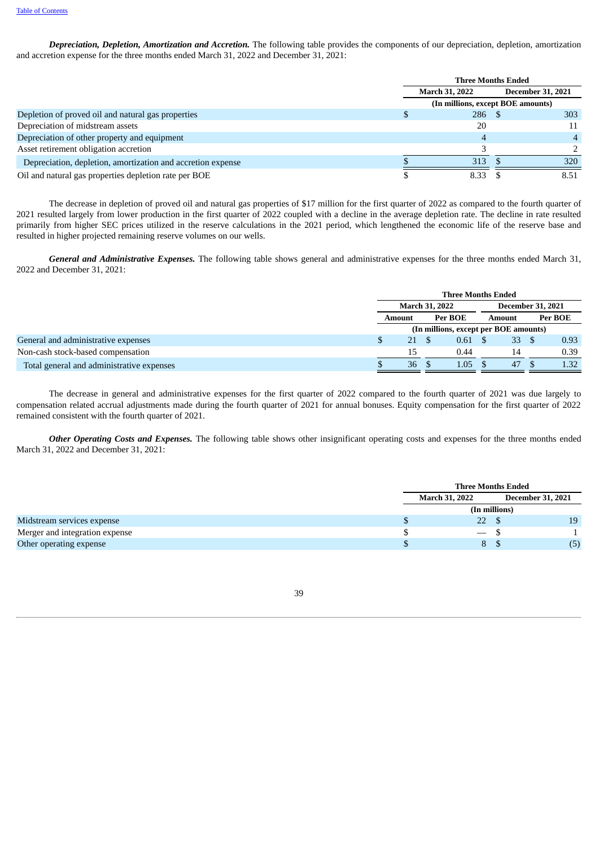*Depreciation, Depletion, Amortization and Accretion.* The following table provides the components of our depreciation, depletion, amortization and accretion expense for the three months ended March 31, 2022 and December 31, 2021:

|                                                             | <b>Three Months Ended</b>         |                          |                |  |
|-------------------------------------------------------------|-----------------------------------|--------------------------|----------------|--|
|                                                             | <b>March 31, 2022</b>             | <b>December 31, 2021</b> |                |  |
|                                                             | (In millions, except BOE amounts) |                          |                |  |
| Depletion of proved oil and natural gas properties          | 286S                              |                          | 303            |  |
| Depreciation of midstream assets                            | 20                                |                          | 11             |  |
| Depreciation of other property and equipment                | 4                                 |                          | $\overline{A}$ |  |
| Asset retirement obligation accretion                       |                                   |                          |                |  |
| Depreciation, depletion, amortization and accretion expense | 313                               |                          | 320            |  |
| Oil and natural gas properties depletion rate per BOE       | 8.33                              |                          | 8.51           |  |

The decrease in depletion of proved oil and natural gas properties of \$17 million for the first quarter of 2022 as compared to the fourth quarter of 2021 resulted largely from lower production in the first quarter of 2022 coupled with a decline in the average depletion rate. The decline in rate resulted primarily from higher SEC prices utilized in the reserve calculations in the 2021 period, which lengthened the economic life of the reserve base and resulted in higher projected remaining reserve volumes on our wells.

*General and Administrative Expenses.* The following table shows general and administrative expenses for the three months ended March 31, 2022 and December 31, 2021:

|                                           | <b>Three Months Ended</b> |  |                                       |                          |    |         |      |
|-------------------------------------------|---------------------------|--|---------------------------------------|--------------------------|----|---------|------|
|                                           | <b>March 31, 2022</b>     |  |                                       | <b>December 31, 2021</b> |    |         |      |
|                                           | Amount                    |  | Per BOE                               | Amount                   |    | Per BOE |      |
|                                           |                           |  | (In millions, except per BOE amounts) |                          |    |         |      |
| General and administrative expenses       | 21                        |  | $0.61 \quad$ \$                       |                          | 33 |         | 0.93 |
| Non-cash stock-based compensation         | 15                        |  | 0.44                                  |                          | 14 |         | 0.39 |
| Total general and administrative expenses | 36                        |  | 1.05 <sub>1</sub>                     |                          | 47 |         | 1.32 |

The decrease in general and administrative expenses for the first quarter of 2022 compared to the fourth quarter of 2021 was due largely to compensation related accrual adjustments made during the fourth quarter of 2021 for annual bonuses. Equity compensation for the first quarter of 2022 remained consistent with the fourth quarter of 2021.

*Other Operating Costs and Expenses.* The following table shows other insignificant operating costs and expenses for the three months ended March 31, 2022 and December 31, 2021:

|                                | <b>Three Months Ended</b> |                          |     |  |
|--------------------------------|---------------------------|--------------------------|-----|--|
|                                | <b>March 31, 2022</b>     | <b>December 31, 2021</b> |     |  |
|                                |                           | (In millions)            |     |  |
| Midstream services expense     | 22                        |                          | 19  |  |
| Merger and integration expense | $ \sim$                   |                          |     |  |
| Other operating expense        | 8                         |                          | (5) |  |

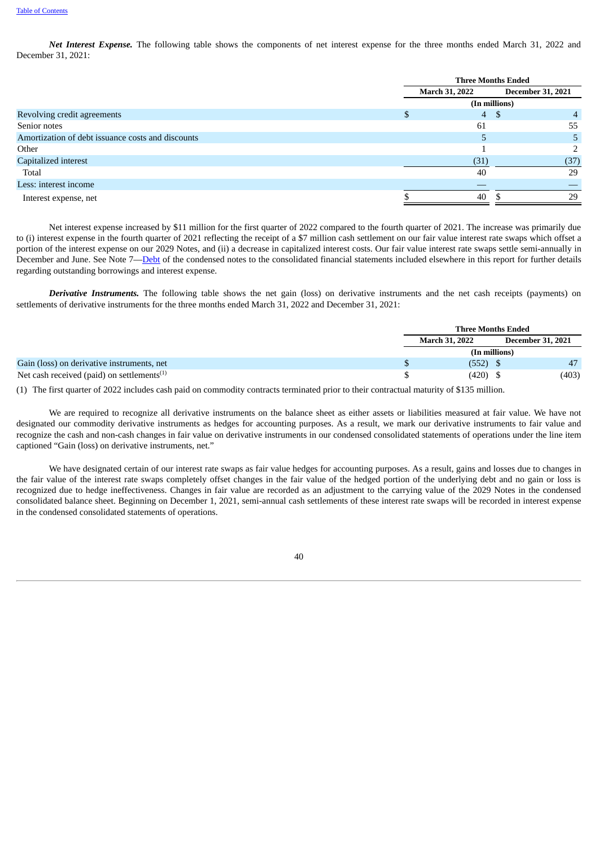*Net Interest Expense.* The following table shows the components of net interest expense for the three months ended March 31, 2022 and December 31, 2021:

|                                                   | <b>Three Months Ended</b>                         |               |  |  |
|---------------------------------------------------|---------------------------------------------------|---------------|--|--|
|                                                   | <b>December 31, 2021</b><br><b>March 31, 2022</b> |               |  |  |
|                                                   |                                                   | (In millions) |  |  |
| Revolving credit agreements                       | 4S                                                | 4             |  |  |
| Senior notes                                      | 61                                                | 55            |  |  |
| Amortization of debt issuance costs and discounts | 5.                                                | 5.            |  |  |
| Other                                             |                                                   |               |  |  |
| Capitalized interest                              | (31)                                              | (37)          |  |  |
| Total                                             | 40                                                | 29            |  |  |
| Less: interest income                             |                                                   |               |  |  |
| Interest expense, net                             | 40                                                | 29            |  |  |
|                                                   |                                                   |               |  |  |

Net interest expense increased by \$11 million for the first quarter of 2022 compared to the fourth quarter of 2021. The increase was primarily due to (i) interest expense in the fourth quarter of 2021 reflecting the receipt of a \$7 million cash settlement on our fair value interest rate swaps which offset a portion of the interest expense on our 2029 Notes, and (ii) a decrease in capitalized interest costs. Our fair value interest rate swaps settle semi-annually in December and June. See Note 7—[Debt](#page-18-0) of the condensed notes to the consolidated financial statements included elsewhere in this report for further details regarding outstanding borrowings and interest expense.

*Derivative Instruments.* The following table shows the net gain (loss) on derivative instruments and the net cash receipts (payments) on settlements of derivative instruments for the three months ended March 31, 2022 and December 31, 2021:

|                                                        | <b>Three Months Ended</b> |                          |
|--------------------------------------------------------|---------------------------|--------------------------|
|                                                        | <b>March 31, 2022</b>     | <b>December 31, 2021</b> |
|                                                        | (In millions)             |                          |
| Gain (loss) on derivative instruments, net             | $(552)$ \$                | 47                       |
| Net cash received (paid) on settlements <sup>(1)</sup> | $(420)$ \$                | (403)                    |

(1) The first quarter of 2022 includes cash paid on commodity contracts terminated prior to their contractual maturity of \$135 million.

We are required to recognize all derivative instruments on the balance sheet as either assets or liabilities measured at fair value. We have not designated our commodity derivative instruments as hedges for accounting purposes. As a result, we mark our derivative instruments to fair value and recognize the cash and non-cash changes in fair value on derivative instruments in our condensed consolidated statements of operations under the line item captioned "Gain (loss) on derivative instruments, net."

We have designated certain of our interest rate swaps as fair value hedges for accounting purposes. As a result, gains and losses due to changes in the fair value of the interest rate swaps completely offset changes in the fair value of the hedged portion of the underlying debt and no gain or loss is recognized due to hedge ineffectiveness. Changes in fair value are recorded as an adjustment to the carrying value of the 2029 Notes in the condensed consolidated balance sheet. Beginning on December 1, 2021, semi-annual cash settlements of these interest rate swaps will be recorded in interest expense in the condensed consolidated statements of operations.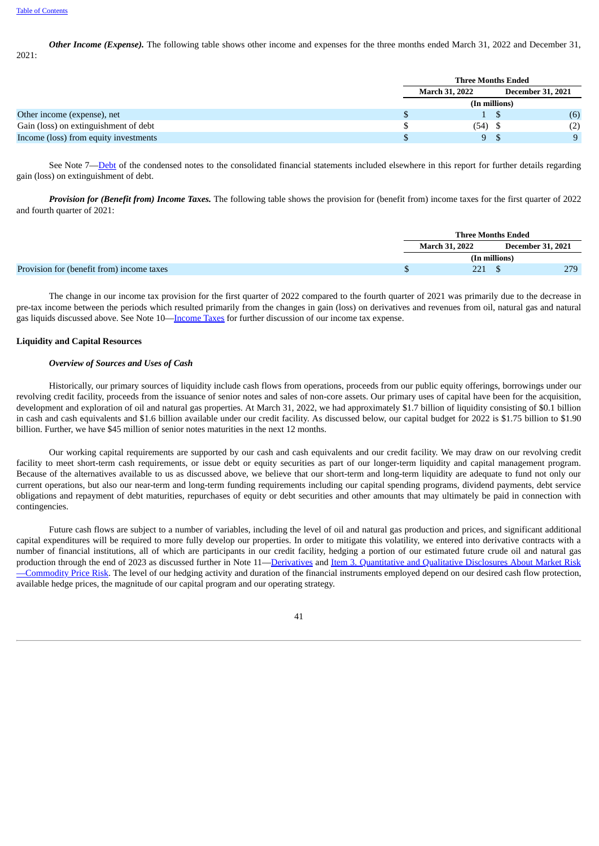*Other Income (Expense).* The following table shows other income and expenses for the three months ended March 31, 2022 and December 31, 2021:

|                                       | <b>Three Months Ended</b> |  |                          |  |
|---------------------------------------|---------------------------|--|--------------------------|--|
|                                       | <b>March 31, 2022</b>     |  | <b>December 31, 2021</b> |  |
|                                       | (In millions)             |  |                          |  |
| Other income (expense), net           |                           |  | (6)                      |  |
| Gain (loss) on extinguishment of debt | $(54)$ \$                 |  | (2)                      |  |
| Income (loss) from equity investments | 9S                        |  | Q                        |  |

See Note 7—[Debt](#page-18-0) of the condensed notes to the consolidated financial statements included elsewhere in this report for further details regarding gain (loss) on extinguishment of debt.

*Provision for (Benefit from) Income Taxes.* The following table shows the provision for (benefit from) income taxes for the first quarter of 2022 and fourth quarter of 2021:

|                                           | <b>Three Months Ended</b> |               |                          |  |
|-------------------------------------------|---------------------------|---------------|--------------------------|--|
|                                           | March 31, 2022            |               | <b>December 31, 2021</b> |  |
|                                           |                           | (In millions) |                          |  |
| Provision for (benefit from) income taxes | 221                       |               | 279                      |  |

The change in our income tax provision for the first quarter of 2022 compared to the fourth quarter of 2021 was primarily due to the decrease in pre-tax income between the periods which resulted primarily from the changes in gain (loss) on derivatives and revenues from oil, natural gas and natural gas liquids discussed above. See Note 10[—Income](#page-23-0) Taxes for further discussion of our income tax expense.

### <span id="page-46-0"></span>**Liquidity and Capital Resources**

#### *Overview of Sources and Uses of Cash*

Historically, our primary sources of liquidity include cash flows from operations, proceeds from our public equity offerings, borrowings under our revolving credit facility, proceeds from the issuance of senior notes and sales of non-core assets. Our primary uses of capital have been for the acquisition, development and exploration of oil and natural gas properties. At March 31, 2022, we had approximately \$1.7 billion of liquidity consisting of \$0.1 billion in cash and cash equivalents and \$1.6 billion available under our credit facility. As discussed below, our capital budget for 2022 is \$1.75 billion to \$1.90 billion. Further, we have \$45 million of senior notes maturities in the next 12 months.

Our working capital requirements are supported by our cash and cash equivalents and our credit facility. We may draw on our revolving credit facility to meet short-term cash requirements, or issue debt or equity securities as part of our longer-term liquidity and capital management program. Because of the alternatives available to us as discussed above, we believe that our short-term and long-term liquidity are adequate to fund not only our current operations, but also our near-term and long-term funding requirements including our capital spending programs, dividend payments, debt service obligations and repayment of debt maturities, repurchases of equity or debt securities and other amounts that may ultimately be paid in connection with contingencies.

Future cash flows are subject to a number of variables, including the level of oil and natural gas production and prices, and significant additional capital expenditures will be required to more fully develop our properties. In order to mitigate this volatility, we entered into derivative contracts with a number of financial institutions, all of which are participants in our credit facility, hedging a portion of our estimated future crude oil and natural gas production through the end of 2023 as discussed further in Note [11—D](#page-52-0)[erivative](#page-24-0)[s](#page-52-0) and Item 3. Quantitative and Qualitative Disclosures About Market Risk **-Commodity Price Risk.** The level of our hedging activity and duration of the financial instruments employed depend on our desired cash flow protection, available hedge prices, the magnitude of our capital program and our operating strategy.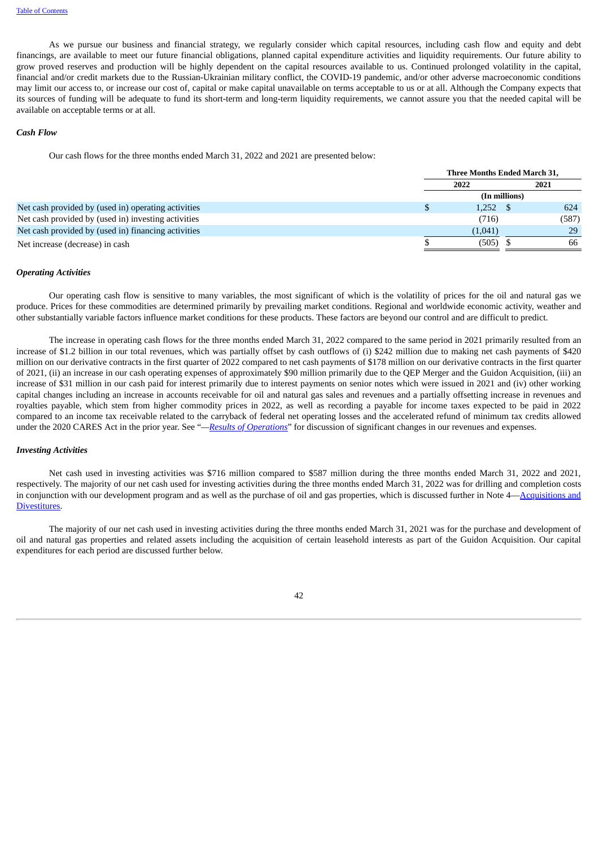As we pursue our business and financial strategy, we regularly consider which capital resources, including cash flow and equity and debt financings, are available to meet our future financial obligations, planned capital expenditure activities and liquidity requirements. Our future ability to grow proved reserves and production will be highly dependent on the capital resources available to us. Continued prolonged volatility in the capital, financial and/or credit markets due to the Russian-Ukrainian military conflict, the COVID-19 pandemic, and/or other adverse macroeconomic conditions may limit our access to, or increase our cost of, capital or make capital unavailable on terms acceptable to us or at all. Although the Company expects that its sources of funding will be adequate to fund its short-term and long-term liquidity requirements, we cannot assure you that the needed capital will be available on acceptable terms or at all.

#### *Cash Flow*

Our cash flows for the three months ended March 31, 2022 and 2021 are presented below:

|                                                     |         | Three Months Ended March 31, |
|-----------------------------------------------------|---------|------------------------------|
|                                                     | 2022    | 2021                         |
|                                                     |         | (In millions)                |
| Net cash provided by (used in) operating activities | 1,252   | 624                          |
| Net cash provided by (used in) investing activities | (716)   | (587)                        |
| Net cash provided by (used in) financing activities | (1,041) | 29                           |
| Net increase (decrease) in cash                     | (505)   | 66                           |
|                                                     |         |                              |

#### *Operating Activities*

Our operating cash flow is sensitive to many variables, the most significant of which is the volatility of prices for the oil and natural gas we produce. Prices for these commodities are determined primarily by prevailing market conditions. Regional and worldwide economic activity, weather and other substantially variable factors influence market conditions for these products. These factors are beyond our control and are difficult to predict.

The increase in operating cash flows for the three months ended March 31, 2022 compared to the same period in 2021 primarily resulted from an increase of \$1.2 billion in our total revenues, which was partially offset by cash outflows of (i) \$242 million due to making net cash payments of \$420 million on our derivative contracts in the first quarter of 2022 compared to net cash payments of \$178 million on our derivative contracts in the first quarter of 2021, (ii) an increase in our cash operating expenses of approximately \$90 million primarily due to the QEP Merger and the Guidon Acquisition, (iii) an increase of \$31 million in our cash paid for interest primarily due to interest payments on senior notes which were issued in 2021 and (iv) other working capital changes including an increase in accounts receivable for oil and natural gas sales and revenues and a partially offsetting increase in revenues and royalties payable, which stem from higher commodity prices in 2022, as well as recording a payable for income taxes expected to be paid in 2022 compared to an income tax receivable related to the carryback of federal net operating losses and the accelerated refund of minimum tax credits allowed under the 2020 CARES Act in the prior year. See "*—Results of [Operations](#page-34-0)*" for discussion of significant changes in our revenues and expenses.

#### *Investing Activities*

Net cash used in investing activities was \$716 million compared to \$587 million during the three months ended March 31, 2022 and 2021, respectively. The majority of our net cash used for investing activities during the three months ended March 31, 2022 was for drilling and completion costs in conjunction with our development program and as well as the purchase of oil and gas properties, which is discussed further in Note [4—Acquisitions](#page-13-0) and Divestitures.

The majority of our net cash used in investing activities during the three months ended March 31, 2021 was for the purchase and development of oil and natural gas properties and related assets including the acquisition of certain leasehold interests as part of the Guidon Acquisition. Our capital expenditures for each period are discussed further below.

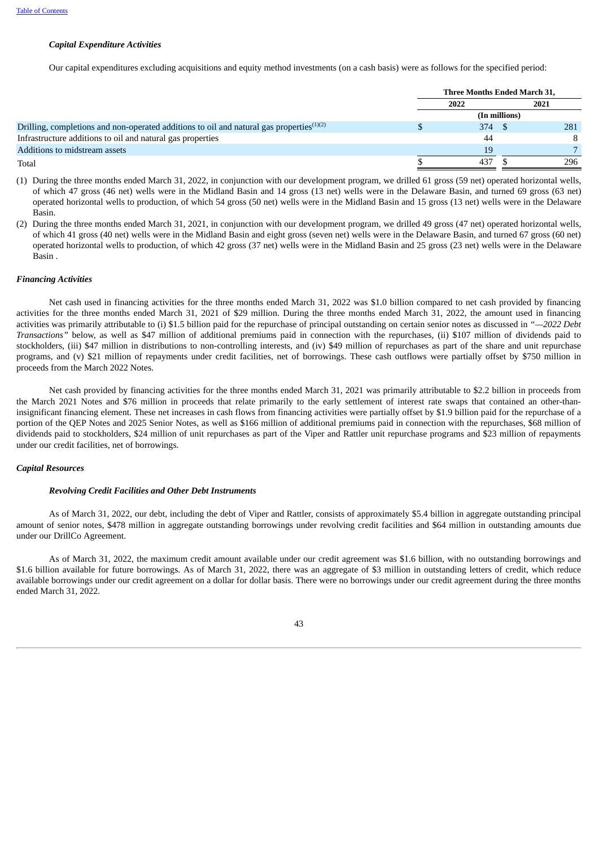#### *Capital Expenditure Activities*

Our capital expenditures excluding acquisitions and equity method investments (on a cash basis) were as follows for the specified period:

|                                                                                             | Three Months Ended March 31, |               |      |  |
|---------------------------------------------------------------------------------------------|------------------------------|---------------|------|--|
|                                                                                             | 2022                         |               | 2021 |  |
|                                                                                             |                              | (In millions) |      |  |
| Drilling, completions and non-operated additions to oil and natural gas properties $(1)(2)$ | 374                          |               | 281  |  |
| Infrastructure additions to oil and natural gas properties                                  | 44                           |               |      |  |
| Additions to midstream assets                                                               | 19                           |               |      |  |
| Total                                                                                       | 437                          |               | 296  |  |

(1) During the three months ended March 31, 2022, in conjunction with our development program, we drilled 61 gross (59 net) operated horizontal wells, of which 47 gross (46 net) wells were in the Midland Basin and 14 gross (13 net) wells were in the Delaware Basin, and turned 69 gross (63 net) operated horizontal wells to production, of which 54 gross (50 net) wells were in the Midland Basin and 15 gross (13 net) wells were in the Delaware Basin.

(2) During the three months ended March 31, 2021, in conjunction with our development program, we drilled 49 gross (47 net) operated horizontal wells, of which 41 gross (40 net) wells were in the Midland Basin and eight gross (seven net) wells were in the Delaware Basin, and turned 67 gross (60 net) operated horizontal wells to production, of which 42 gross (37 net) wells were in the Midland Basin and 25 gross (23 net) wells were in the Delaware Basin .

#### *Financing Activities*

Net cash used in financing activities for the three months ended March 31, 2022 was \$1.0 billion compared to net cash provided by financing activities for the three months ended March 31, 2021 of \$29 million. During the three months ended March 31, 2022, the amount used in financing activities was primarily attributable to (i) \$1.5 billion paid for the repurchase of principal outstanding on certain senior notes as discussed in *"—2022 Debt Transactions"* below, as well as \$47 million of additional premiums paid in connection with the repurchases, (ii) \$107 million of dividends paid to stockholders, (iii) \$47 million in distributions to non-controlling interests, and (iv) \$49 million of repurchases as part of the share and unit repurchase programs, and (v) \$21 million of repayments under credit facilities, net of borrowings. These cash outflows were partially offset by \$750 million in proceeds from the March 2022 Notes.

Net cash provided by financing activities for the three months ended March 31, 2021 was primarily attributable to \$2.2 billion in proceeds from the March 2021 Notes and \$76 million in proceeds that relate primarily to the early settlement of interest rate swaps that contained an other-thaninsignificant financing element. These net increases in cash flows from financing activities were partially offset by \$1.9 billion paid for the repurchase of a portion of the QEP Notes and 2025 Senior Notes, as well as \$166 million of additional premiums paid in connection with the repurchases, \$68 million of dividends paid to stockholders, \$24 million of unit repurchases as part of the Viper and Rattler unit repurchase programs and \$23 million of repayments under our credit facilities, net of borrowings.

### *Capital Resources*

#### *Revolving Credit Facilities and Other Debt Instruments*

As of March 31, 2022, our debt, including the debt of Viper and Rattler, consists of approximately \$5.4 billion in aggregate outstanding principal amount of senior notes, \$478 million in aggregate outstanding borrowings under revolving credit facilities and \$64 million in outstanding amounts due under our DrillCo Agreement.

As of March 31, 2022, the maximum credit amount available under our credit agreement was \$1.6 billion, with no outstanding borrowings and \$1.6 billion available for future borrowings. As of March 31, 2022, there was an aggregate of \$3 million in outstanding letters of credit, which reduce available borrowings under our credit agreement on a dollar for dollar basis. There were no borrowings under our credit agreement during the three months ended March 31, 2022.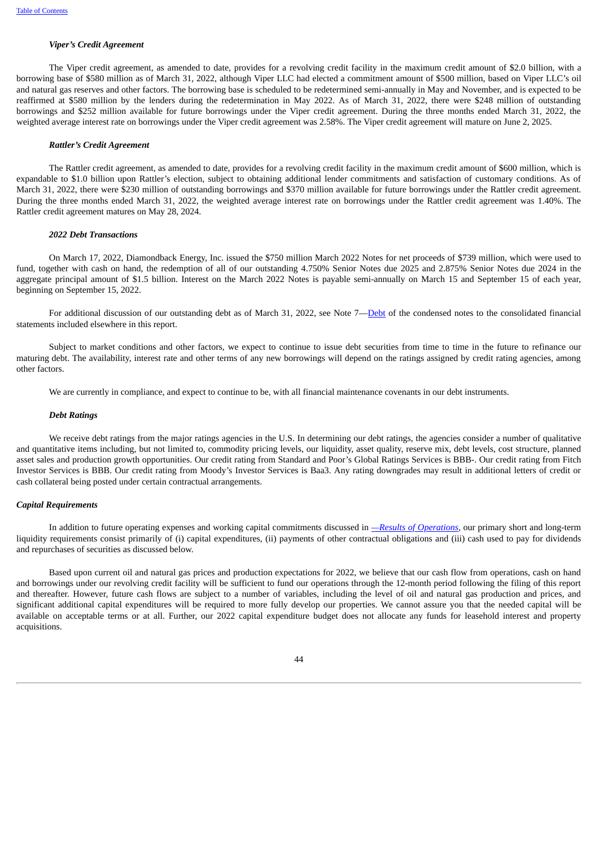#### *Viper's Credit Agreement*

The Viper credit agreement, as amended to date, provides for a revolving credit facility in the maximum credit amount of \$2.0 billion, with a borrowing base of \$580 million as of March 31, 2022, although Viper LLC had elected a commitment amount of \$500 million, based on Viper LLC's oil and natural gas reserves and other factors. The borrowing base is scheduled to be redetermined semi-annually in May and November, and is expected to be reaffirmed at \$580 million by the lenders during the redetermination in May 2022. As of March 31, 2022, there were \$248 million of outstanding borrowings and \$252 million available for future borrowings under the Viper credit agreement. During the three months ended March 31, 2022, the weighted average interest rate on borrowings under the Viper credit agreement was 2.58%. The Viper credit agreement will mature on June 2, 2025.

#### *Rattler's Credit Agreement*

The Rattler credit agreement, as amended to date, provides for a revolving credit facility in the maximum credit amount of \$600 million, which is expandable to \$1.0 billion upon Rattler's election, subject to obtaining additional lender commitments and satisfaction of customary conditions. As of March 31, 2022, there were \$230 million of outstanding borrowings and \$370 million available for future borrowings under the Rattler credit agreement. During the three months ended March 31, 2022, the weighted average interest rate on borrowings under the Rattler credit agreement was 1.40%. The Rattler credit agreement matures on May 28, 2024.

#### *2022 Debt Transactions*

On March 17, 2022, Diamondback Energy, Inc. issued the \$750 million March 2022 Notes for net proceeds of \$739 million, which were used to fund, together with cash on hand, the redemption of all of our outstanding 4.750% Senior Notes due 2025 and 2.875% Senior Notes due 2024 in the aggregate principal amount of \$1.5 billion. Interest on the March 2022 Notes is payable semi-annually on March 15 and September 15 of each year, beginning on September 15, 2022.

For additional discussion of our outstanding debt as of March 31, 2022, see Note 7—[Debt](#page-18-0) of the condensed notes to the consolidated financial statements included elsewhere in this report.

Subject to market conditions and other factors, we expect to continue to issue debt securities from time to time in the future to refinance our maturing debt. The availability, interest rate and other terms of any new borrowings will depend on the ratings assigned by credit rating agencies, among other factors.

We are currently in compliance, and expect to continue to be, with all financial maintenance covenants in our debt instruments.

#### *Debt Ratings*

We receive debt ratings from the major ratings agencies in the U.S. In determining our debt ratings, the agencies consider a number of qualitative and quantitative items including, but not limited to, commodity pricing levels, our liquidity, asset quality, reserve mix, debt levels, cost structure, planned asset sales and production growth opportunities. Our credit rating from Standard and Poor's Global Ratings Services is BBB-. Our credit rating from Fitch Investor Services is BBB. Our credit rating from Moody's Investor Services is Baa3. Any rating downgrades may result in additional letters of credit or cash collateral being posted under certain contractual arrangements.

#### *Capital Requirements*

In addition to future operating expenses and working capital commitments discussed in *—Results of [Operations,](#page-34-0)* our primary short and long-term liquidity requirements consist primarily of (i) capital expenditures, (ii) payments of other contractual obligations and (iii) cash used to pay for dividends and repurchases of securities as discussed below.

Based upon current oil and natural gas prices and production expectations for 2022, we believe that our cash flow from operations, cash on hand and borrowings under our revolving credit facility will be sufficient to fund our operations through the 12-month period following the filing of this report and thereafter. However, future cash flows are subject to a number of variables, including the level of oil and natural gas production and prices, and significant additional capital expenditures will be required to more fully develop our properties. We cannot assure you that the needed capital will be available on acceptable terms or at all. Further, our 2022 capital expenditure budget does not allocate any funds for leasehold interest and property acquisitions.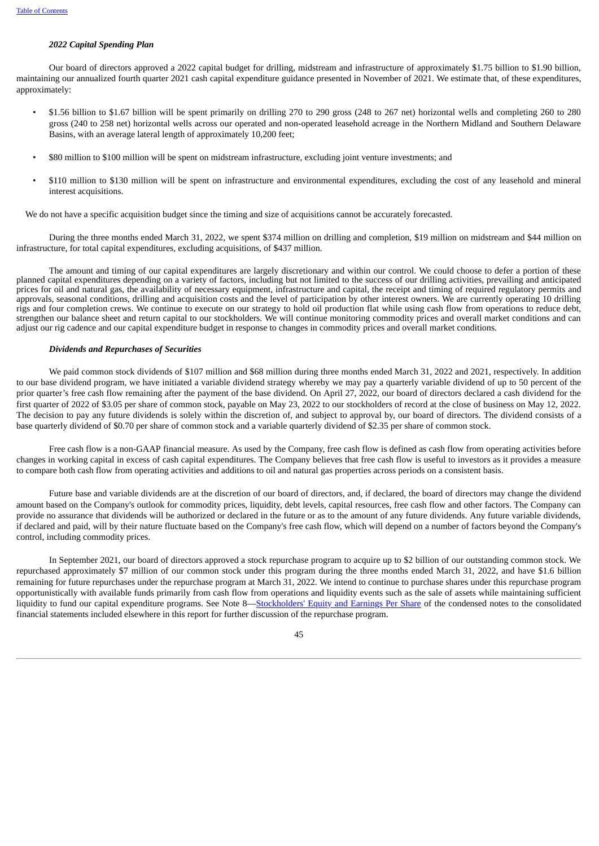#### *2022 Capital Spending Plan*

Our board of directors approved a 2022 capital budget for drilling, midstream and infrastructure of approximately \$1.75 billion to \$1.90 billion, maintaining our annualized fourth quarter 2021 cash capital expenditure guidance presented in November of 2021. We estimate that, of these expenditures, approximately:

- \$1.56 billion to \$1.67 billion will be spent primarily on drilling 270 to 290 gross (248 to 267 net) horizontal wells and completing 260 to 280 gross (240 to 258 net) horizontal wells across our operated and non-operated leasehold acreage in the Northern Midland and Southern Delaware Basins, with an average lateral length of approximately 10,200 feet;
- \$80 million to \$100 million will be spent on midstream infrastructure, excluding joint venture investments; and
- \$110 million to \$130 million will be spent on infrastructure and environmental expenditures, excluding the cost of any leasehold and mineral interest acquisitions.

We do not have a specific acquisition budget since the timing and size of acquisitions cannot be accurately forecasted.

During the three months ended March 31, 2022, we spent \$374 million on drilling and completion, \$19 million on midstream and \$44 million on infrastructure, for total capital expenditures, excluding acquisitions, of \$437 million.

The amount and timing of our capital expenditures are largely discretionary and within our control. We could choose to defer a portion of these planned capital expenditures depending on a variety of factors, including but not limited to the success of our drilling activities, prevailing and anticipated prices for oil and natural gas, the availability of necessary equipment, infrastructure and capital, the receipt and timing of required regulatory permits and approvals, seasonal conditions, drilling and acquisition costs and the level of participation by other interest owners. We are currently operating 10 drilling rigs and four completion crews. We continue to execute on our strategy to hold oil production flat while using cash flow from operations to reduce debt, strengthen our balance sheet and return capital to our stockholders. We will continue monitoring commodity prices and overall market conditions and can adjust our rig cadence and our capital expenditure budget in response to changes in commodity prices and overall market conditions.

#### *Dividends and Repurchases of Securities*

We paid common stock dividends of \$107 million and \$68 million during three months ended March 31, 2022 and 2021, respectively. In addition to our base dividend program, we have initiated a variable dividend strategy whereby we may pay a quarterly variable dividend of up to 50 percent of the prior quarter's free cash flow remaining after the payment of the base dividend. On April 27, 2022, our board of directors declared a cash dividend for the first quarter of 2022 of \$3.05 per share of common stock, payable on May 23, 2022 to our stockholders of record at the close of business on May 12, 2022. The decision to pay any future dividends is solely within the discretion of, and subject to approval by, our board of directors. The dividend consists of a base quarterly dividend of \$0.70 per share of common stock and a variable quarterly dividend of \$2.35 per share of common stock.

Free cash flow is a non-GAAP financial measure. As used by the Company, free cash flow is defined as cash flow from operating activities before changes in working capital in excess of cash capital expenditures. The Company believes that free cash flow is useful to investors as it provides a measure to compare both cash flow from operating activities and additions to oil and natural gas properties across periods on a consistent basis.

Future base and variable dividends are at the discretion of our board of directors, and, if declared, the board of directors may change the dividend amount based on the Company's outlook for commodity prices, liquidity, debt levels, capital resources, free cash flow and other factors. The Company can provide no assurance that dividends will be authorized or declared in the future or as to the amount of any future dividends. Any future variable dividends, if declared and paid, will by their nature fluctuate based on the Company's free cash flow, which will depend on a number of factors beyond the Company's control, including commodity prices.

In September 2021, our board of directors approved a stock repurchase program to acquire up to \$2 billion of our outstanding common stock. We repurchased approximately \$7 million of our common stock under this program during the three months ended March 31, 2022, and have \$1.6 billion remaining for future repurchases under the repurchase program at March 31, 2022. We intend to continue to purchase shares under this repurchase program opportunistically with available funds primarily from cash flow from operations and liquidity events such as the sale of assets while maintaining sufficient liquidity to fund our capital expenditure programs. See Note 8—[Stockholders'](#page-21-0) Equity and Earnings Per Share of the condensed notes to the consolidated financial statements included elsewhere in this report for further discussion of the repurchase program.

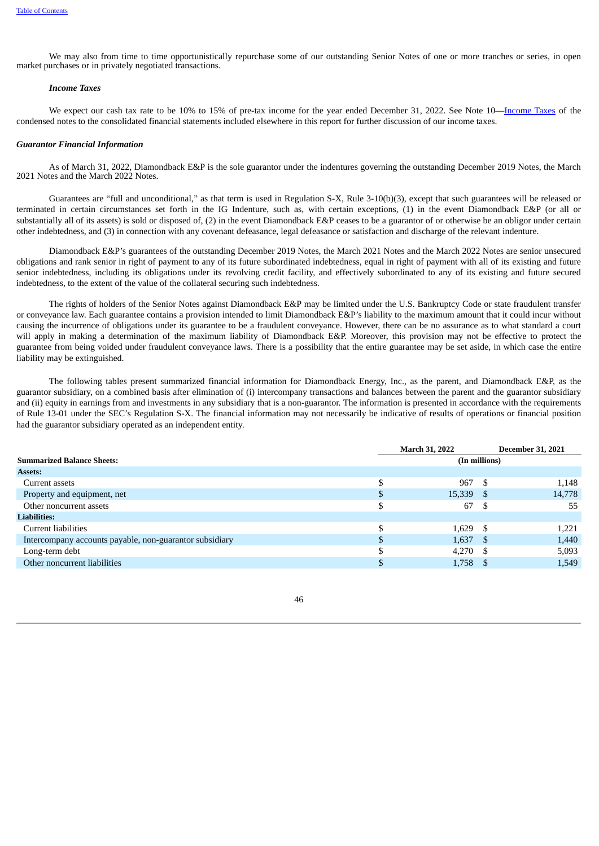We may also from time to time opportunistically repurchase some of our outstanding Senior Notes of one or more tranches or series, in open market purchases or in privately negotiated transactions.

# *Income Taxes*

We expect our cash tax rate to be 10% to 15% of pre-tax income for the year ended December 31, 2022. See Note 10—[Income](#page-23-0) Taxes of the condensed notes to the consolidated financial statements included elsewhere in this report for further discussion of our income taxes.

#### *Guarantor Financial Information*

As of March 31, 2022, Diamondback E&P is the sole guarantor under the indentures governing the outstanding December 2019 Notes, the March 2021 Notes and the March 2022 Notes.

Guarantees are "full and unconditional," as that term is used in Regulation S-X, Rule 3-10(b)(3), except that such guarantees will be released or terminated in certain circumstances set forth in the IG Indenture, such as, with certain exceptions, (1) in the event Diamondback E&P (or all or substantially all of its assets) is sold or disposed of, (2) in the event Diamondback E&P ceases to be a guarantor of or otherwise be an obligor under certain other indebtedness, and (3) in connection with any covenant defeasance, legal defeasance or satisfaction and discharge of the relevant indenture.

Diamondback E&P's guarantees of the outstanding December 2019 Notes, the March 2021 Notes and the March 2022 Notes are senior unsecured obligations and rank senior in right of payment to any of its future subordinated indebtedness, equal in right of payment with all of its existing and future senior indebtedness, including its obligations under its revolving credit facility, and effectively subordinated to any of its existing and future secured indebtedness, to the extent of the value of the collateral securing such indebtedness.

The rights of holders of the Senior Notes against Diamondback E&P may be limited under the U.S. Bankruptcy Code or state fraudulent transfer or conveyance law. Each guarantee contains a provision intended to limit Diamondback E&P's liability to the maximum amount that it could incur without causing the incurrence of obligations under its guarantee to be a fraudulent conveyance. However, there can be no assurance as to what standard a court will apply in making a determination of the maximum liability of Diamondback E&P. Moreover, this provision may not be effective to protect the guarantee from being voided under fraudulent conveyance laws. There is a possibility that the entire guarantee may be set aside, in which case the entire liability may be extinguished.

The following tables present summarized financial information for Diamondback Energy, Inc., as the parent, and Diamondback E&P, as the guarantor subsidiary, on a combined basis after elimination of (i) intercompany transactions and balances between the parent and the guarantor subsidiary and (ii) equity in earnings from and investments in any subsidiary that is a non-guarantor. The information is presented in accordance with the requirements of Rule 13-01 under the SEC's Regulation S-X. The financial information may not necessarily be indicative of results of operations or financial position had the guarantor subsidiary operated as an independent entity.

|                                                         |    | <b>March 31, 2022</b> |      | <b>December 31, 2021</b> |
|---------------------------------------------------------|----|-----------------------|------|--------------------------|
| <b>Summarized Balance Sheets:</b>                       |    | (In millions)         |      |                          |
| Assets:                                                 |    |                       |      |                          |
| Current assets                                          | \$ | 967                   | -S   | 1,148                    |
| Property and equipment, net                             | \$ | $15,339$ \$           |      | 14,778                   |
| Other noncurrent assets                                 | \$ | 67                    | \$.  | 55                       |
| <b>Liabilities:</b>                                     |    |                       |      |                          |
| Current liabilities                                     | \$ | $1,629$ \$            |      | 1,221                    |
| Intercompany accounts payable, non-guarantor subsidiary | \$ | 1,637                 | - \$ | 1,440                    |
| Long-term debt                                          | D  | 4,270                 | -8   | 5,093                    |
| Other noncurrent liabilities                            | \$ | $1,758$ \$            |      | 1,549                    |
|                                                         |    |                       |      |                          |

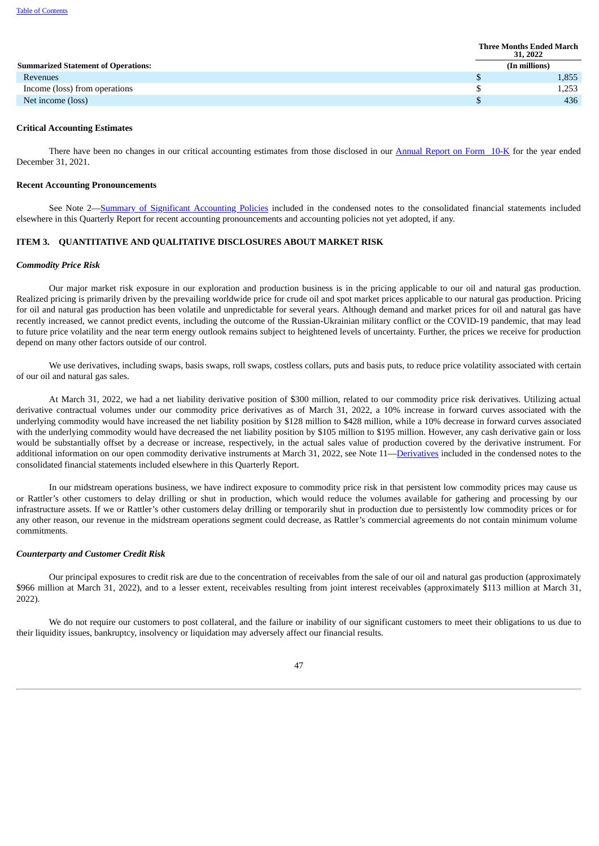|                                            | <b>Three Months Ended March</b><br>31, 2022 |               |  |
|--------------------------------------------|---------------------------------------------|---------------|--|
| <b>Summarized Statement of Operations:</b> |                                             | (In millions) |  |
| Revenues                                   |                                             | 1,855         |  |
| Income (loss) from operations              |                                             | 1,253         |  |
| Net income (loss)                          |                                             | 436           |  |

#### **Critical Accounting Estimates**

There have been no changes in our critical accounting estimates from those disclosed in our [Annual](https://www.sec.gov/ix?doc=/Archives/edgar/data/1539838/000153983822000008/fang-20211231.htm) Report on Form 10-K for the year ended December 31, 2021.

#### **Recent Accounting Pronouncements**

See Note 2—Summary of Significant [Accounting](#page-11-0) Policies included in the condensed notes to the consolidated financial statements included elsewhere in this Quarterly Report for recent accounting pronouncements and accounting policies not yet adopted, if any.

# <span id="page-52-0"></span>**ITEM 3. QUANTITATIVE AND QUALITATIVE DISCLOSURES ABOUT MARKET RISK**

#### *Commodity Price Risk*

Our major market risk exposure in our exploration and production business is in the pricing applicable to our oil and natural gas production. Realized pricing is primarily driven by the prevailing worldwide price for crude oil and spot market prices applicable to our natural gas production. Pricing for oil and natural gas production has been volatile and unpredictable for several years. Although demand and market prices for oil and natural gas have recently increased, we cannot predict events, including the outcome of the Russian-Ukrainian military conflict or the COVID-19 pandemic, that may lead to future price volatility and the near term energy outlook remains subject to heightened levels of uncertainty. Further, the prices we receive for production depend on many other factors outside of our control.

We use derivatives, including swaps, basis swaps, roll swaps, costless collars, puts and basis puts, to reduce price volatility associated with certain of our oil and natural gas sales.

At March 31, 2022, we had a net liability derivative position of \$300 million, related to our commodity price risk derivatives. Utilizing actual derivative contractual volumes under our commodity price derivatives as of March 31, 2022, a 10% increase in forward curves associated with the underlying commodity would have increased the net liability position by \$128 million to \$428 million, while a 10% decrease in forward curves associated with the underlying commodity would have decreased the net liability position by \$105 million to \$195 million. However, any cash derivative gain or loss would be substantially offset by a decrease or increase, respectively, in the actual sales value of production covered by the derivative instrument. For additional information on our open commodity derivative instruments at March 31, 2022, see Note 11[—Derivatives](#page-24-0) included in the condensed notes to the consolidated financial statements included elsewhere in this Quarterly Report.

In our midstream operations business, we have indirect exposure to commodity price risk in that persistent low commodity prices may cause us or Rattler's other customers to delay drilling or shut in production, which would reduce the volumes available for gathering and processing by our infrastructure assets. If we or Rattler's other customers delay drilling or temporarily shut in production due to persistently low commodity prices or for any other reason, our revenue in the midstream operations segment could decrease, as Rattler's commercial agreements do not contain minimum volume commitments.

#### *Counterparty and Customer Credit Risk*

Our principal exposures to credit risk are due to the concentration of receivables from the sale of our oil and natural gas production (approximately \$966 million at March 31, 2022), and to a lesser extent, receivables resulting from joint interest receivables (approximately \$113 million at March 31, 2022).

We do not require our customers to post collateral, and the failure or inability of our significant customers to meet their obligations to us due to their liquidity issues, bankruptcy, insolvency or liquidation may adversely affect our financial results.

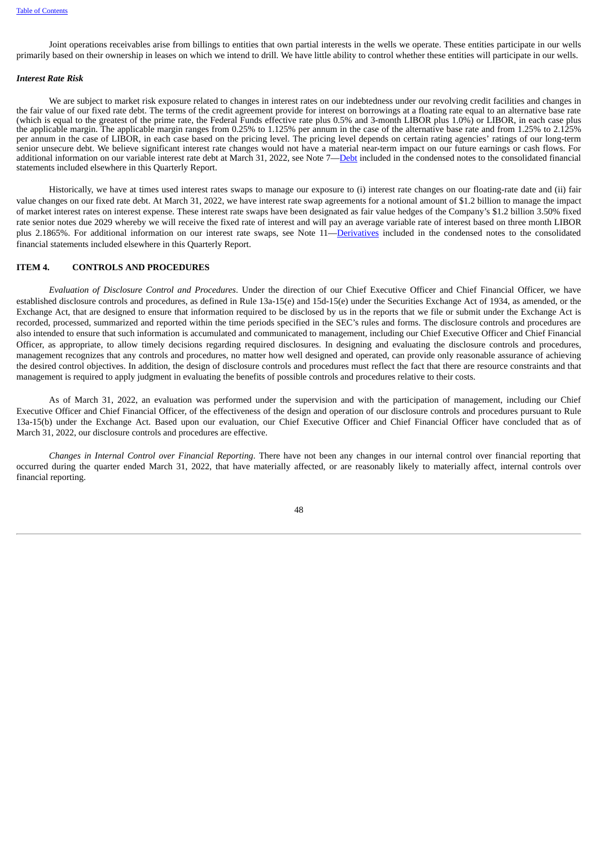Joint operations receivables arise from billings to entities that own partial interests in the wells we operate. These entities participate in our wells primarily based on their ownership in leases on which we intend to drill. We have little ability to control whether these entities will participate in our wells.

#### *Interest Rate Risk*

We are subject to market risk exposure related to changes in interest rates on our indebtedness under our revolving credit facilities and changes in the fair value of our fixed rate debt. The terms of the credit agreement provide for interest on borrowings at a floating rate equal to an alternative base rate (which is equal to the greatest of the prime rate, the Federal Funds effective rate plus 0.5% and 3-month LIBOR plus 1.0%) or LIBOR, in each case plus the applicable margin. The applicable margin ranges from 0.25% to 1.125% per annum in the case of the alternative base rate and from 1.25% to 2.125% per annum in the case of LIBOR, in each case based on the pricing level. The pricing level depends on certain rating agencies' ratings of our long-term senior unsecure debt. We believe significant interest rate changes would not have a material near-term impact on our future earnings or cash flows. For additional information on our variable interest rate debt at March 31, 2022, see Note 7—[Debt](#page-18-0) included in the condensed notes to the consolidated financial statements included elsewhere in this Quarterly Report.

Historically, we have at times used interest rates swaps to manage our exposure to (i) interest rate changes on our floating-rate date and (ii) fair value changes on our fixed rate debt. At March 31, 2022, we have interest rate swap agreements for a notional amount of \$1.2 billion to manage the impact of market interest rates on interest expense. These interest rate swaps have been designated as fair value hedges of the Company's \$1.2 billion 3.50% fixed rate senior notes due 2029 whereby we will receive the fixed rate of interest and will pay an average variable rate of interest based on three month LIBOR plus 2.1865%. For additional information on our interest rate swaps, see Note 11[—Derivatives](#page-24-0) included in the condensed notes to the consolidated financial statements included elsewhere in this Quarterly Report.

#### <span id="page-53-0"></span>**ITEM 4. CONTROLS AND PROCEDURES**

*Evaluation of Disclosure Control and Procedures*. Under the direction of our Chief Executive Officer and Chief Financial Officer, we have established disclosure controls and procedures, as defined in Rule 13a-15(e) and 15d-15(e) under the Securities Exchange Act of 1934, as amended, or the Exchange Act, that are designed to ensure that information required to be disclosed by us in the reports that we file or submit under the Exchange Act is recorded, processed, summarized and reported within the time periods specified in the SEC's rules and forms. The disclosure controls and procedures are also intended to ensure that such information is accumulated and communicated to management, including our Chief Executive Officer and Chief Financial Officer, as appropriate, to allow timely decisions regarding required disclosures. In designing and evaluating the disclosure controls and procedures, management recognizes that any controls and procedures, no matter how well designed and operated, can provide only reasonable assurance of achieving the desired control objectives. In addition, the design of disclosure controls and procedures must reflect the fact that there are resource constraints and that management is required to apply judgment in evaluating the benefits of possible controls and procedures relative to their costs.

As of March 31, 2022, an evaluation was performed under the supervision and with the participation of management, including our Chief Executive Officer and Chief Financial Officer, of the effectiveness of the design and operation of our disclosure controls and procedures pursuant to Rule 13a-15(b) under the Exchange Act. Based upon our evaluation, our Chief Executive Officer and Chief Financial Officer have concluded that as of March 31, 2022, our disclosure controls and procedures are effective.

<span id="page-53-1"></span>*Changes in Internal Control over Financial Reporting*. There have not been any changes in our internal control over financial reporting that occurred during the quarter ended March 31, 2022, that have materially affected, or are reasonably likely to materially affect, internal controls over financial reporting.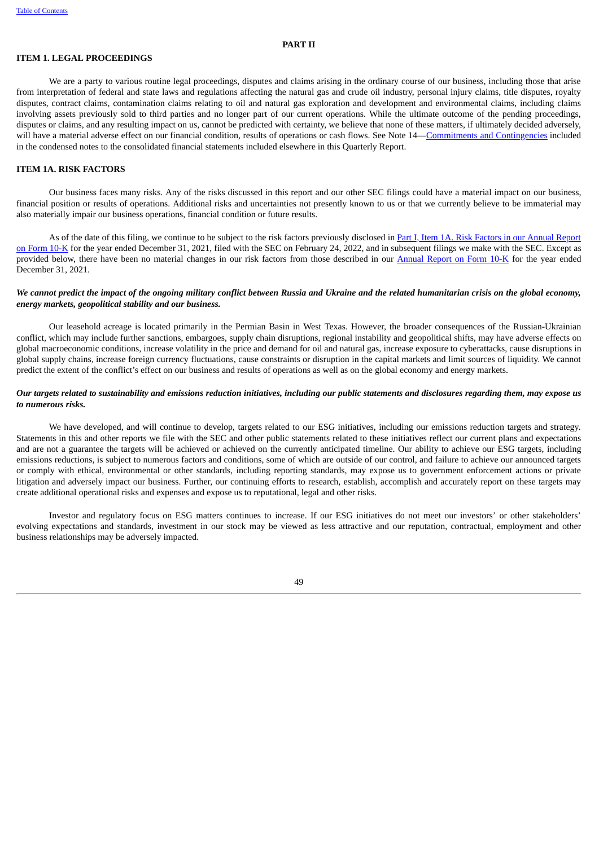#### **PART II**

#### <span id="page-54-0"></span>**ITEM 1. LEGAL PROCEEDINGS**

We are a party to various routine legal proceedings, disputes and claims arising in the ordinary course of our business, including those that arise from interpretation of federal and state laws and regulations affecting the natural gas and crude oil industry, personal injury claims, title disputes, royalty disputes, contract claims, contamination claims relating to oil and natural gas exploration and development and environmental claims, including claims involving assets previously sold to third parties and no longer part of our current operations. While the ultimate outcome of the pending proceedings, disputes or claims, and any resulting impact on us, cannot be predicted with certainty, we believe that none of these matters, if ultimately decided adversely, will have a material adverse effect on our financial condition, results of operations or cash flows. See Note 14—Commitments and [Contingencies](#page-30-1) included in the condensed notes to the consolidated financial statements included elsewhere in this Quarterly Report.

# <span id="page-54-1"></span>**ITEM 1A. RISK FACTORS**

Our business faces many risks. Any of the risks discussed in this report and our other SEC filings could have a material impact on our business, financial position or results of operations. Additional risks and uncertainties not presently known to us or that we currently believe to be immaterial may also materially impair our business operations, financial condition or future results.

As of the date of this filing, we continue to be subject to the risk factors previously disclosed in Part I, Item 1A. Risk Factors in our Annual Report on Form 10-K for the year ended December 31, 2021, filed with the SEC on February 24, 2022, and in [subsequent](https://www.sec.gov/ix?doc=/Archives/edgar/data/1539838/000153983822000008/fang-20211231.htm#ia0a8569c6321429087004ad63a8c5224_25) filings we make with the SEC. Except as provided below, there have been no material changes in our risk factors from those described in our **[Annual](https://www.sec.gov/ix?doc=/Archives/edgar/data/1539838/000153983822000008/fang-20211231.htm) Report on Form 10-K** for the year ended December 31, 2021.

### We cannot predict the impact of the ongoing military conflict between Russia and Ukraine and the related humanitarian crisis on the global economy, *energy markets, geopolitical stability and our business.*

Our leasehold acreage is located primarily in the Permian Basin in West Texas. However, the broader consequences of the Russian-Ukrainian conflict, which may include further sanctions, embargoes, supply chain disruptions, regional instability and geopolitical shifts, may have adverse effects on global macroeconomic conditions, increase volatility in the price and demand for oil and natural gas, increase exposure to cyberattacks, cause disruptions in global supply chains, increase foreign currency fluctuations, cause constraints or disruption in the capital markets and limit sources of liquidity. We cannot predict the extent of the conflict's effect on our business and results of operations as well as on the global economy and energy markets.

# Our targets related to sustainability and emissions reduction initiatives, including our public statements and disclosures regarding them, may expose us *to numerous risks.*

We have developed, and will continue to develop, targets related to our ESG initiatives, including our emissions reduction targets and strategy. Statements in this and other reports we file with the SEC and other public statements related to these initiatives reflect our current plans and expectations and are not a guarantee the targets will be achieved or achieved on the currently anticipated timeline. Our ability to achieve our ESG targets, including emissions reductions, is subject to numerous factors and conditions, some of which are outside of our control, and failure to achieve our announced targets or comply with ethical, environmental or other standards, including reporting standards, may expose us to government enforcement actions or private litigation and adversely impact our business. Further, our continuing efforts to research, establish, accomplish and accurately report on these targets may create additional operational risks and expenses and expose us to reputational, legal and other risks.

<span id="page-54-2"></span>Investor and regulatory focus on ESG matters continues to increase. If our ESG initiatives do not meet our investors' or other stakeholders' evolving expectations and standards, investment in our stock may be viewed as less attractive and our reputation, contractual, employment and other business relationships may be adversely impacted.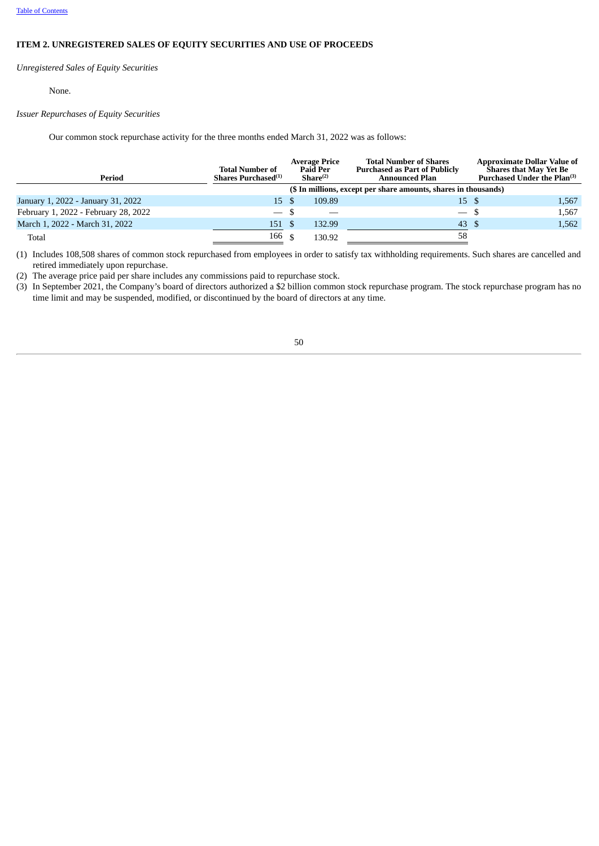# **ITEM 2. UNREGISTERED SALES OF EQUITY SECURITIES AND USE OF PROCEEDS**

*Unregistered Sales of Equity Securities*

None.

# *Issuer Repurchases of Equity Securities*

Our common stock repurchase activity for the three months ended March 31, 2022 was as follows:

| Period                               | <b>Total Number of</b><br>Shares Purchased <sup>(1)</sup> |     | <b>Average Price</b><br><b>Paid Per</b><br>Share <sup>(2)</sup> | <b>Total Number of Shares</b><br><b>Purchased as Part of Publicly</b><br><b>Announced Plan</b> | <b>Approximate Dollar Value of</b><br><b>Shares that May Yet Be</b><br>Purchased Under the Plan <sup>(3)</sup> |
|--------------------------------------|-----------------------------------------------------------|-----|-----------------------------------------------------------------|------------------------------------------------------------------------------------------------|----------------------------------------------------------------------------------------------------------------|
|                                      |                                                           |     |                                                                 | (\$ In millions, except per share amounts, shares in thousands)                                |                                                                                                                |
| January 1, 2022 - January 31, 2022   | 15 \$                                                     |     | 109.89                                                          | 15 S                                                                                           | 1,567                                                                                                          |
| February 1, 2022 - February 28, 2022 |                                                           | -\$ | $\overbrace{\hspace{25mm}}^{}$                                  | $-$ \$                                                                                         | 1,567                                                                                                          |
| March 1, 2022 - March 31, 2022       | 151 \$                                                    |     | 132.99                                                          | 43 \$                                                                                          | 1,562                                                                                                          |
| Total                                | 166                                                       |     | 130.92                                                          | 58                                                                                             |                                                                                                                |

(1) Includes 108,508 shares of common stock repurchased from employees in order to satisfy tax withholding requirements. Such shares are cancelled and retired immediately upon repurchase.

(2) The average price paid per share includes any commissions paid to repurchase stock.

<span id="page-55-0"></span> $(3)$  In September 2021, the Company's board of directors authorized a \$2 billion common stock repurchase program. The stock repurchase program has no time limit and may be suspended, modified, or discontinued by the board of directors at any time.

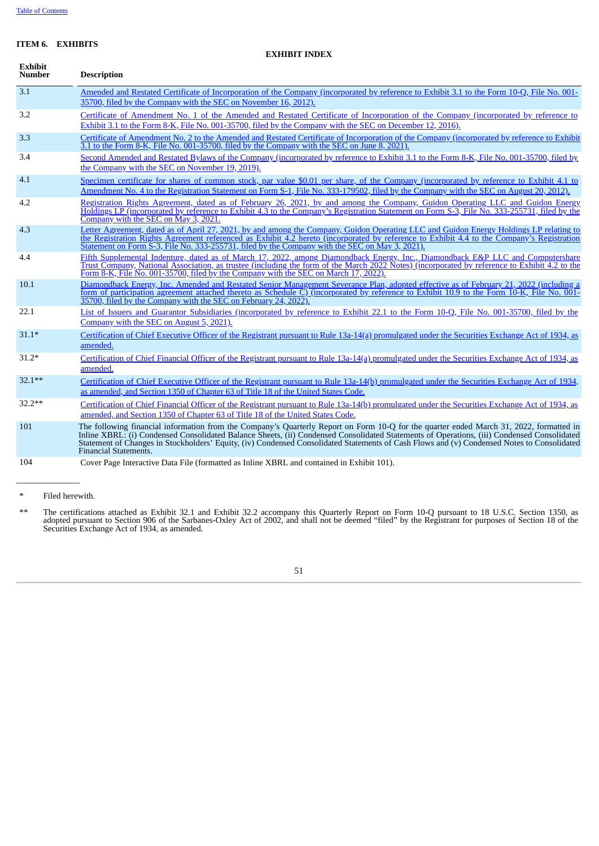# **ITEM 6. EXHIBITS**

#### **EXHIBIT INDEX**

| <b>Exhibit</b><br><b>Number</b> | <b>Description</b>                                                                                                                                                                                                                                                                                                                                                                                                                                           |
|---------------------------------|--------------------------------------------------------------------------------------------------------------------------------------------------------------------------------------------------------------------------------------------------------------------------------------------------------------------------------------------------------------------------------------------------------------------------------------------------------------|
| 3.1                             | Amended and Restated Certificate of Incorporation of the Company (incorporated by reference to Exhibit 3.1 to the Form 10-O, File No. 001-<br>35700, filed by the Company with the SEC on November 16, 2012).                                                                                                                                                                                                                                                |
| 3.2                             | Certificate of Amendment No. 1 of the Amended and Restated Certificate of Incorporation of the Company (incorporated by reference to<br>Exhibit 3.1 to the Form 8-K, File No. 001-35700, filed by the Company with the SEC on December 12, 2016).                                                                                                                                                                                                            |
| 3.3                             | Certificate of Amendment No. 2 to the Amended and Restated Certificate of Incorporation of the Company (incorporated by reference to Exhibit<br>3.1 to the Form 8-K, File No. 001-35700, filed by the Company with the SEC on June 8, 2021).                                                                                                                                                                                                                 |
| 3.4                             | Second Amended and Restated Bylaws of the Company (incorporated by reference to Exhibit 3.1 to the Form 8-K, File No. 001-35700, filed by<br>the Company with the SEC on November 19, 2019).                                                                                                                                                                                                                                                                 |
| 4.1                             | Specimen certificate for shares of common stock, par value \$0.01 per share, of the Company (incorporated by reference to Exhibit 4.1 to<br>Amendment No. 4 to the Registration Statement on Form S-1, File No. 333-179502, filed by the Company with the SEC on August 20, 2012).                                                                                                                                                                           |
| 4.2                             | Registration Rights Agreement, dated as of February 26, 2021, by and among the Company, Guidon Operating LLC and Guidon Energy<br>Holdings LP (incorporated by reference to Exhibit 4.3 to the Company's Registration Statement on Form S-3, File No. 333-255731, filed by the<br>Company with the SEC on May 3, 2021.                                                                                                                                       |
| 4.3                             | Letter Agreement, dated as of April 27, 2021, by and among the Company, Guidon Operating LLC and Guidon Energy Holdings LP relating to<br>the Registration Rights Agreement referenced as Exhibit 4.2 hereto (incorporated by reference to Exhibit 4.4 to the Company's Registration<br>Statement on Form S-3, File No. 333-255731, filed by the Company with the SEC on May 3, 2021).                                                                       |
| 4.4                             | Fifth Supplemental Indenture, dated as of March 17, 2022, among Diamondback Energy, Inc., Diamondback E&P LLC and Computershare<br>Trust Company, National Association, as trustee (including the form of the March 2022 Notes) (incorporated by reference to Exhibit 4.2 to the<br>Form 8-K, File No. 001-35700, filed by the Company with the SEC on March 17, 2022).                                                                                      |
| 10.1                            | Diamondback Energy, Inc. Amended and Restated Senior Management Severance Plan, adopted effective as of February 21, 2022 (including a<br>form of participation agreement attached thereto as Schedule C) (incorporated by reference to Exhibit 10.9 to the Form 10-K, File No. 001-<br>35700, filed by the Company with the SEC on February 24, 2022).                                                                                                      |
| 22.1                            | List of Issuers and Guarantor Subsidiaries (incorporated by reference to Exhibit 22.1 to the Form 10-Q, File No. 001-35700, filed by the<br>Company with the SEC on August 5, 2021).                                                                                                                                                                                                                                                                         |
| $31.1*$                         | Certification of Chief Executive Officer of the Registrant pursuant to Rule 13a-14(a) promulgated under the Securities Exchange Act of 1934, as<br>amended.                                                                                                                                                                                                                                                                                                  |
| $31.2*$                         | Certification of Chief Financial Officer of the Registrant pursuant to Rule 13a-14(a) promulgated under the Securities Exchange Act of 1934, as<br>amended.                                                                                                                                                                                                                                                                                                  |
| $32.1***$                       | Certification of Chief Executive Officer of the Registrant pursuant to Rule 13a-14(b) promulgated under the Securities Exchange Act of 1934,<br>as amended, and Section 1350 of Chapter 63 of Title 18 of the United States Code.                                                                                                                                                                                                                            |
| $32.2**$                        | Certification of Chief Financial Officer of the Registrant pursuant to Rule 13a-14(b) promulgated under the Securities Exchange Act of 1934, as<br>amended, and Section 1350 of Chapter 63 of Title 18 of the United States Code.                                                                                                                                                                                                                            |
| 101                             | The following financial information from the Company's Quarterly Report on Form 10-Q for the quarter ended March 31, 2022, formatted in<br>Inline XBRL: (i) Condensed Consolidated Balance Sheets, (ii) Condensed Consolidated Statements of Operations, (iii) Condensed Consolidated<br>Statement of Changes in Stockholders' Equity, (iv) Condensed Consolidated Statements of Cash Flows and (v) Condensed Notes to Consolidated<br>Financial Statements. |
| 104                             | Cover Page Interactive Data File (formatted as Inline XBRL and contained in Exhibit 101).                                                                                                                                                                                                                                                                                                                                                                    |

\* Filed herewith.

<span id="page-56-0"></span>\*\* The certifications attached as Exhibit 32.1 and Exhibit 32.2 accompany this Quarterly Report on Form 10-Q pursuant to 18 U.S.C. Section 1350, as adopted pursuant to Section 906 of the Sarbanes-Oxley Act of 2002, and shall not be deemed "filed" by the Registrant for purposes of Section 18 of the Securities Exchange Act of 1934, as amended.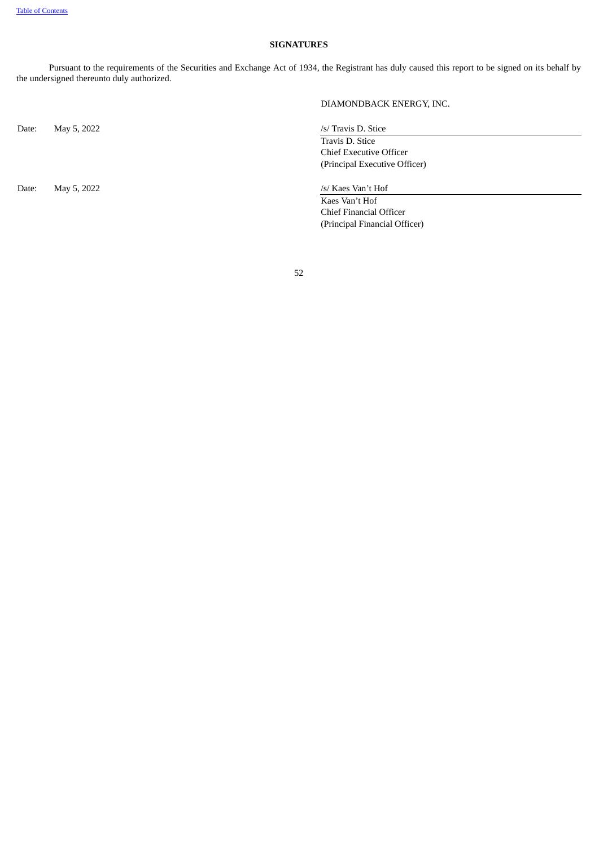# **SIGNATURES**

Pursuant to the requirements of the Securities and Exchange Act of 1934, the Registrant has duly caused this report to be signed on its behalf by the undersigned thereunto duly authorized.

Date: May 5, 2022 /s/ Travis D. Stice

Date: May 5, 2022 /s/ Kaes Van't Hof

DIAMONDBACK ENERGY, INC.

Travis D. Stice Chief Executive Officer (Principal Executive Officer)

Kaes Van't Hof Chief Financial Officer (Principal Financial Officer)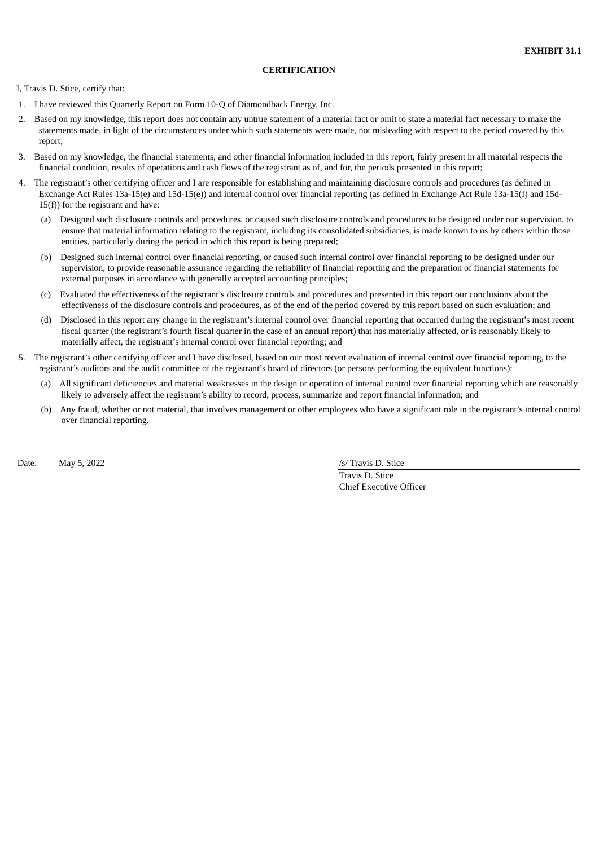#### **CERTIFICATION**

<span id="page-58-0"></span>I, Travis D. Stice, certify that:

- 1. I have reviewed this Quarterly Report on Form 10-Q of Diamondback Energy, Inc.
- 2. Based on my knowledge, this report does not contain any untrue statement of a material fact or omit to state a material fact necessary to make the statements made, in light of the circumstances under which such statements were made, not misleading with respect to the period covered by this report;
- 3. Based on my knowledge, the financial statements, and other financial information included in this report, fairly present in all material respects the financial condition, results of operations and cash flows of the registrant as of, and for, the periods presented in this report;
- 4. The registrant's other certifying officer and I are responsible for establishing and maintaining disclosure controls and procedures (as defined in Exchange Act Rules 13a-15(e) and 15d-15(e)) and internal control over financial reporting (as defined in Exchange Act Rule 13a-15(f) and 15d-15(f)) for the registrant and have:
	- (a) Designed such disclosure controls and procedures, or caused such disclosure controls and procedures to be designed under our supervision, to ensure that material information relating to the registrant, including its consolidated subsidiaries, is made known to us by others within those entities, particularly during the period in which this report is being prepared;
	- (b) Designed such internal control over financial reporting, or caused such internal control over financial reporting to be designed under our supervision, to provide reasonable assurance regarding the reliability of financial reporting and the preparation of financial statements for external purposes in accordance with generally accepted accounting principles;
	- (c) Evaluated the effectiveness of the registrant's disclosure controls and procedures and presented in this report our conclusions about the effectiveness of the disclosure controls and procedures, as of the end of the period covered by this report based on such evaluation; and
	- (d) Disclosed in this report any change in the registrant's internal control over financial reporting that occurred during the registrant's most recent fiscal quarter (the registrant's fourth fiscal quarter in the case of an annual report) that has materially affected, or is reasonably likely to materially affect, the registrant's internal control over financial reporting; and
- 5. The registrant's other certifying officer and I have disclosed, based on our most recent evaluation of internal control over financial reporting, to the registrant's auditors and the audit committee of the registrant's board of directors (or persons performing the equivalent functions):
	- (a) All significant deficiencies and material weaknesses in the design or operation of internal control over financial reporting which are reasonably likely to adversely affect the registrant's ability to record, process, summarize and report financial information; and
	- (b) Any fraud, whether or not material, that involves management or other employees who have a significant role in the registrant's internal control over financial reporting.

Date: May 5, 2022 /s/ Travis D. Stice

Travis D. Stice Chief Executive Officer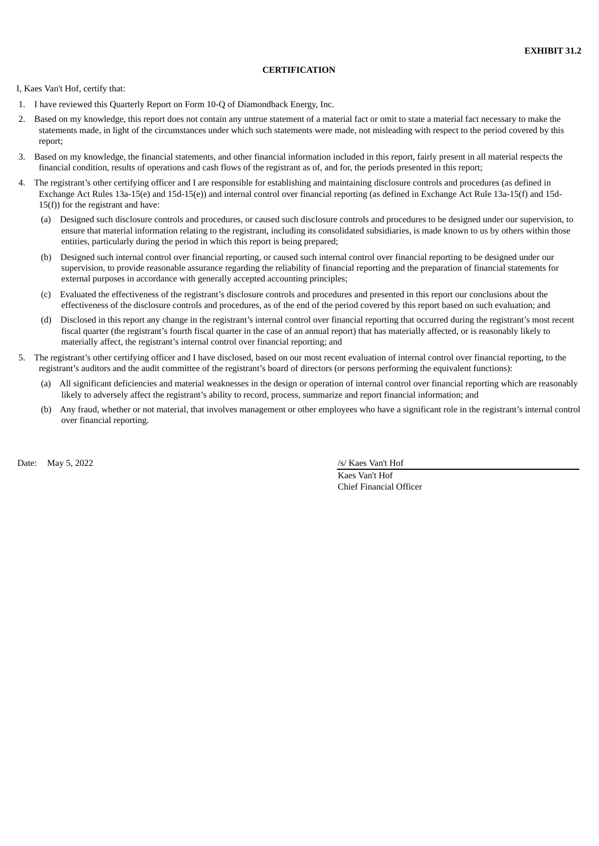# **CERTIFICATION**

<span id="page-59-0"></span>I, Kaes Van't Hof, certify that:

- 1. I have reviewed this Quarterly Report on Form 10-Q of Diamondback Energy, Inc.
- 2. Based on my knowledge, this report does not contain any untrue statement of a material fact or omit to state a material fact necessary to make the statements made, in light of the circumstances under which such statements were made, not misleading with respect to the period covered by this report;
- 3. Based on my knowledge, the financial statements, and other financial information included in this report, fairly present in all material respects the financial condition, results of operations and cash flows of the registrant as of, and for, the periods presented in this report;
- 4. The registrant's other certifying officer and I are responsible for establishing and maintaining disclosure controls and procedures (as defined in Exchange Act Rules 13a-15(e) and 15d-15(e)) and internal control over financial reporting (as defined in Exchange Act Rule 13a-15(f) and 15d-15(f)) for the registrant and have:
	- (a) Designed such disclosure controls and procedures, or caused such disclosure controls and procedures to be designed under our supervision, to ensure that material information relating to the registrant, including its consolidated subsidiaries, is made known to us by others within those entities, particularly during the period in which this report is being prepared;
	- (b) Designed such internal control over financial reporting, or caused such internal control over financial reporting to be designed under our supervision, to provide reasonable assurance regarding the reliability of financial reporting and the preparation of financial statements for external purposes in accordance with generally accepted accounting principles;
	- (c) Evaluated the effectiveness of the registrant's disclosure controls and procedures and presented in this report our conclusions about the effectiveness of the disclosure controls and procedures, as of the end of the period covered by this report based on such evaluation; and
	- (d) Disclosed in this report any change in the registrant's internal control over financial reporting that occurred during the registrant's most recent fiscal quarter (the registrant's fourth fiscal quarter in the case of an annual report) that has materially affected, or is reasonably likely to materially affect, the registrant's internal control over financial reporting; and
- 5. The registrant's other certifying officer and I have disclosed, based on our most recent evaluation of internal control over financial reporting, to the registrant's auditors and the audit committee of the registrant's board of directors (or persons performing the equivalent functions):
	- (a) All significant deficiencies and material weaknesses in the design or operation of internal control over financial reporting which are reasonably likely to adversely affect the registrant's ability to record, process, summarize and report financial information; and
	- (b) Any fraud, whether or not material, that involves management or other employees who have a significant role in the registrant's internal control over financial reporting.

Date: May 5, 2022 /s/ Kaes Van't Hof

Kaes Van't Hof Chief Financial Officer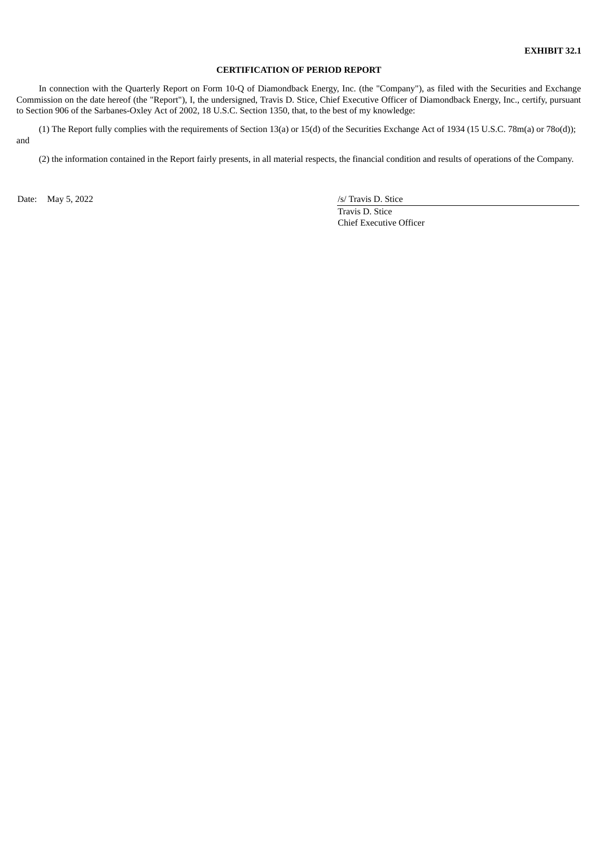# **CERTIFICATION OF PERIOD REPORT**

<span id="page-60-0"></span>In connection with the Quarterly Report on Form 10-Q of Diamondback Energy, Inc. (the "Company"), as filed with the Securities and Exchange Commission on the date hereof (the "Report"), I, the undersigned, Travis D. Stice, Chief Executive Officer of Diamondback Energy, Inc., certify, pursuant to Section 906 of the Sarbanes-Oxley Act of 2002, 18 U.S.C. Section 1350, that, to the best of my knowledge:

(1) The Report fully complies with the requirements of Section 13(a) or 15(d) of the Securities Exchange Act of 1934 (15 U.S.C. 78m(a) or 78o(d)); and

(2) the information contained in the Report fairly presents, in all material respects, the financial condition and results of operations of the Company.

Date: May 5, 2022 /s/ Travis D. Stice

Travis D. Stice Chief Executive Officer